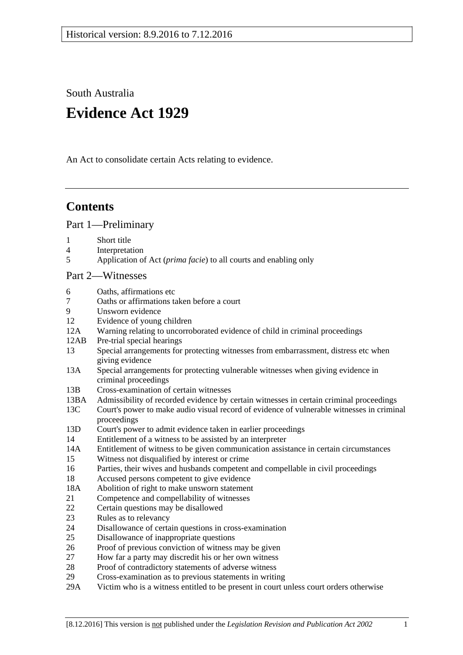South Australia

# **Evidence Act 1929**

An Act to consolidate certain Acts relating to evidence.

## **Contents**

[Part 1—Preliminary](#page-6-0)

- 1 [Short title](#page-6-1)
- 4 [Interpretation](#page-6-2)
- 5 Application of Act (*prima facie*[\) to all courts and enabling only](#page-8-0)

## [Part 2—Witnesses](#page-10-0)

- 6 [Oaths, affirmations etc](#page-10-1)
- 7 [Oaths or affirmations taken before a court](#page-10-2)
- [Unsworn evidence](#page-10-3)
- 12 [Evidence of young children](#page-11-0)
- 12A [Warning relating to uncorroborated evidence of child in criminal proceedings](#page-11-1)
- 12AB [Pre-trial special hearings](#page-12-0)
- 13 [Special arrangements for protecting witnesses from embarrassment, distress etc when](#page-15-0)  [giving evidence](#page-15-0)
- 13A [Special arrangements for protecting vulnerable witnesses when giving evidence in](#page-16-0)  [criminal proceedings](#page-16-0)
- 13B [Cross-examination of certain witnesses](#page-19-0)
- 13BA [Admissibility of recorded evidence by certain witnesses in certain criminal proceedings](#page-20-0)
- 13C [Court's power to make audio visual record of evidence of vulnerable witnesses in criminal](#page-21-0)  [proceedings](#page-21-0)
- 13D [Court's power to admit evidence taken in earlier proceedings](#page-22-0)
- 14 [Entitlement of a witness to be assisted by an interpreter](#page-23-0)
- 14A [Entitlement of witness to be given communication assistance in certain circumstances](#page-23-1)
- 15 [Witness not disqualified by interest or crime](#page-24-0)
- 16 [Parties, their wives and husbands competent and compellable in civil proceedings](#page-24-1)
- 18 [Accused persons competent to give evidence](#page-24-2)
- 18A [Abolition of right to make unsworn statement](#page-25-0)
- 21 [Competence and compellability of witnesses](#page-25-1)
- 22 [Certain questions may be disallowed](#page-27-0)
- 23 [Rules as to relevancy](#page-27-1)
- 24 [Disallowance of certain questions in cross-examination](#page-27-2)
- 25 [Disallowance of inappropriate questions](#page-27-3)
- 26 [Proof of previous conviction of witness may be given](#page-28-0)
- 27 [How far a party may discredit his or her own witness](#page-28-1)
- 28 [Proof of contradictory statements of adverse witness](#page-29-0)
- 29 [Cross-examination as to previous statements in writing](#page-29-1)
- 29A [Victim who is a witness entitled to be present in court unless court orders otherwise](#page-29-2)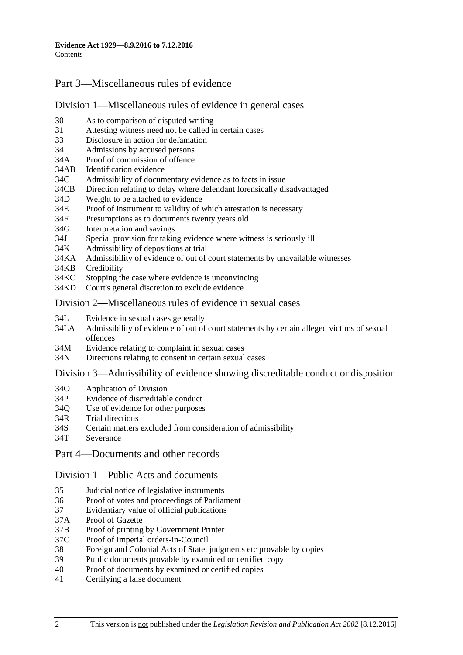## [Part 3—Miscellaneous rules of evidence](#page-30-0)

#### [Division 1—Miscellaneous rules of evidence in general cases](#page-30-1)

- 30 [As to comparison of disputed writing](#page-30-2)
- 31 [Attesting witness need not be called in certain cases](#page-30-3)
- 33 [Disclosure in action for defamation](#page-30-4)
- 34 [Admissions by accused persons](#page-30-5)
- 34A [Proof of commission of offence](#page-30-6)
- 34AB [Identification evidence](#page-30-7)
- 34C [Admissibility of documentary evidence as to facts in issue](#page-31-0)
- 34CB [Direction relating to delay where defendant forensically disadvantaged](#page-32-0)
- 34D [Weight to be attached to evidence](#page-33-0)
- 34E [Proof of instrument to validity of which attestation is necessary](#page-33-1)
- 34F [Presumptions as to documents twenty years old](#page-33-2)
- 34G [Interpretation and savings](#page-33-3)
- 34J [Special provision for taking evidence where witness is seriously ill](#page-34-0)
- 34K [Admissibility of depositions at trial](#page-34-1)
- 34KA [Admissibility of evidence of out of court statements by unavailable witnesses](#page-34-2)
- 34KB [Credibility](#page-36-0)
- 34KC [Stopping the case where evidence is unconvincing](#page-36-1)
- 34KD [Court's general discretion to exclude evidence](#page-37-0)

## [Division 2—Miscellaneous rules of evidence in sexual cases](#page-37-1)

- 34L [Evidence in sexual cases generally](#page-37-2)
- 34LA [Admissibility of evidence of out of court statements by certain alleged victims of sexual](#page-38-0)  [offences](#page-38-0)
- 34M [Evidence relating to complaint in sexual cases](#page-39-0)
- 34N [Directions relating to consent in certain sexual cases](#page-40-0)

#### Division [3—Admissibility of evidence showing discreditable conduct or disposition](#page-40-1)

- 34O [Application of Division](#page-40-2)
- 34P [Evidence of discreditable conduct](#page-41-0)
- 34Q [Use of evidence for other purposes](#page-41-1)
- 34R [Trial directions](#page-41-2)
- 34S [Certain matters excluded from consideration of admissibility](#page-42-0)
- 34T [Severance](#page-42-1)
- [Part 4—Documents and other records](#page-44-0)

#### [Division 1—Public Acts and documents](#page-44-1)

- 35 [Judicial notice of legislative instruments](#page-44-2)
- 36 [Proof of votes and proceedings of Parliament](#page-44-3)
- 37 [Evidentiary value of official publications](#page-44-4)
- 37A [Proof of Gazette](#page-44-5)<br>37B Proof of printing
- [Proof of printing by Government Printer](#page-45-0)
- 37C [Proof of Imperial orders-in-Council](#page-45-1)
- 38 [Foreign and Colonial Acts of State, judgments etc provable by copies](#page-45-2)
- 39 [Public documents provable by examined or certified copy](#page-46-0)
- 40 [Proof of documents by examined or certified copies](#page-46-1)
- 41 [Certifying a false document](#page-46-2)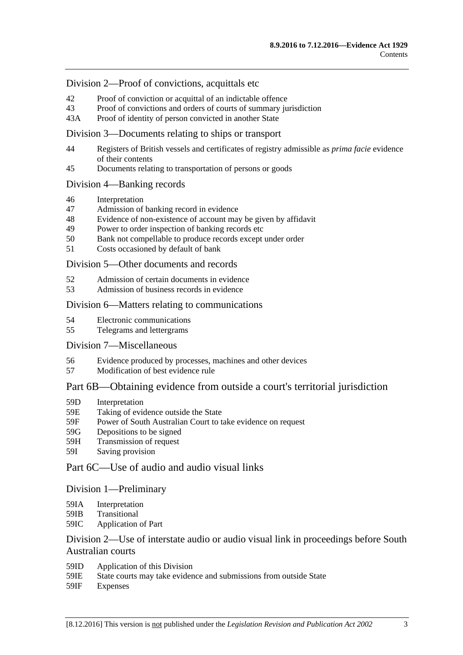## [Division 2—Proof of convictions, acquittals etc](#page-46-3)

- 42 [Proof of conviction or acquittal of an indictable offence](#page-46-4)
- 43 [Proof of convictions and orders of courts of summary jurisdiction](#page-47-0)
- 43A [Proof of identity of person convicted in another State](#page-47-1)

#### [Division 3—Documents relating to ships or transport](#page-47-2)

- 44 [Registers of British vessels and certificates of registry admissible as](#page-47-3) *prima facie* evidence [of their contents](#page-47-3)
- 45 [Documents relating to transportation of persons or goods](#page-48-0)

#### [Division 4—Banking records](#page-48-1)

- 46 [Interpretation](#page-48-2)
- 47 [Admission of banking record in evidence](#page-49-0)
- 48 [Evidence of non-existence of account may be given by affidavit](#page-49-1)<br>49 Power to order inspection of banking records etc
- [Power to order inspection of banking records etc](#page-49-2)
- 50 [Bank not compellable to produce records except under order](#page-50-0)
- 51 [Costs occasioned by default of bank](#page-51-0)

#### [Division 5—Other documents and records](#page-51-1)

- 52 [Admission of certain documents in evidence](#page-51-2)
- 53 [Admission of business records in evidence](#page-51-3)

#### Division [6—Matters relating to communications](#page-52-0)

- 54 [Electronic communications](#page-52-1)
- 55 [Telegrams and lettergrams](#page-53-0)

#### [Division 7—Miscellaneous](#page-53-1)

- 56 [Evidence produced by processes, machines and other devices](#page-53-2)
- 57 [Modification of best evidence rule](#page-54-0)

## [Part 6B—Obtaining evidence from outside a court's territorial jurisdiction](#page-56-0)

- 59D [Interpretation](#page-56-1)
- 59E [Taking of evidence outside the State](#page-56-2)
- 59F [Power of South Australian Court to take evidence on request](#page-57-0)
- 59G [Depositions to be signed](#page-57-1)
- 59H [Transmission of request](#page-57-2)
- 59I [Saving provision](#page-58-0)

## [Part 6C—Use of audio and audio visual links](#page-60-0)

#### [Division 1—Preliminary](#page-60-1)

- 59IA [Interpretation](#page-60-2)
- 59IB [Transitional](#page-60-3)
- 59IC [Application of Part](#page-60-4)

## [Division 2—Use of interstate audio or audio visual link in proceedings before South](#page-61-0)  [Australian courts](#page-61-0)

- 59ID [Application of this Division](#page-61-1)
- 59IE [State courts may take evidence and submissions from outside State](#page-61-2)
- 59IF [Expenses](#page-61-3)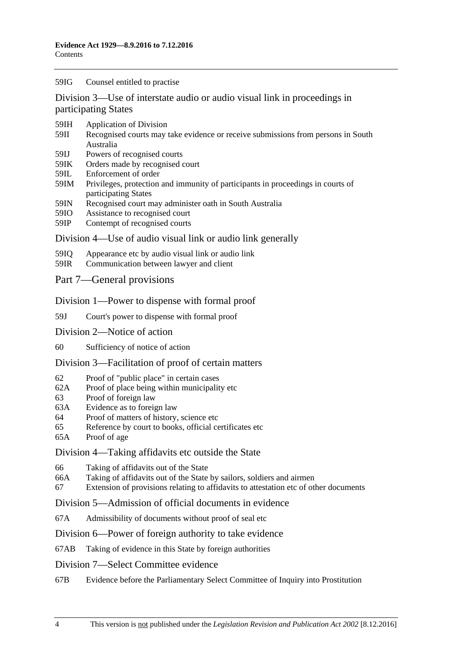#### 59IG [Counsel entitled to practise](#page-61-4)

[Division 3—Use of interstate audio or audio visual link in proceedings in](#page-62-0)  [participating States](#page-62-0)

- 59IH [Application of Division](#page-62-1)
- 59II [Recognised courts may take evidence or receive submissions from persons in South](#page-62-2)  [Australia](#page-62-2)
- 59IJ [Powers of recognised courts](#page-62-3)
- 59IK [Orders made by recognised court](#page-62-4)
- 59IL [Enforcement of order](#page-62-5)
- 59IM [Privileges, protection and immunity of participants in proceedings in courts of](#page-63-0)  [participating States](#page-63-0)
- 59IN [Recognised court may administer oath in South Australia](#page-63-1)
- 59IO [Assistance to recognised court](#page-63-2)
- 59IP [Contempt of recognised courts](#page-63-3)

#### [Division 4—Use of audio visual link or audio link generally](#page-64-0)

- 59IQ [Appearance etc by audio visual link or audio link](#page-64-1)
- 59IR [Communication between lawyer and client](#page-65-0)

#### [Part 7—General provisions](#page-68-0)

#### [Division 1—Power to dispense with formal proof](#page-68-1)

59J [Court's power to dispense with formal proof](#page-68-2)

- [Division 2—Notice of action](#page-68-3)
- 60 [Sufficiency of notice of action](#page-68-4)

#### [Division 3—Facilitation of proof of certain matters](#page-68-5)

- 62 [Proof of "public place" in certain cases](#page-68-6)
- 62A [Proof of place being within municipality etc](#page-68-7)
- 63 [Proof of foreign law](#page-69-0)
- 63A [Evidence as to foreign law](#page-69-1)
- 64 [Proof of matters of history, science etc](#page-69-2)
- 65 [Reference by court to books, official certificates etc](#page-69-3)
- 65A [Proof of age](#page-70-0)

#### [Division 4—Taking affidavits etc outside the State](#page-70-1)

- 66 [Taking of affidavits out of the State](#page-70-2)
- 66A [Taking of affidavits out of the State by sailors, soldiers and airmen](#page-71-0)
- 67 [Extension of provisions relating to affidavits to attestation etc of other documents](#page-72-0)

#### [Division 5—Admission of official documents in evidence](#page-72-1)

67A [Admissibility of documents without proof of seal etc](#page-72-2)

#### [Division 6—Power of foreign authority to take evidence](#page-73-0)

67AB [Taking of evidence in this State by foreign authorities](#page-73-1)

#### [Division 7—Select Committee evidence](#page-73-2)

67B [Evidence before the Parliamentary Select Committee of Inquiry into Prostitution](#page-73-3)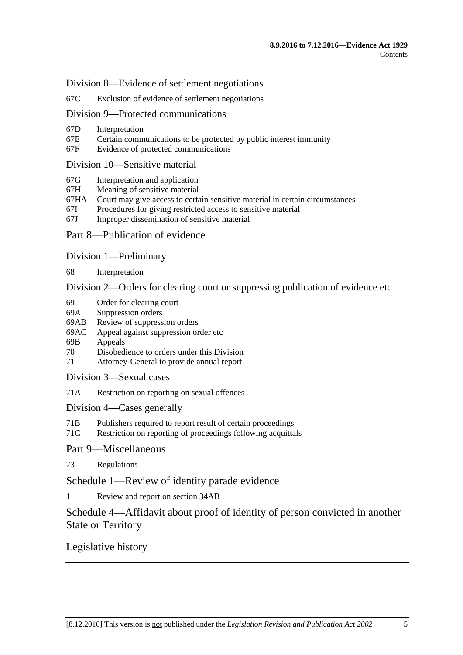[Division 8—Evidence of settlement negotiations](#page-74-0)

67C [Exclusion of evidence of settlement negotiations](#page-74-1)

## [Division 9—Protected communications](#page-75-0)

- 67D [Interpretation](#page-75-1)
- 67E [Certain communications to be protected by public interest immunity](#page-75-2)
- 67F [Evidence of protected communications](#page-76-0)

#### [Division 10—Sensitive material](#page-77-0)

- 67G [Interpretation and application](#page-77-1)
- 67H [Meaning of sensitive material](#page-79-0)
- 67HA [Court may give access to certain sensitive material in certain circumstances](#page-79-1)
- 67I [Procedures for giving restricted access to sensitive material](#page-79-2)
- 67J [Improper dissemination of sensitive material](#page-80-0)
- [Part 8—Publication of evidence](#page-82-0)
- [Division 1—Preliminary](#page-82-1)

68 [Interpretation](#page-82-2)

[Division 2—Orders for clearing court or suppressing publication of evidence etc](#page-82-3)

- 69 [Order for clearing court](#page-82-4)
- 69A [Suppression orders](#page-83-0)<br>69AB Review of suppress
- [Review of suppression orders](#page-85-0)
- 69AC [Appeal against suppression order etc](#page-86-0)
- 69B [Appeals](#page-87-0)
- 70 [Disobedience to orders under this Division](#page-87-1)
- 71 [Attorney-General to provide annual report](#page-87-2)

[Division 3—Sexual cases](#page-88-0)

71A [Restriction on reporting on sexual offences](#page-88-1)

[Division 4—Cases](#page-90-0) generally

- 71B [Publishers required to report result of certain proceedings](#page-90-1)
- 71C [Restriction on reporting of proceedings following acquittals](#page-91-0)

[Part 9—Miscellaneous](#page-92-0)

73 [Regulations](#page-92-1)

[Schedule 1—Review of identity parade evidence](#page-94-0)

1 [Review and report on section](#page-94-1) 34AB

## [Schedule 4—Affidavit about proof of identity of person convicted in another](#page-95-0)  [State or Territory](#page-95-0)

## [Legislative history](#page-96-0)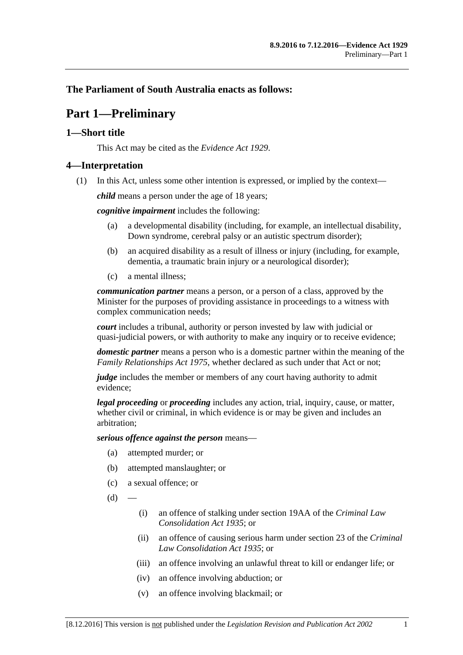## <span id="page-6-0"></span>**The Parliament of South Australia enacts as follows:**

## **Part 1—Preliminary**

## <span id="page-6-1"></span>**1—Short title**

This Act may be cited as the *Evidence Act 1929*.

## <span id="page-6-2"></span>**4—Interpretation**

(1) In this Act, unless some other intention is expressed, or implied by the context—

*child* means a person under the age of 18 years;

*cognitive impairment* includes the following:

- (a) a developmental disability (including, for example, an intellectual disability, Down syndrome, cerebral palsy or an autistic spectrum disorder);
- (b) an acquired disability as a result of illness or injury (including, for example, dementia, a traumatic brain injury or a neurological disorder);
- (c) a mental illness;

*communication partner* means a person, or a person of a class, approved by the Minister for the purposes of providing assistance in proceedings to a witness with complex communication needs;

*court* includes a tribunal, authority or person invested by law with judicial or quasi-judicial powers, or with authority to make any inquiry or to receive evidence;

*domestic partner* means a person who is a domestic partner within the meaning of the *[Family Relationships Act](http://www.legislation.sa.gov.au/index.aspx?action=legref&type=act&legtitle=Family%20Relationships%20Act%201975) 1975*, whether declared as such under that Act or not;

*judge* includes the member or members of any court having authority to admit evidence;

*legal proceeding* or *proceeding* includes any action, trial, inquiry, cause, or matter, whether civil or criminal, in which evidence is or may be given and includes an arbitration;

*serious offence against the person* means—

- (a) attempted murder; or
- (b) attempted manslaughter; or
- (c) a sexual offence; or
- $(d)$ 
	- (i) an offence of stalking under section 19AA of the *[Criminal Law](http://www.legislation.sa.gov.au/index.aspx?action=legref&type=act&legtitle=Criminal%20Law%20Consolidation%20Act%201935)  [Consolidation Act](http://www.legislation.sa.gov.au/index.aspx?action=legref&type=act&legtitle=Criminal%20Law%20Consolidation%20Act%201935) 1935*; or
	- (ii) an offence of causing serious harm under section 23 of the *[Criminal](http://www.legislation.sa.gov.au/index.aspx?action=legref&type=act&legtitle=Criminal%20Law%20Consolidation%20Act%201935)  [Law Consolidation Act](http://www.legislation.sa.gov.au/index.aspx?action=legref&type=act&legtitle=Criminal%20Law%20Consolidation%20Act%201935) 1935*; or
	- (iii) an offence involving an unlawful threat to kill or endanger life; or
	- (iv) an offence involving abduction; or
	- (v) an offence involving blackmail; or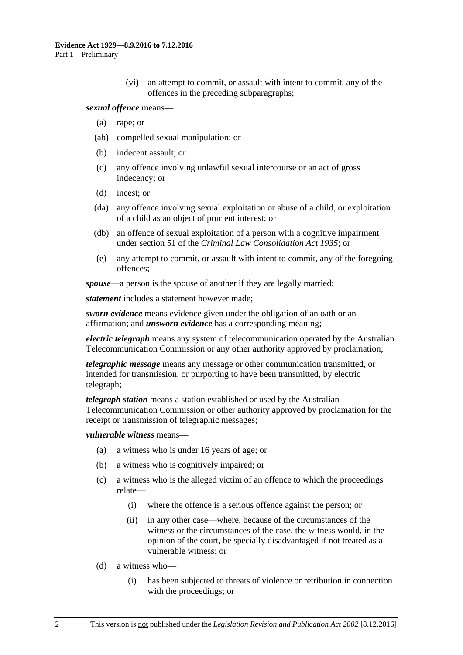(vi) an attempt to commit, or assault with intent to commit, any of the offences in the preceding subparagraphs;

#### *sexual offence* means—

- (a) rape; or
- (ab) compelled sexual manipulation; or
- (b) indecent assault; or
- (c) any offence involving unlawful sexual intercourse or an act of gross indecency; or
- (d) incest; or
- (da) any offence involving sexual exploitation or abuse of a child, or exploitation of a child as an object of prurient interest; or
- (db) an offence of sexual exploitation of a person with a cognitive impairment under section 51 of the *[Criminal Law Consolidation Act](http://www.legislation.sa.gov.au/index.aspx?action=legref&type=act&legtitle=Criminal%20Law%20Consolidation%20Act%201935) 1935*; or
- (e) any attempt to commit, or assault with intent to commit, any of the foregoing offences;

*spouse*—a person is the spouse of another if they are legally married;

*statement* includes a statement however made;

*sworn evidence* means evidence given under the obligation of an oath or an affirmation; and *unsworn evidence* has a corresponding meaning;

*electric telegraph* means any system of telecommunication operated by the Australian Telecommunication Commission or any other authority approved by proclamation;

*telegraphic message* means any message or other communication transmitted, or intended for transmission, or purporting to have been transmitted, by electric telegraph;

*telegraph station* means a station established or used by the Australian Telecommunication Commission or other authority approved by proclamation for the receipt or transmission of telegraphic messages;

#### *vulnerable witness* means—

- (a) a witness who is under 16 years of age; or
- (b) a witness who is cognitively impaired; or
- (c) a witness who is the alleged victim of an offence to which the proceedings relate—
	- (i) where the offence is a serious offence against the person; or
	- (ii) in any other case—where, because of the circumstances of the witness or the circumstances of the case, the witness would, in the opinion of the court, be specially disadvantaged if not treated as a vulnerable witness; or
- (d) a witness who—
	- (i) has been subjected to threats of violence or retribution in connection with the proceedings; or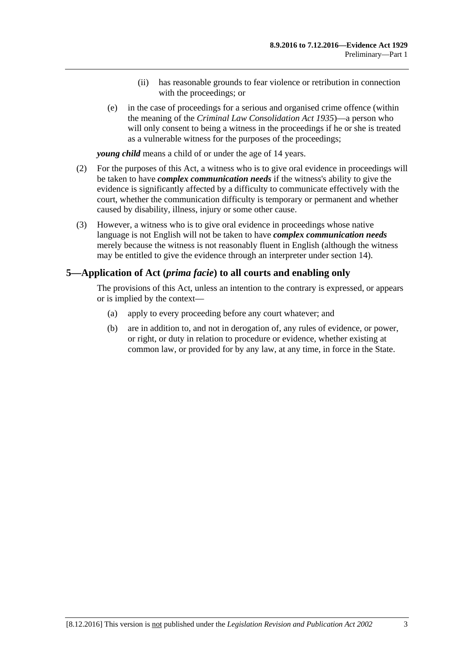- (ii) has reasonable grounds to fear violence or retribution in connection with the proceedings; or
- (e) in the case of proceedings for a serious and organised crime offence (within the meaning of the *[Criminal Law Consolidation Act](http://www.legislation.sa.gov.au/index.aspx?action=legref&type=act&legtitle=Criminal%20Law%20Consolidation%20Act%201935) 1935*)—a person who will only consent to being a witness in the proceedings if he or she is treated as a vulnerable witness for the purposes of the proceedings;

*young child* means a child of or under the age of 14 years.

- (2) For the purposes of this Act, a witness who is to give oral evidence in proceedings will be taken to have *complex communication needs* if the witness's ability to give the evidence is significantly affected by a difficulty to communicate effectively with the court, whether the communication difficulty is temporary or permanent and whether caused by disability, illness, injury or some other cause.
- (3) However, a witness who is to give oral evidence in proceedings whose native language is not English will not be taken to have *complex communication needs* merely because the witness is not reasonably fluent in English (although the witness may be entitled to give the evidence through an interpreter under [section](#page-23-0) 14).

## <span id="page-8-0"></span>**5—Application of Act (***prima facie***) to all courts and enabling only**

The provisions of this Act, unless an intention to the contrary is expressed, or appears or is implied by the context—

- (a) apply to every proceeding before any court whatever; and
- (b) are in addition to, and not in derogation of, any rules of evidence, or power, or right, or duty in relation to procedure or evidence, whether existing at common law, or provided for by any law, at any time, in force in the State.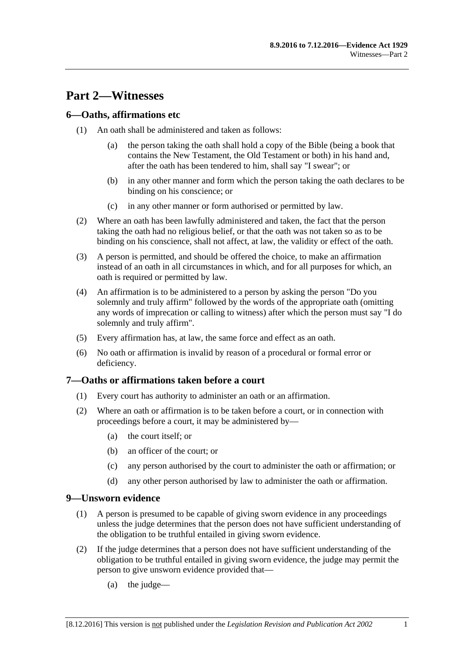## <span id="page-10-0"></span>**Part 2—Witnesses**

## <span id="page-10-1"></span>**6—Oaths, affirmations etc**

- (1) An oath shall be administered and taken as follows:
	- (a) the person taking the oath shall hold a copy of the Bible (being a book that contains the New Testament, the Old Testament or both) in his hand and, after the oath has been tendered to him, shall say "I swear"; or
	- (b) in any other manner and form which the person taking the oath declares to be binding on his conscience; or
	- (c) in any other manner or form authorised or permitted by law.
- (2) Where an oath has been lawfully administered and taken, the fact that the person taking the oath had no religious belief, or that the oath was not taken so as to be binding on his conscience, shall not affect, at law, the validity or effect of the oath.
- (3) A person is permitted, and should be offered the choice, to make an affirmation instead of an oath in all circumstances in which, and for all purposes for which, an oath is required or permitted by law.
- (4) An affirmation is to be administered to a person by asking the person "Do you solemnly and truly affirm" followed by the words of the appropriate oath (omitting any words of imprecation or calling to witness) after which the person must say "I do solemnly and truly affirm".
- (5) Every affirmation has, at law, the same force and effect as an oath.
- (6) No oath or affirmation is invalid by reason of a procedural or formal error or deficiency.

## <span id="page-10-2"></span>**7—Oaths or affirmations taken before a court**

- (1) Every court has authority to administer an oath or an affirmation.
- (2) Where an oath or affirmation is to be taken before a court, or in connection with proceedings before a court, it may be administered by—
	- (a) the court itself; or
	- (b) an officer of the court; or
	- (c) any person authorised by the court to administer the oath or affirmation; or
	- (d) any other person authorised by law to administer the oath or affirmation.

## <span id="page-10-3"></span>**9—Unsworn evidence**

- (1) A person is presumed to be capable of giving sworn evidence in any proceedings unless the judge determines that the person does not have sufficient understanding of the obligation to be truthful entailed in giving sworn evidence.
- (2) If the judge determines that a person does not have sufficient understanding of the obligation to be truthful entailed in giving sworn evidence, the judge may permit the person to give unsworn evidence provided that—
	- (a) the judge—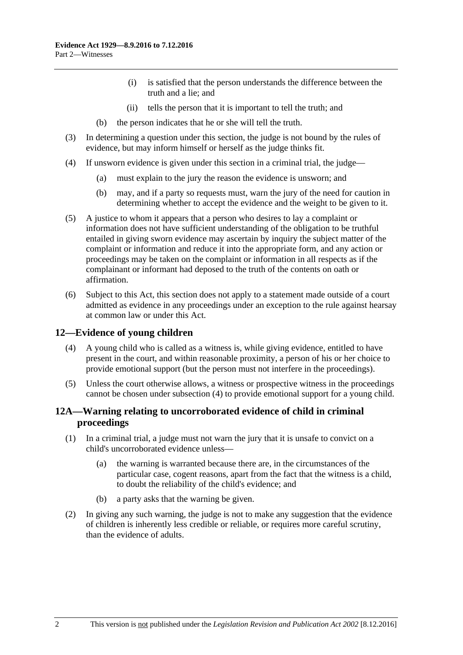- (i) is satisfied that the person understands the difference between the truth and a lie; and
- (ii) tells the person that it is important to tell the truth; and
- (b) the person indicates that he or she will tell the truth.
- (3) In determining a question under this section, the judge is not bound by the rules of evidence, but may inform himself or herself as the judge thinks fit.
- (4) If unsworn evidence is given under this section in a criminal trial, the judge—
	- (a) must explain to the jury the reason the evidence is unsworn; and
	- (b) may, and if a party so requests must, warn the jury of the need for caution in determining whether to accept the evidence and the weight to be given to it.
- (5) A justice to whom it appears that a person who desires to lay a complaint or information does not have sufficient understanding of the obligation to be truthful entailed in giving sworn evidence may ascertain by inquiry the subject matter of the complaint or information and reduce it into the appropriate form, and any action or proceedings may be taken on the complaint or information in all respects as if the complainant or informant had deposed to the truth of the contents on oath or affirmation.
- (6) Subject to this Act, this section does not apply to a statement made outside of a court admitted as evidence in any proceedings under an exception to the rule against hearsay at common law or under this Act.

## <span id="page-11-2"></span><span id="page-11-0"></span>**12—Evidence of young children**

- (4) A young child who is called as a witness is, while giving evidence, entitled to have present in the court, and within reasonable proximity, a person of his or her choice to provide emotional support (but the person must not interfere in the proceedings).
- (5) Unless the court otherwise allows, a witness or prospective witness in the proceedings cannot be chosen under [subsection](#page-11-2) (4) to provide emotional support for a young child.

## <span id="page-11-1"></span>**12A—Warning relating to uncorroborated evidence of child in criminal proceedings**

- (1) In a criminal trial, a judge must not warn the jury that it is unsafe to convict on a child's uncorroborated evidence unless—
	- (a) the warning is warranted because there are, in the circumstances of the particular case, cogent reasons, apart from the fact that the witness is a child, to doubt the reliability of the child's evidence; and
	- (b) a party asks that the warning be given.
- (2) In giving any such warning, the judge is not to make any suggestion that the evidence of children is inherently less credible or reliable, or requires more careful scrutiny, than the evidence of adults.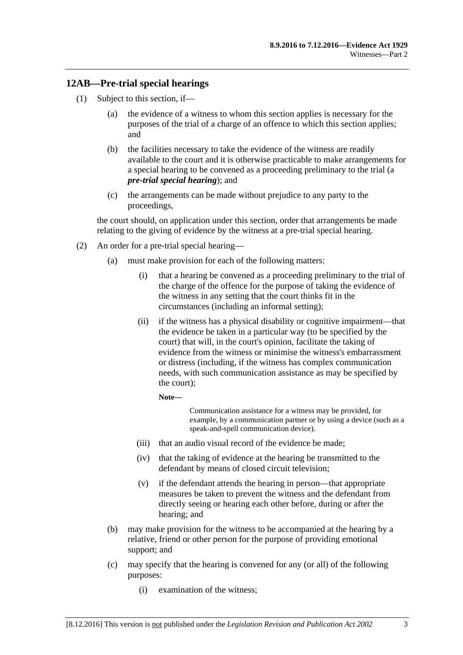## <span id="page-12-0"></span>**12AB—Pre-trial special hearings**

- <span id="page-12-1"></span>(1) Subject to this section, if—
	- (a) the evidence of a witness to whom this section applies is necessary for the purposes of the trial of a charge of an offence to which this section applies; and
	- (b) the facilities necessary to take the evidence of the witness are readily available to the court and it is otherwise practicable to make arrangements for a special hearing to be convened as a proceeding preliminary to the trial (a *pre-trial special hearing*); and
	- (c) the arrangements can be made without prejudice to any party to the proceedings,

<span id="page-12-2"></span>the court should, on application under this section, order that arrangements be made relating to the giving of evidence by the witness at a pre-trial special hearing.

- <span id="page-12-3"></span>(2) An order for a pre-trial special hearing—
	- (a) must make provision for each of the following matters:
		- (i) that a hearing be convened as a proceeding preliminary to the trial of the charge of the offence for the purpose of taking the evidence of the witness in any setting that the court thinks fit in the circumstances (including an informal setting);
		- (ii) if the witness has a physical disability or cognitive impairment—that the evidence be taken in a particular way (to be specified by the court) that will, in the court's opinion, facilitate the taking of evidence from the witness or minimise the witness's embarrassment or distress (including, if the witness has complex communication needs, with such communication assistance as may be specified by the court);

**Note—**

Communication assistance for a witness may be provided, for example, by a communication partner or by using a device (such as a speak-and-spell communication device).

- (iii) that an audio visual record of the evidence be made;
- (iv) that the taking of evidence at the hearing be transmitted to the defendant by means of closed circuit television;
- (v) if the defendant attends the hearing in person—that appropriate measures be taken to prevent the witness and the defendant from directly seeing or hearing each other before, during or after the hearing; and
- (b) may make provision for the witness to be accompanied at the hearing by a relative, friend or other person for the purpose of providing emotional support; and
- (c) may specify that the hearing is convened for any (or all) of the following purposes:
	- (i) examination of the witness;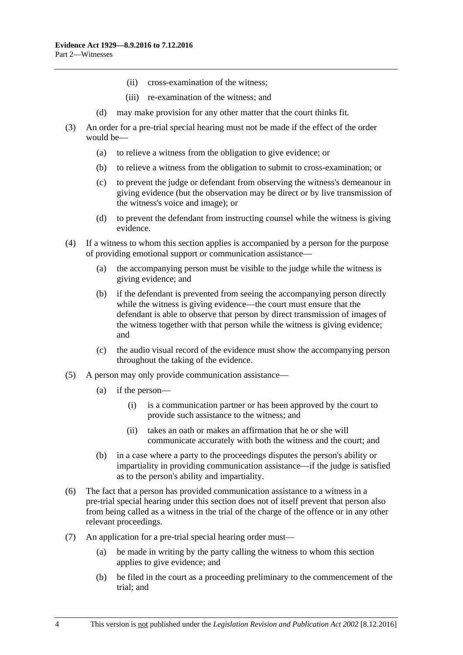- (ii) cross-examination of the witness;
- (iii) re-examination of the witness; and
- (d) may make provision for any other matter that the court thinks fit.
- (3) An order for a pre-trial special hearing must not be made if the effect of the order would be—
	- (a) to relieve a witness from the obligation to give evidence; or
	- (b) to relieve a witness from the obligation to submit to cross-examination; or
	- (c) to prevent the judge or defendant from observing the witness's demeanour in giving evidence (but the observation may be direct or by live transmission of the witness's voice and image); or
	- (d) to prevent the defendant from instructing counsel while the witness is giving evidence.
- (4) If a witness to whom this section applies is accompanied by a person for the purpose of providing emotional support or communication assistance—
	- (a) the accompanying person must be visible to the judge while the witness is giving evidence; and
	- (b) if the defendant is prevented from seeing the accompanying person directly while the witness is giving evidence—the court must ensure that the defendant is able to observe that person by direct transmission of images of the witness together with that person while the witness is giving evidence; and
	- (c) the audio visual record of the evidence must show the accompanying person throughout the taking of the evidence.
- (5) A person may only provide communication assistance—
	- (a) if the person—
		- (i) is a communication partner or has been approved by the court to provide such assistance to the witness; and
		- (ii) takes an oath or makes an affirmation that he or she will communicate accurately with both the witness and the court; and
	- (b) in a case where a party to the proceedings disputes the person's ability or impartiality in providing communication assistance—if the judge is satisfied as to the person's ability and impartiality.
- (6) The fact that a person has provided communication assistance to a witness in a pre-trial special hearing under this section does not of itself prevent that person also from being called as a witness in the trial of the charge of the offence or in any other relevant proceedings.
- (7) An application for a pre-trial special hearing order must—
	- (a) be made in writing by the party calling the witness to whom this section applies to give evidence; and
	- (b) be filed in the court as a proceeding preliminary to the commencement of the trial; and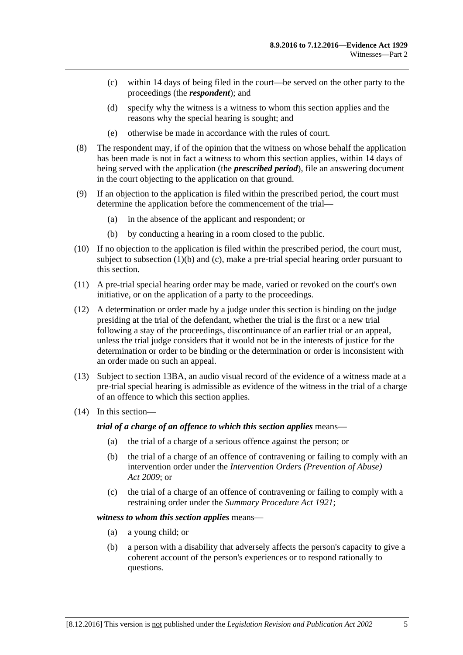- (c) within 14 days of being filed in the court—be served on the other party to the proceedings (the *respondent*); and
- (d) specify why the witness is a witness to whom this section applies and the reasons why the special hearing is sought; and
- (e) otherwise be made in accordance with the rules of court.
- (8) The respondent may, if of the opinion that the witness on whose behalf the application has been made is not in fact a witness to whom this section applies, within 14 days of being served with the application (the *prescribed period*), file an answering document in the court objecting to the application on that ground.
- (9) If an objection to the application is filed within the prescribed period, the court must determine the application before the commencement of the trial—
	- (a) in the absence of the applicant and respondent; or
	- (b) by conducting a hearing in a room closed to the public.
- (10) If no objection to the application is filed within the prescribed period, the court must, subject to [subsection](#page-12-1) (1)(b) and [\(c\),](#page-12-2) make a pre-trial special hearing order pursuant to this section.
- (11) A pre-trial special hearing order may be made, varied or revoked on the court's own initiative, or on the application of a party to the proceedings.
- (12) A determination or order made by a judge under this section is binding on the judge presiding at the trial of the defendant, whether the trial is the first or a new trial following a stay of the proceedings, discontinuance of an earlier trial or an appeal, unless the trial judge considers that it would not be in the interests of justice for the determination or order to be binding or the determination or order is inconsistent with an order made on such an appeal.
- (13) Subject to [section](#page-20-0) 13BA, an audio visual record of the evidence of a witness made at a pre-trial special hearing is admissible as evidence of the witness in the trial of a charge of an offence to which this section applies.
- (14) In this section—

*trial of a charge of an offence to which this section applies* means—

- (a) the trial of a charge of a serious offence against the person; or
- (b) the trial of a charge of an offence of contravening or failing to comply with an intervention order under the *[Intervention Orders \(Prevention of Abuse\)](http://www.legislation.sa.gov.au/index.aspx?action=legref&type=act&legtitle=Intervention%20Orders%20(Prevention%20of%20Abuse)%20Act%202009)  Act [2009](http://www.legislation.sa.gov.au/index.aspx?action=legref&type=act&legtitle=Intervention%20Orders%20(Prevention%20of%20Abuse)%20Act%202009)*; or
- (c) the trial of a charge of an offence of contravening or failing to comply with a restraining order under the *[Summary Procedure Act](http://www.legislation.sa.gov.au/index.aspx?action=legref&type=act&legtitle=Summary%20Procedure%20Act%201921) 1921*;

#### *witness to whom this section applies* means—

- (a) a young child; or
- (b) a person with a disability that adversely affects the person's capacity to give a coherent account of the person's experiences or to respond rationally to questions.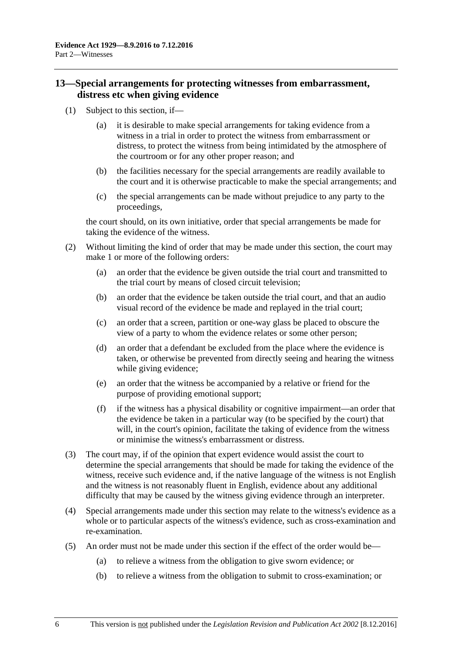## <span id="page-15-0"></span>**13—Special arrangements for protecting witnesses from embarrassment, distress etc when giving evidence**

- (1) Subject to this section, if—
	- (a) it is desirable to make special arrangements for taking evidence from a witness in a trial in order to protect the witness from embarrassment or distress, to protect the witness from being intimidated by the atmosphere of the courtroom or for any other proper reason; and
	- (b) the facilities necessary for the special arrangements are readily available to the court and it is otherwise practicable to make the special arrangements; and
	- (c) the special arrangements can be made without prejudice to any party to the proceedings,

the court should, on its own initiative, order that special arrangements be made for taking the evidence of the witness.

- (2) Without limiting the kind of order that may be made under this section, the court may make 1 or more of the following orders:
	- (a) an order that the evidence be given outside the trial court and transmitted to the trial court by means of closed circuit television;
	- (b) an order that the evidence be taken outside the trial court, and that an audio visual record of the evidence be made and replayed in the trial court;
	- (c) an order that a screen, partition or one-way glass be placed to obscure the view of a party to whom the evidence relates or some other person;
	- (d) an order that a defendant be excluded from the place where the evidence is taken, or otherwise be prevented from directly seeing and hearing the witness while giving evidence;
	- (e) an order that the witness be accompanied by a relative or friend for the purpose of providing emotional support;
	- (f) if the witness has a physical disability or cognitive impairment—an order that the evidence be taken in a particular way (to be specified by the court) that will, in the court's opinion, facilitate the taking of evidence from the witness or minimise the witness's embarrassment or distress.
- (3) The court may, if of the opinion that expert evidence would assist the court to determine the special arrangements that should be made for taking the evidence of the witness, receive such evidence and, if the native language of the witness is not English and the witness is not reasonably fluent in English, evidence about any additional difficulty that may be caused by the witness giving evidence through an interpreter.
- (4) Special arrangements made under this section may relate to the witness's evidence as a whole or to particular aspects of the witness's evidence, such as cross-examination and re-examination.
- (5) An order must not be made under this section if the effect of the order would be—
	- (a) to relieve a witness from the obligation to give sworn evidence; or
	- (b) to relieve a witness from the obligation to submit to cross-examination; or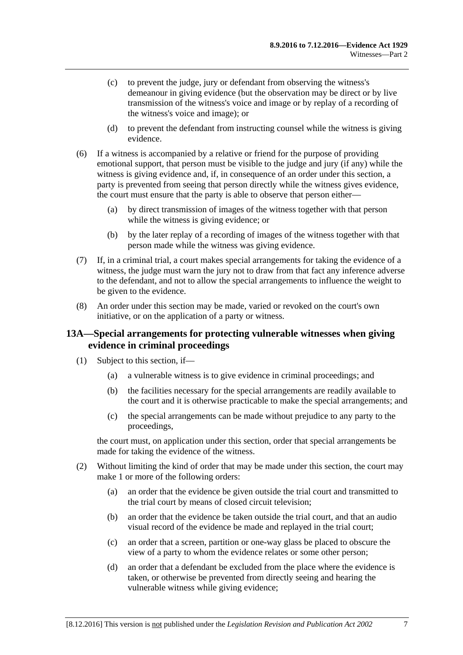- (c) to prevent the judge, jury or defendant from observing the witness's demeanour in giving evidence (but the observation may be direct or by live transmission of the witness's voice and image or by replay of a recording of the witness's voice and image); or
- (d) to prevent the defendant from instructing counsel while the witness is giving evidence.
- (6) If a witness is accompanied by a relative or friend for the purpose of providing emotional support, that person must be visible to the judge and jury (if any) while the witness is giving evidence and, if, in consequence of an order under this section, a party is prevented from seeing that person directly while the witness gives evidence, the court must ensure that the party is able to observe that person either—
	- (a) by direct transmission of images of the witness together with that person while the witness is giving evidence; or
	- (b) by the later replay of a recording of images of the witness together with that person made while the witness was giving evidence.
- (7) If, in a criminal trial, a court makes special arrangements for taking the evidence of a witness, the judge must warn the jury not to draw from that fact any inference adverse to the defendant, and not to allow the special arrangements to influence the weight to be given to the evidence.
- (8) An order under this section may be made, varied or revoked on the court's own initiative, or on the application of a party or witness.

## <span id="page-16-0"></span>**13A—Special arrangements for protecting vulnerable witnesses when giving evidence in criminal proceedings**

- (1) Subject to this section, if—
	- (a) a vulnerable witness is to give evidence in criminal proceedings; and
	- (b) the facilities necessary for the special arrangements are readily available to the court and it is otherwise practicable to make the special arrangements; and
	- (c) the special arrangements can be made without prejudice to any party to the proceedings,

the court must, on application under this section, order that special arrangements be made for taking the evidence of the witness.

- <span id="page-16-1"></span>(2) Without limiting the kind of order that may be made under this section, the court may make 1 or more of the following orders:
	- (a) an order that the evidence be given outside the trial court and transmitted to the trial court by means of closed circuit television;
	- (b) an order that the evidence be taken outside the trial court, and that an audio visual record of the evidence be made and replayed in the trial court;
	- (c) an order that a screen, partition or one-way glass be placed to obscure the view of a party to whom the evidence relates or some other person;
	- (d) an order that a defendant be excluded from the place where the evidence is taken, or otherwise be prevented from directly seeing and hearing the vulnerable witness while giving evidence;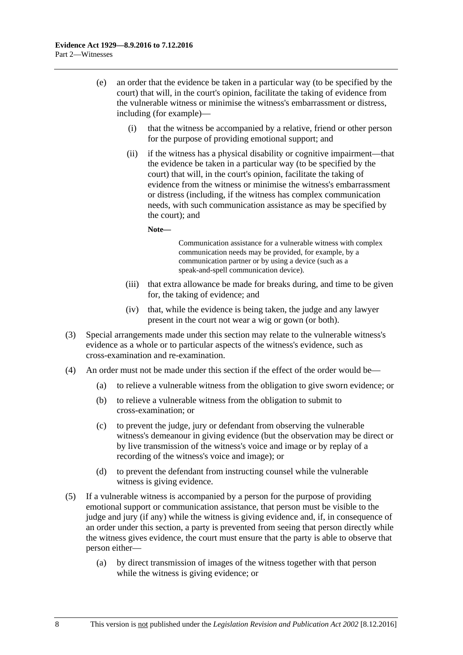- (e) an order that the evidence be taken in a particular way (to be specified by the court) that will, in the court's opinion, facilitate the taking of evidence from the vulnerable witness or minimise the witness's embarrassment or distress, including (for example)—
	- (i) that the witness be accompanied by a relative, friend or other person for the purpose of providing emotional support; and
	- (ii) if the witness has a physical disability or cognitive impairment—that the evidence be taken in a particular way (to be specified by the court) that will, in the court's opinion, facilitate the taking of evidence from the witness or minimise the witness's embarrassment or distress (including, if the witness has complex communication needs, with such communication assistance as may be specified by the court); and

**Note—**

Communication assistance for a vulnerable witness with complex communication needs may be provided, for example, by a communication partner or by using a device (such as a speak-and-spell communication device).

- (iii) that extra allowance be made for breaks during, and time to be given for, the taking of evidence; and
- (iv) that, while the evidence is being taken, the judge and any lawyer present in the court not wear a wig or gown (or both).
- (3) Special arrangements made under this section may relate to the vulnerable witness's evidence as a whole or to particular aspects of the witness's evidence, such as cross-examination and re-examination.
- (4) An order must not be made under this section if the effect of the order would be—
	- (a) to relieve a vulnerable witness from the obligation to give sworn evidence; or
	- (b) to relieve a vulnerable witness from the obligation to submit to cross-examination; or
	- (c) to prevent the judge, jury or defendant from observing the vulnerable witness's demeanour in giving evidence (but the observation may be direct or by live transmission of the witness's voice and image or by replay of a recording of the witness's voice and image); or
	- (d) to prevent the defendant from instructing counsel while the vulnerable witness is giving evidence.
- (5) If a vulnerable witness is accompanied by a person for the purpose of providing emotional support or communication assistance, that person must be visible to the judge and jury (if any) while the witness is giving evidence and, if, in consequence of an order under this section, a party is prevented from seeing that person directly while the witness gives evidence, the court must ensure that the party is able to observe that person either—
	- (a) by direct transmission of images of the witness together with that person while the witness is giving evidence; or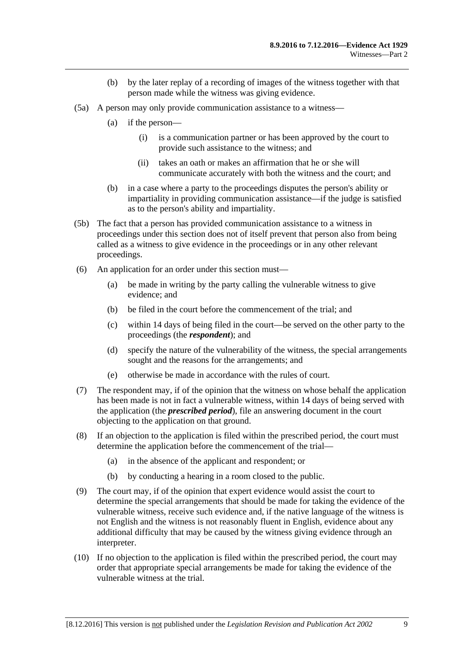- (b) by the later replay of a recording of images of the witness together with that person made while the witness was giving evidence.
- (5a) A person may only provide communication assistance to a witness—
	- (a) if the person—
		- (i) is a communication partner or has been approved by the court to provide such assistance to the witness; and
		- (ii) takes an oath or makes an affirmation that he or she will communicate accurately with both the witness and the court; and
	- (b) in a case where a party to the proceedings disputes the person's ability or impartiality in providing communication assistance—if the judge is satisfied as to the person's ability and impartiality.
- (5b) The fact that a person has provided communication assistance to a witness in proceedings under this section does not of itself prevent that person also from being called as a witness to give evidence in the proceedings or in any other relevant proceedings.
- (6) An application for an order under this section must—
	- (a) be made in writing by the party calling the vulnerable witness to give evidence; and
	- (b) be filed in the court before the commencement of the trial; and
	- (c) within 14 days of being filed in the court—be served on the other party to the proceedings (the *respondent*); and
	- (d) specify the nature of the vulnerability of the witness, the special arrangements sought and the reasons for the arrangements; and
	- (e) otherwise be made in accordance with the rules of court.
- (7) The respondent may, if of the opinion that the witness on whose behalf the application has been made is not in fact a vulnerable witness, within 14 days of being served with the application (the *prescribed period*), file an answering document in the court objecting to the application on that ground.
- (8) If an objection to the application is filed within the prescribed period, the court must determine the application before the commencement of the trial—
	- (a) in the absence of the applicant and respondent; or
	- (b) by conducting a hearing in a room closed to the public.
- (9) The court may, if of the opinion that expert evidence would assist the court to determine the special arrangements that should be made for taking the evidence of the vulnerable witness, receive such evidence and, if the native language of the witness is not English and the witness is not reasonably fluent in English, evidence about any additional difficulty that may be caused by the witness giving evidence through an interpreter.
- (10) If no objection to the application is filed within the prescribed period, the court may order that appropriate special arrangements be made for taking the evidence of the vulnerable witness at the trial.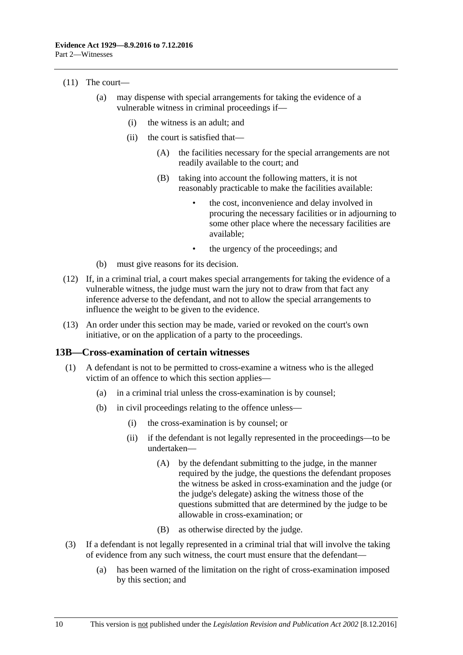#### (11) The court—

- (a) may dispense with special arrangements for taking the evidence of a vulnerable witness in criminal proceedings if—
	- (i) the witness is an adult; and
	- (ii) the court is satisfied that—
		- (A) the facilities necessary for the special arrangements are not readily available to the court; and
		- (B) taking into account the following matters, it is not reasonably practicable to make the facilities available:
			- the cost, inconvenience and delay involved in procuring the necessary facilities or in adjourning to some other place where the necessary facilities are available;
			- the urgency of the proceedings; and
- (b) must give reasons for its decision.
- (12) If, in a criminal trial, a court makes special arrangements for taking the evidence of a vulnerable witness, the judge must warn the jury not to draw from that fact any inference adverse to the defendant, and not to allow the special arrangements to influence the weight to be given to the evidence.
- (13) An order under this section may be made, varied or revoked on the court's own initiative, or on the application of a party to the proceedings.

#### <span id="page-19-0"></span>**13B—Cross-examination of certain witnesses**

- (1) A defendant is not to be permitted to cross-examine a witness who is the alleged victim of an offence to which this section applies—
	- (a) in a criminal trial unless the cross-examination is by counsel;
	- (b) in civil proceedings relating to the offence unless—
		- (i) the cross-examination is by counsel; or
		- (ii) if the defendant is not legally represented in the proceedings—to be undertaken—
			- (A) by the defendant submitting to the judge, in the manner required by the judge, the questions the defendant proposes the witness be asked in cross-examination and the judge (or the judge's delegate) asking the witness those of the questions submitted that are determined by the judge to be allowable in cross-examination; or
			- (B) as otherwise directed by the judge.
- (3) If a defendant is not legally represented in a criminal trial that will involve the taking of evidence from any such witness, the court must ensure that the defendant—
	- (a) has been warned of the limitation on the right of cross-examination imposed by this section; and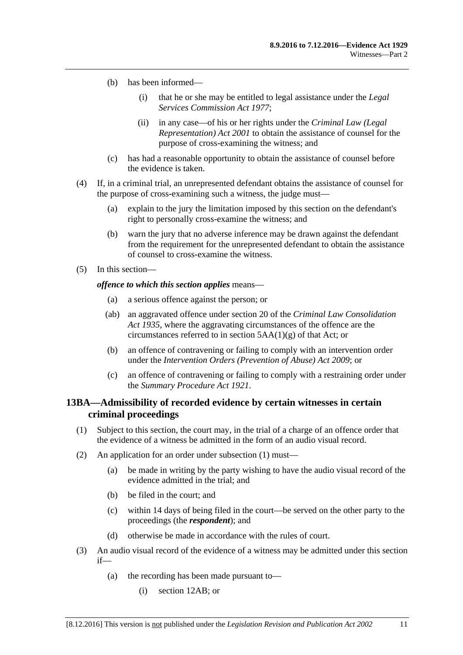- (b) has been informed—
	- (i) that he or she may be entitled to legal assistance under the *[Legal](http://www.legislation.sa.gov.au/index.aspx?action=legref&type=act&legtitle=Legal%20Services%20Commission%20Act%201977)  [Services Commission Act](http://www.legislation.sa.gov.au/index.aspx?action=legref&type=act&legtitle=Legal%20Services%20Commission%20Act%201977) 1977*;
	- (ii) in any case—of his or her rights under the *[Criminal Law \(Legal](http://www.legislation.sa.gov.au/index.aspx?action=legref&type=act&legtitle=Criminal%20Law%20(Legal%20Representation)%20Act%202001)  [Representation\) Act](http://www.legislation.sa.gov.au/index.aspx?action=legref&type=act&legtitle=Criminal%20Law%20(Legal%20Representation)%20Act%202001) 2001* to obtain the assistance of counsel for the purpose of cross-examining the witness; and
- (c) has had a reasonable opportunity to obtain the assistance of counsel before the evidence is taken.
- (4) If, in a criminal trial, an unrepresented defendant obtains the assistance of counsel for the purpose of cross-examining such a witness, the judge must—
	- (a) explain to the jury the limitation imposed by this section on the defendant's right to personally cross-examine the witness; and
	- (b) warn the jury that no adverse inference may be drawn against the defendant from the requirement for the unrepresented defendant to obtain the assistance of counsel to cross-examine the witness.
- (5) In this section—

#### *offence to which this section applies* means—

- (a) a serious offence against the person; or
- (ab) an aggravated offence under section 20 of the *[Criminal Law Consolidation](http://www.legislation.sa.gov.au/index.aspx?action=legref&type=act&legtitle=Criminal%20Law%20Consolidation%20Act%201935)  Act [1935](http://www.legislation.sa.gov.au/index.aspx?action=legref&type=act&legtitle=Criminal%20Law%20Consolidation%20Act%201935)*, where the aggravating circumstances of the offence are the circumstances referred to in section  $5AA(1)(g)$  of that Act; or
- (b) an offence of contravening or failing to comply with an intervention order under the *[Intervention Orders \(Prevention of Abuse\) Act](http://www.legislation.sa.gov.au/index.aspx?action=legref&type=act&legtitle=Intervention%20Orders%20(Prevention%20of%20Abuse)%20Act%202009) 2009*; or
- (c) an offence of contravening or failing to comply with a restraining order under the *[Summary Procedure Act](http://www.legislation.sa.gov.au/index.aspx?action=legref&type=act&legtitle=Summary%20Procedure%20Act%201921) 1921*.

## <span id="page-20-0"></span>**13BA—Admissibility of recorded evidence by certain witnesses in certain criminal proceedings**

- <span id="page-20-1"></span>(1) Subject to this section, the court may, in the trial of a charge of an offence order that the evidence of a witness be admitted in the form of an audio visual record.
- (2) An application for an order under [subsection](#page-20-1) (1) must—
	- (a) be made in writing by the party wishing to have the audio visual record of the evidence admitted in the trial; and
	- (b) be filed in the court; and
	- (c) within 14 days of being filed in the court—be served on the other party to the proceedings (the *respondent*); and
	- (d) otherwise be made in accordance with the rules of court.
- <span id="page-20-2"></span>(3) An audio visual record of the evidence of a witness may be admitted under this section if—
	- (a) the recording has been made pursuant to—
		- (i) [section](#page-12-0) 12AB; or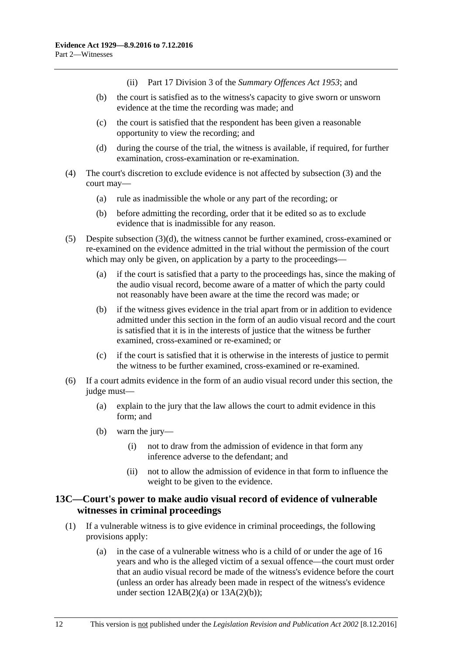(ii) Part 17 Division 3 of the *[Summary Offences Act](http://www.legislation.sa.gov.au/index.aspx?action=legref&type=act&legtitle=Summary%20Offences%20Act%201953) 1953*; and

- (b) the court is satisfied as to the witness's capacity to give sworn or unsworn evidence at the time the recording was made; and
- (c) the court is satisfied that the respondent has been given a reasonable opportunity to view the recording; and
- (d) during the course of the trial, the witness is available, if required, for further examination, cross-examination or re-examination.
- <span id="page-21-1"></span>(4) The court's discretion to exclude evidence is not affected by [subsection](#page-20-2) (3) and the court may—
	- (a) rule as inadmissible the whole or any part of the recording; or
	- (b) before admitting the recording, order that it be edited so as to exclude evidence that is inadmissible for any reason.
- (5) Despite [subsection](#page-21-1) (3)(d), the witness cannot be further examined, cross-examined or re-examined on the evidence admitted in the trial without the permission of the court which may only be given, on application by a party to the proceedings—
	- (a) if the court is satisfied that a party to the proceedings has, since the making of the audio visual record, become aware of a matter of which the party could not reasonably have been aware at the time the record was made; or
	- (b) if the witness gives evidence in the trial apart from or in addition to evidence admitted under this section in the form of an audio visual record and the court is satisfied that it is in the interests of justice that the witness be further examined, cross-examined or re-examined; or
	- (c) if the court is satisfied that it is otherwise in the interests of justice to permit the witness to be further examined, cross-examined or re-examined.
- (6) If a court admits evidence in the form of an audio visual record under this section, the judge must-
	- (a) explain to the jury that the law allows the court to admit evidence in this form; and
	- (b) warn the jury—
		- (i) not to draw from the admission of evidence in that form any inference adverse to the defendant; and
		- (ii) not to allow the admission of evidence in that form to influence the weight to be given to the evidence.

## <span id="page-21-0"></span>**13C—Court's power to make audio visual record of evidence of vulnerable witnesses in criminal proceedings**

- (1) If a vulnerable witness is to give evidence in criminal proceedings, the following provisions apply:
	- (a) in the case of a vulnerable witness who is a child of or under the age of 16 years and who is the alleged victim of a sexual offence—the court must order that an audio visual record be made of the witness's evidence before the court (unless an order has already been made in respect of the witness's evidence under section  $12AB(2)(a)$  or  $13A(2)(b)$ ;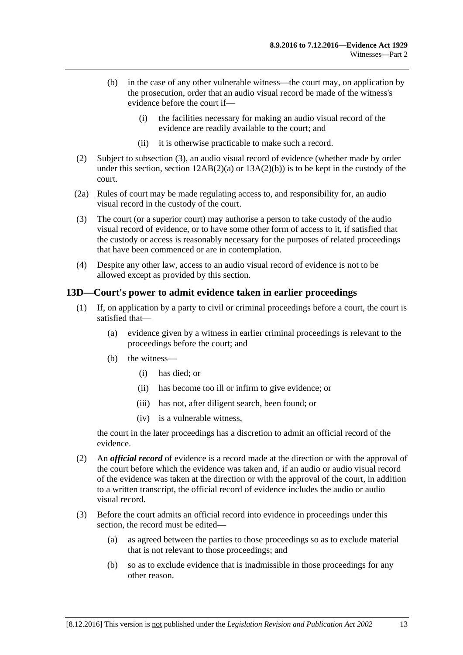- (b) in the case of any other vulnerable witness—the court may, on application by the prosecution, order that an audio visual record be made of the witness's evidence before the court if—
	- (i) the facilities necessary for making an audio visual record of the evidence are readily available to the court; and
	- (ii) it is otherwise practicable to make such a record.
- (2) Subject to [subsection](#page-22-1) (3), an audio visual record of evidence (whether made by order under this section, section  $12AB(2)(a)$  or  $13A(2)(b)$  is to be kept in the custody of the court.
- (2a) Rules of court may be made regulating access to, and responsibility for, an audio visual record in the custody of the court.
- <span id="page-22-1"></span>(3) The court (or a superior court) may authorise a person to take custody of the audio visual record of evidence, or to have some other form of access to it, if satisfied that the custody or access is reasonably necessary for the purposes of related proceedings that have been commenced or are in contemplation.
- (4) Despite any other law, access to an audio visual record of evidence is not to be allowed except as provided by this section.

## <span id="page-22-0"></span>**13D—Court's power to admit evidence taken in earlier proceedings**

- (1) If, on application by a party to civil or criminal proceedings before a court, the court is satisfied that—
	- (a) evidence given by a witness in earlier criminal proceedings is relevant to the proceedings before the court; and
	- (b) the witness—
		- (i) has died; or
		- (ii) has become too ill or infirm to give evidence; or
		- (iii) has not, after diligent search, been found; or
		- (iv) is a vulnerable witness,

the court in the later proceedings has a discretion to admit an official record of the evidence.

- (2) An *official record* of evidence is a record made at the direction or with the approval of the court before which the evidence was taken and, if an audio or audio visual record of the evidence was taken at the direction or with the approval of the court, in addition to a written transcript, the official record of evidence includes the audio or audio visual record.
- (3) Before the court admits an official record into evidence in proceedings under this section, the record must be edited—
	- (a) as agreed between the parties to those proceedings so as to exclude material that is not relevant to those proceedings; and
	- (b) so as to exclude evidence that is inadmissible in those proceedings for any other reason.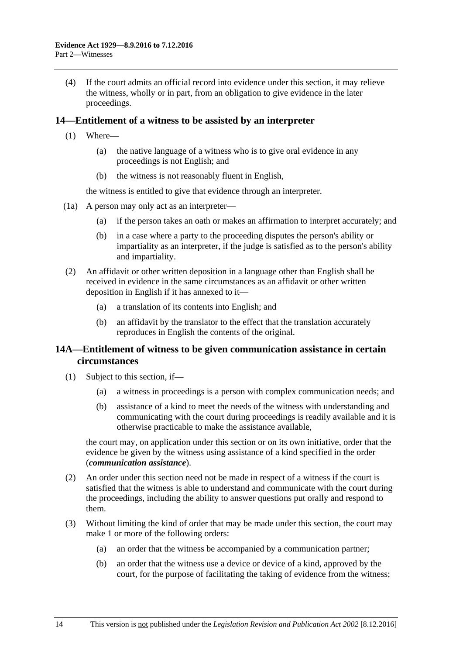(4) If the court admits an official record into evidence under this section, it may relieve the witness, wholly or in part, from an obligation to give evidence in the later proceedings.

## <span id="page-23-0"></span>**14—Entitlement of a witness to be assisted by an interpreter**

- (1) Where—
	- (a) the native language of a witness who is to give oral evidence in any proceedings is not English; and
	- (b) the witness is not reasonably fluent in English,

the witness is entitled to give that evidence through an interpreter.

- (1a) A person may only act as an interpreter—
	- (a) if the person takes an oath or makes an affirmation to interpret accurately; and
	- (b) in a case where a party to the proceeding disputes the person's ability or impartiality as an interpreter, if the judge is satisfied as to the person's ability and impartiality.
- (2) An affidavit or other written deposition in a language other than English shall be received in evidence in the same circumstances as an affidavit or other written deposition in English if it has annexed to it—
	- (a) a translation of its contents into English; and
	- (b) an affidavit by the translator to the effect that the translation accurately reproduces in English the contents of the original.

## <span id="page-23-1"></span>**14A—Entitlement of witness to be given communication assistance in certain circumstances**

- (1) Subject to this section, if—
	- (a) a witness in proceedings is a person with complex communication needs; and
	- (b) assistance of a kind to meet the needs of the witness with understanding and communicating with the court during proceedings is readily available and it is otherwise practicable to make the assistance available,

the court may, on application under this section or on its own initiative, order that the evidence be given by the witness using assistance of a kind specified in the order (*communication assistance*).

- (2) An order under this section need not be made in respect of a witness if the court is satisfied that the witness is able to understand and communicate with the court during the proceedings, including the ability to answer questions put orally and respond to them.
- (3) Without limiting the kind of order that may be made under this section, the court may make 1 or more of the following orders:
	- (a) an order that the witness be accompanied by a communication partner;
	- (b) an order that the witness use a device or device of a kind, approved by the court, for the purpose of facilitating the taking of evidence from the witness;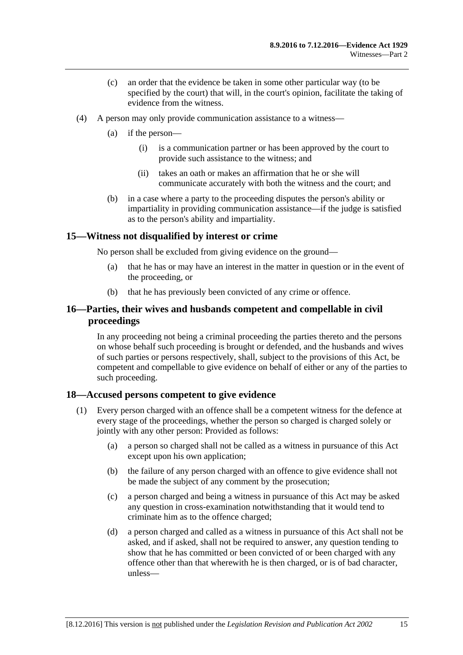- (c) an order that the evidence be taken in some other particular way (to be specified by the court) that will, in the court's opinion, facilitate the taking of evidence from the witness.
- (4) A person may only provide communication assistance to a witness—
	- (a) if the person—
		- (i) is a communication partner or has been approved by the court to provide such assistance to the witness; and
		- (ii) takes an oath or makes an affirmation that he or she will communicate accurately with both the witness and the court; and
	- (b) in a case where a party to the proceeding disputes the person's ability or impartiality in providing communication assistance—if the judge is satisfied as to the person's ability and impartiality.

## <span id="page-24-0"></span>**15—Witness not disqualified by interest or crime**

No person shall be excluded from giving evidence on the ground—

- (a) that he has or may have an interest in the matter in question or in the event of the proceeding, or
- (b) that he has previously been convicted of any crime or offence.

## <span id="page-24-1"></span>**16—Parties, their wives and husbands competent and compellable in civil proceedings**

In any proceeding not being a criminal proceeding the parties thereto and the persons on whose behalf such proceeding is brought or defended, and the husbands and wives of such parties or persons respectively, shall, subject to the provisions of this Act, be competent and compellable to give evidence on behalf of either or any of the parties to such proceeding.

#### <span id="page-24-2"></span>**18—Accused persons competent to give evidence**

- <span id="page-24-3"></span>(1) Every person charged with an offence shall be a competent witness for the defence at every stage of the proceedings, whether the person so charged is charged solely or jointly with any other person: Provided as follows:
	- (a) a person so charged shall not be called as a witness in pursuance of this Act except upon his own application;
	- (b) the failure of any person charged with an offence to give evidence shall not be made the subject of any comment by the prosecution;
	- (c) a person charged and being a witness in pursuance of this Act may be asked any question in cross-examination notwithstanding that it would tend to criminate him as to the offence charged;
	- (d) a person charged and called as a witness in pursuance of this Act shall not be asked, and if asked, shall not be required to answer, any question tending to show that he has committed or been convicted of or been charged with any offence other than that wherewith he is then charged, or is of bad character, unless—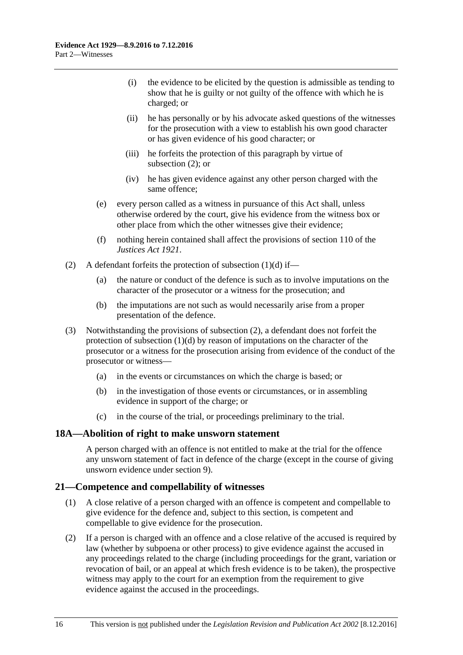- (i) the evidence to be elicited by the question is admissible as tending to show that he is guilty or not guilty of the offence with which he is charged; or
- (ii) he has personally or by his advocate asked questions of the witnesses for the prosecution with a view to establish his own good character or has given evidence of his good character; or
- (iii) he forfeits the protection of this paragraph by virtue of [subsection](#page-25-2) (2); or
- (iv) he has given evidence against any other person charged with the same offence;
- (e) every person called as a witness in pursuance of this Act shall, unless otherwise ordered by the court, give his evidence from the witness box or other place from which the other witnesses give their evidence;
- (f) nothing herein contained shall affect the provisions of section 110 of the *[Justices Act](http://www.legislation.sa.gov.au/index.aspx?action=legref&type=act&legtitle=Justices%20Act%201921) 1921*.
- <span id="page-25-2"></span>(2) A defendant forfeits the protection of [subsection](#page-24-3)  $(1)(d)$  if—
	- (a) the nature or conduct of the defence is such as to involve imputations on the character of the prosecutor or a witness for the prosecution; and
	- (b) the imputations are not such as would necessarily arise from a proper presentation of the defence.
- (3) Notwithstanding the provisions of [subsection](#page-25-2) (2), a defendant does not forfeit the protection of [subsection](#page-24-3) (1)(d) by reason of imputations on the character of the prosecutor or a witness for the prosecution arising from evidence of the conduct of the prosecutor or witness—
	- (a) in the events or circumstances on which the charge is based; or
	- (b) in the investigation of those events or circumstances, or in assembling evidence in support of the charge; or
	- (c) in the course of the trial, or proceedings preliminary to the trial.

#### <span id="page-25-0"></span>**18A—Abolition of right to make unsworn statement**

A person charged with an offence is not entitled to make at the trial for the offence any unsworn statement of fact in defence of the charge (except in the course of giving unsworn evidence under [section](#page-10-3) 9).

#### <span id="page-25-1"></span>**21—Competence and compellability of witnesses**

- (1) A close relative of a person charged with an offence is competent and compellable to give evidence for the defence and, subject to this section, is competent and compellable to give evidence for the prosecution.
- <span id="page-25-3"></span>(2) If a person is charged with an offence and a close relative of the accused is required by law (whether by subpoena or other process) to give evidence against the accused in any proceedings related to the charge (including proceedings for the grant, variation or revocation of bail, or an appeal at which fresh evidence is to be taken), the prospective witness may apply to the court for an exemption from the requirement to give evidence against the accused in the proceedings.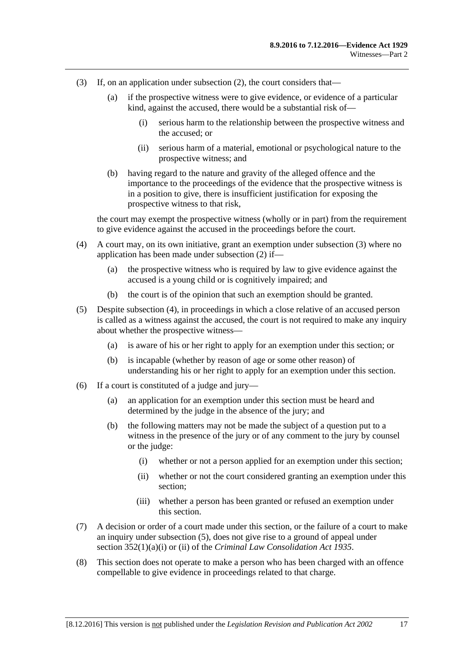- <span id="page-26-0"></span>(3) If, on an application under [subsection](#page-25-3) (2), the court considers that—
	- (a) if the prospective witness were to give evidence, or evidence of a particular kind, against the accused, there would be a substantial risk of—
		- (i) serious harm to the relationship between the prospective witness and the accused; or
		- (ii) serious harm of a material, emotional or psychological nature to the prospective witness; and
	- (b) having regard to the nature and gravity of the alleged offence and the importance to the proceedings of the evidence that the prospective witness is in a position to give, there is insufficient justification for exposing the prospective witness to that risk,

the court may exempt the prospective witness (wholly or in part) from the requirement to give evidence against the accused in the proceedings before the court.

- <span id="page-26-1"></span>(4) A court may, on its own initiative, grant an exemption under [subsection](#page-26-0) (3) where no application has been made under [subsection](#page-25-3) (2) if—
	- (a) the prospective witness who is required by law to give evidence against the accused is a young child or is cognitively impaired; and
	- (b) the court is of the opinion that such an exemption should be granted.
- <span id="page-26-2"></span>(5) Despite [subsection](#page-26-1) (4), in proceedings in which a close relative of an accused person is called as a witness against the accused, the court is not required to make any inquiry about whether the prospective witness—
	- (a) is aware of his or her right to apply for an exemption under this section; or
	- (b) is incapable (whether by reason of age or some other reason) of understanding his or her right to apply for an exemption under this section.
- (6) If a court is constituted of a judge and jury—
	- (a) an application for an exemption under this section must be heard and determined by the judge in the absence of the jury; and
	- (b) the following matters may not be made the subject of a question put to a witness in the presence of the jury or of any comment to the jury by counsel or the judge:
		- (i) whether or not a person applied for an exemption under this section;
		- (ii) whether or not the court considered granting an exemption under this section;
		- (iii) whether a person has been granted or refused an exemption under this section.
- (7) A decision or order of a court made under this section, or the failure of a court to make an inquiry under [subsection](#page-26-2) (5), does not give rise to a ground of appeal under section 352(1)(a)(i) or (ii) of the *[Criminal Law Consolidation Act](http://www.legislation.sa.gov.au/index.aspx?action=legref&type=act&legtitle=Criminal%20Law%20Consolidation%20Act%201935) 1935*.
- (8) This section does not operate to make a person who has been charged with an offence compellable to give evidence in proceedings related to that charge.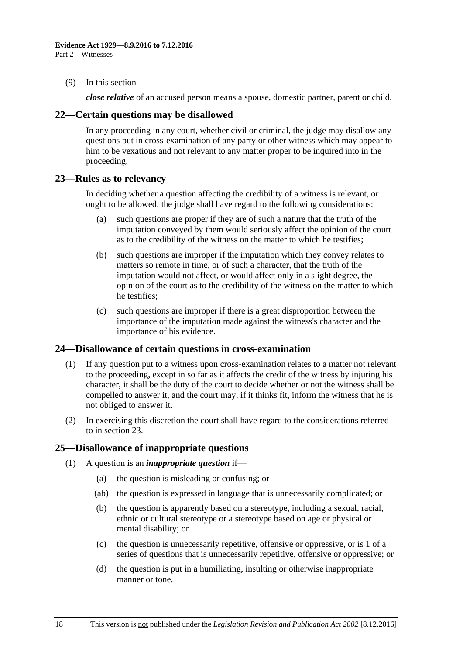(9) In this section—

*close relative* of an accused person means a spouse, domestic partner, parent or child.

## <span id="page-27-0"></span>**22—Certain questions may be disallowed**

In any proceeding in any court, whether civil or criminal, the judge may disallow any questions put in cross-examination of any party or other witness which may appear to him to be vexatious and not relevant to any matter proper to be inquired into in the proceeding.

## <span id="page-27-1"></span>**23—Rules as to relevancy**

In deciding whether a question affecting the credibility of a witness is relevant, or ought to be allowed, the judge shall have regard to the following considerations:

- (a) such questions are proper if they are of such a nature that the truth of the imputation conveyed by them would seriously affect the opinion of the court as to the credibility of the witness on the matter to which he testifies;
- (b) such questions are improper if the imputation which they convey relates to matters so remote in time, or of such a character, that the truth of the imputation would not affect, or would affect only in a slight degree, the opinion of the court as to the credibility of the witness on the matter to which he testifies;
- (c) such questions are improper if there is a great disproportion between the importance of the imputation made against the witness's character and the importance of his evidence.

#### <span id="page-27-2"></span>**24—Disallowance of certain questions in cross-examination**

- (1) If any question put to a witness upon cross-examination relates to a matter not relevant to the proceeding, except in so far as it affects the credit of the witness by injuring his character, it shall be the duty of the court to decide whether or not the witness shall be compelled to answer it, and the court may, if it thinks fit, inform the witness that he is not obliged to answer it.
- (2) In exercising this discretion the court shall have regard to the considerations referred to in [section](#page-27-1) 23.

## <span id="page-27-3"></span>**25—Disallowance of inappropriate questions**

- (1) A question is an *inappropriate question* if—
	- (a) the question is misleading or confusing; or
	- (ab) the question is expressed in language that is unnecessarily complicated; or
	- (b) the question is apparently based on a stereotype, including a sexual, racial, ethnic or cultural stereotype or a stereotype based on age or physical or mental disability; or
	- (c) the question is unnecessarily repetitive, offensive or oppressive, or is 1 of a series of questions that is unnecessarily repetitive, offensive or oppressive; or
	- (d) the question is put in a humiliating, insulting or otherwise inappropriate manner or tone.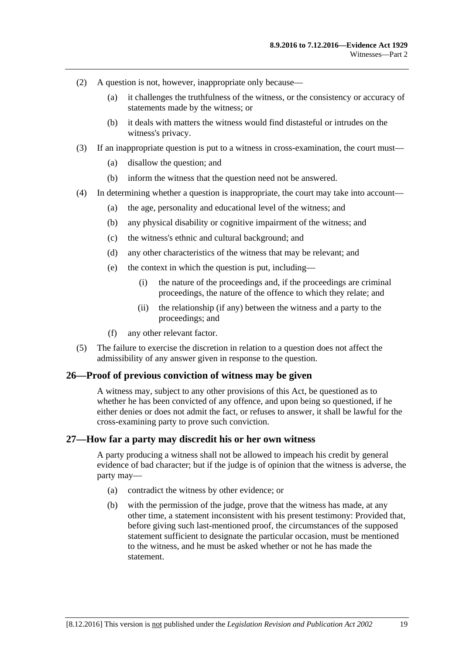- (2) A question is not, however, inappropriate only because—
	- (a) it challenges the truthfulness of the witness, or the consistency or accuracy of statements made by the witness; or
	- (b) it deals with matters the witness would find distasteful or intrudes on the witness's privacy.
- (3) If an inappropriate question is put to a witness in cross-examination, the court must—
	- (a) disallow the question; and
	- (b) inform the witness that the question need not be answered.
- (4) In determining whether a question is inappropriate, the court may take into account—
	- (a) the age, personality and educational level of the witness; and
	- (b) any physical disability or cognitive impairment of the witness; and
	- (c) the witness's ethnic and cultural background; and
	- (d) any other characteristics of the witness that may be relevant; and
	- (e) the context in which the question is put, including—
		- (i) the nature of the proceedings and, if the proceedings are criminal proceedings, the nature of the offence to which they relate; and
		- (ii) the relationship (if any) between the witness and a party to the proceedings; and
	- (f) any other relevant factor.
- (5) The failure to exercise the discretion in relation to a question does not affect the admissibility of any answer given in response to the question.

#### <span id="page-28-0"></span>**26—Proof of previous conviction of witness may be given**

A witness may, subject to any other provisions of this Act, be questioned as to whether he has been convicted of any offence, and upon being so questioned, if he either denies or does not admit the fact, or refuses to answer, it shall be lawful for the cross-examining party to prove such conviction.

#### <span id="page-28-1"></span>**27—How far a party may discredit his or her own witness**

A party producing a witness shall not be allowed to impeach his credit by general evidence of bad character; but if the judge is of opinion that the witness is adverse, the party may—

- (a) contradict the witness by other evidence; or
- (b) with the permission of the judge, prove that the witness has made, at any other time, a statement inconsistent with his present testimony: Provided that, before giving such last-mentioned proof, the circumstances of the supposed statement sufficient to designate the particular occasion, must be mentioned to the witness, and he must be asked whether or not he has made the statement.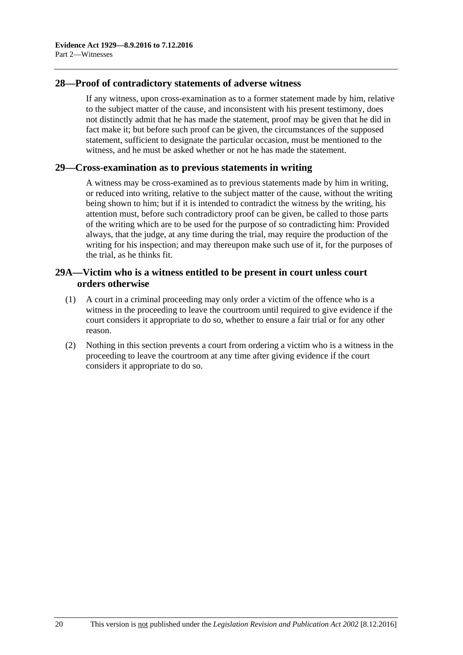## <span id="page-29-0"></span>**28—Proof of contradictory statements of adverse witness**

If any witness, upon cross-examination as to a former statement made by him, relative to the subject matter of the cause, and inconsistent with his present testimony, does not distinctly admit that he has made the statement, proof may be given that he did in fact make it; but before such proof can be given, the circumstances of the supposed statement, sufficient to designate the particular occasion, must be mentioned to the witness, and he must be asked whether or not he has made the statement.

#### <span id="page-29-1"></span>**29—Cross-examination as to previous statements in writing**

A witness may be cross-examined as to previous statements made by him in writing, or reduced into writing, relative to the subject matter of the cause, without the writing being shown to him; but if it is intended to contradict the witness by the writing, his attention must, before such contradictory proof can be given, be called to those parts of the writing which are to be used for the purpose of so contradicting him: Provided always, that the judge, at any time during the trial, may require the production of the writing for his inspection; and may thereupon make such use of it, for the purposes of the trial, as he thinks fit.

## <span id="page-29-2"></span>**29A—Victim who is a witness entitled to be present in court unless court orders otherwise**

- (1) A court in a criminal proceeding may only order a victim of the offence who is a witness in the proceeding to leave the courtroom until required to give evidence if the court considers it appropriate to do so, whether to ensure a fair trial or for any other reason.
- (2) Nothing in this section prevents a court from ordering a victim who is a witness in the proceeding to leave the courtroom at any time after giving evidence if the court considers it appropriate to do so.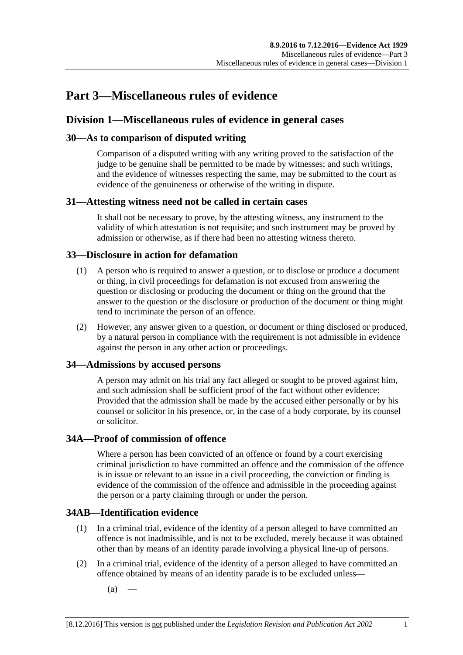## <span id="page-30-0"></span>**Part 3—Miscellaneous rules of evidence**

## <span id="page-30-1"></span>**Division 1—Miscellaneous rules of evidence in general cases**

## <span id="page-30-2"></span>**30—As to comparison of disputed writing**

Comparison of a disputed writing with any writing proved to the satisfaction of the judge to be genuine shall be permitted to be made by witnesses; and such writings, and the evidence of witnesses respecting the same, may be submitted to the court as evidence of the genuineness or otherwise of the writing in dispute.

## <span id="page-30-3"></span>**31—Attesting witness need not be called in certain cases**

It shall not be necessary to prove, by the attesting witness, any instrument to the validity of which attestation is not requisite; and such instrument may be proved by admission or otherwise, as if there had been no attesting witness thereto.

## <span id="page-30-4"></span>**33—Disclosure in action for defamation**

- (1) A person who is required to answer a question, or to disclose or produce a document or thing, in civil proceedings for defamation is not excused from answering the question or disclosing or producing the document or thing on the ground that the answer to the question or the disclosure or production of the document or thing might tend to incriminate the person of an offence.
- (2) However, any answer given to a question, or document or thing disclosed or produced, by a natural person in compliance with the requirement is not admissible in evidence against the person in any other action or proceedings.

## <span id="page-30-5"></span>**34—Admissions by accused persons**

A person may admit on his trial any fact alleged or sought to be proved against him, and such admission shall be sufficient proof of the fact without other evidence: Provided that the admission shall be made by the accused either personally or by his counsel or solicitor in his presence, or, in the case of a body corporate, by its counsel or solicitor.

## <span id="page-30-6"></span>**34A—Proof of commission of offence**

Where a person has been convicted of an offence or found by a court exercising criminal jurisdiction to have committed an offence and the commission of the offence is in issue or relevant to an issue in a civil proceeding, the conviction or finding is evidence of the commission of the offence and admissible in the proceeding against the person or a party claiming through or under the person.

## <span id="page-30-7"></span>**34AB—Identification evidence**

- (1) In a criminal trial, evidence of the identity of a person alleged to have committed an offence is not inadmissible, and is not to be excluded, merely because it was obtained other than by means of an identity parade involving a physical line-up of persons.
- <span id="page-30-8"></span>(2) In a criminal trial, evidence of the identity of a person alleged to have committed an offence obtained by means of an identity parade is to be excluded unless—
	- $(a)$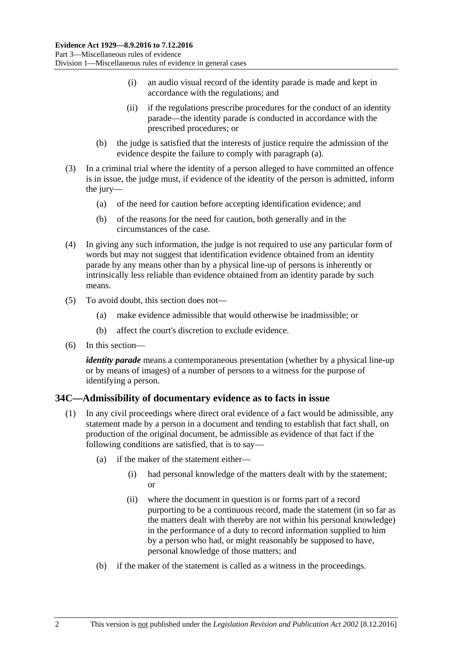- (i) an audio visual record of the identity parade is made and kept in accordance with the regulations; and
- (ii) if the regulations prescribe procedures for the conduct of an identity parade—the identity parade is conducted in accordance with the prescribed procedures; or
- (b) the judge is satisfied that the interests of justice require the admission of the evidence despite the failure to comply with [paragraph](#page-30-8) (a).
- (3) In a criminal trial where the identity of a person alleged to have committed an offence is in issue, the judge must, if evidence of the identity of the person is admitted, inform the jury—
	- (a) of the need for caution before accepting identification evidence; and
	- (b) of the reasons for the need for caution, both generally and in the circumstances of the case.
- (4) In giving any such information, the judge is not required to use any particular form of words but may not suggest that identification evidence obtained from an identity parade by any means other than by a physical line-up of persons is inherently or intrinsically less reliable than evidence obtained from an identity parade by such means.
- (5) To avoid doubt, this section does not—
	- (a) make evidence admissible that would otherwise be inadmissible; or
	- (b) affect the court's discretion to exclude evidence.
- (6) In this section—

*identity parade* means a contemporaneous presentation (whether by a physical line-up or by means of images) of a number of persons to a witness for the purpose of identifying a person.

## <span id="page-31-1"></span><span id="page-31-0"></span>**34C—Admissibility of documentary evidence as to facts in issue**

- (1) In any civil proceedings where direct oral evidence of a fact would be admissible, any statement made by a person in a document and tending to establish that fact shall, on production of the original document, be admissible as evidence of that fact if the following conditions are satisfied, that is to say—
	- (a) if the maker of the statement either—
		- (i) had personal knowledge of the matters dealt with by the statement; or
		- (ii) where the document in question is or forms part of a record purporting to be a continuous record, made the statement (in so far as the matters dealt with thereby are not within his personal knowledge) in the performance of a duty to record information supplied to him by a person who had, or might reasonably be supposed to have, personal knowledge of those matters; and
	- (b) if the maker of the statement is called as a witness in the proceedings.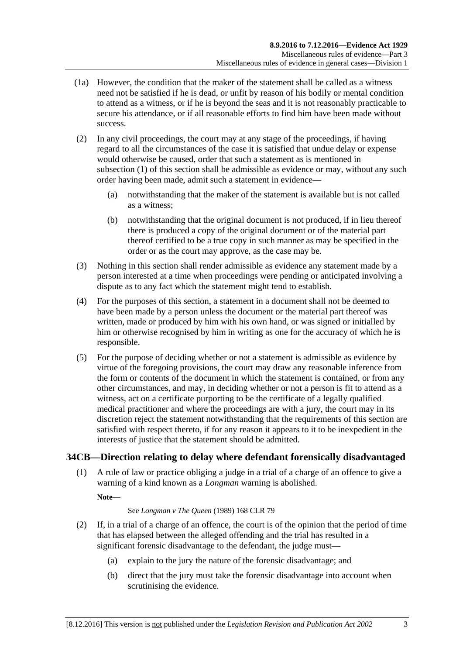- (1a) However, the condition that the maker of the statement shall be called as a witness need not be satisfied if he is dead, or unfit by reason of his bodily or mental condition to attend as a witness, or if he is beyond the seas and it is not reasonably practicable to secure his attendance, or if all reasonable efforts to find him have been made without success.
- (2) In any civil proceedings, the court may at any stage of the proceedings, if having regard to all the circumstances of the case it is satisfied that undue delay or expense would otherwise be caused, order that such a statement as is mentioned in [subsection](#page-31-1) (1) of this section shall be admissible as evidence or may, without any such order having been made, admit such a statement in evidence—
	- (a) notwithstanding that the maker of the statement is available but is not called as a witness;
	- (b) notwithstanding that the original document is not produced, if in lieu thereof there is produced a copy of the original document or of the material part thereof certified to be a true copy in such manner as may be specified in the order or as the court may approve, as the case may be.
- (3) Nothing in this section shall render admissible as evidence any statement made by a person interested at a time when proceedings were pending or anticipated involving a dispute as to any fact which the statement might tend to establish.
- (4) For the purposes of this section, a statement in a document shall not be deemed to have been made by a person unless the document or the material part thereof was written, made or produced by him with his own hand, or was signed or initialled by him or otherwise recognised by him in writing as one for the accuracy of which he is responsible.
- (5) For the purpose of deciding whether or not a statement is admissible as evidence by virtue of the foregoing provisions, the court may draw any reasonable inference from the form or contents of the document in which the statement is contained, or from any other circumstances, and may, in deciding whether or not a person is fit to attend as a witness, act on a certificate purporting to be the certificate of a legally qualified medical practitioner and where the proceedings are with a jury, the court may in its discretion reject the statement notwithstanding that the requirements of this section are satisfied with respect thereto, if for any reason it appears to it to be inexpedient in the interests of justice that the statement should be admitted.

## <span id="page-32-0"></span>**34CB—Direction relating to delay where defendant forensically disadvantaged**

(1) A rule of law or practice obliging a judge in a trial of a charge of an offence to give a warning of a kind known as a *Longman* warning is abolished.

**Note—**

#### See *Longman v The Queen* (1989) 168 CLR 79

- <span id="page-32-1"></span>(2) If, in a trial of a charge of an offence, the court is of the opinion that the period of time that has elapsed between the alleged offending and the trial has resulted in a significant forensic disadvantage to the defendant, the judge must—
	- (a) explain to the jury the nature of the forensic disadvantage; and
	- (b) direct that the jury must take the forensic disadvantage into account when scrutinising the evidence.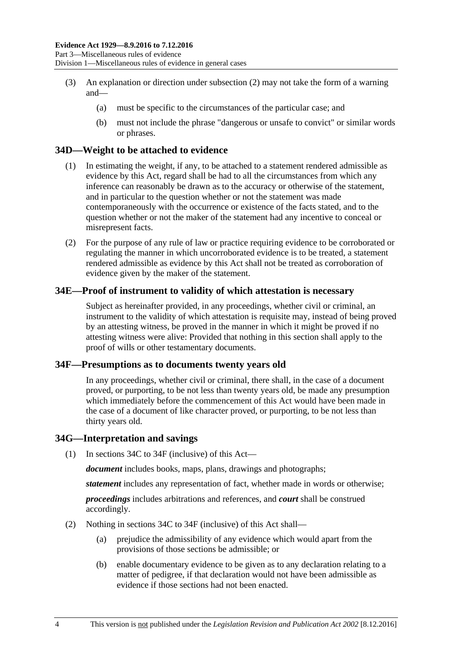- (3) An explanation or direction under [subsection](#page-32-1) (2) may not take the form of a warning and—
	- (a) must be specific to the circumstances of the particular case; and
	- (b) must not include the phrase "dangerous or unsafe to convict" or similar words or phrases.

## <span id="page-33-0"></span>**34D—Weight to be attached to evidence**

- (1) In estimating the weight, if any, to be attached to a statement rendered admissible as evidence by this Act, regard shall be had to all the circumstances from which any inference can reasonably be drawn as to the accuracy or otherwise of the statement, and in particular to the question whether or not the statement was made contemporaneously with the occurrence or existence of the facts stated, and to the question whether or not the maker of the statement had any incentive to conceal or misrepresent facts.
- (2) For the purpose of any rule of law or practice requiring evidence to be corroborated or regulating the manner in which uncorroborated evidence is to be treated, a statement rendered admissible as evidence by this Act shall not be treated as corroboration of evidence given by the maker of the statement.

## <span id="page-33-1"></span>**34E—Proof of instrument to validity of which attestation is necessary**

Subject as hereinafter provided, in any proceedings, whether civil or criminal, an instrument to the validity of which attestation is requisite may, instead of being proved by an attesting witness, be proved in the manner in which it might be proved if no attesting witness were alive: Provided that nothing in this section shall apply to the proof of wills or other testamentary documents.

#### <span id="page-33-2"></span>**34F—Presumptions as to documents twenty years old**

In any proceedings, whether civil or criminal, there shall, in the case of a document proved, or purporting, to be not less than twenty years old, be made any presumption which immediately before the commencement of this Act would have been made in the case of a document of like character proved, or purporting, to be not less than thirty years old.

#### <span id="page-33-3"></span>**34G—Interpretation and savings**

(1) In [sections](#page-31-0) 34C to [34F](#page-33-2) (inclusive) of this Act—

*document* includes books, maps, plans, drawings and photographs;

*statement* includes any representation of fact, whether made in words or otherwise;

*proceedings* includes arbitrations and references, and *court* shall be construed accordingly.

- (2) Nothing in [sections](#page-31-0) 34C to [34F](#page-33-2) (inclusive) of this Act shall—
	- (a) prejudice the admissibility of any evidence which would apart from the provisions of those sections be admissible; or
	- (b) enable documentary evidence to be given as to any declaration relating to a matter of pedigree, if that declaration would not have been admissible as evidence if those sections had not been enacted.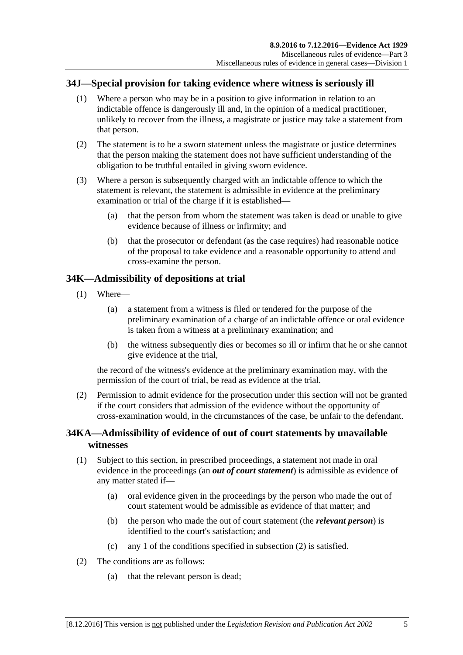## <span id="page-34-0"></span>**34J—Special provision for taking evidence where witness is seriously ill**

- (1) Where a person who may be in a position to give information in relation to an indictable offence is dangerously ill and, in the opinion of a medical practitioner, unlikely to recover from the illness, a magistrate or justice may take a statement from that person.
- (2) The statement is to be a sworn statement unless the magistrate or justice determines that the person making the statement does not have sufficient understanding of the obligation to be truthful entailed in giving sworn evidence.
- (3) Where a person is subsequently charged with an indictable offence to which the statement is relevant, the statement is admissible in evidence at the preliminary examination or trial of the charge if it is established—
	- (a) that the person from whom the statement was taken is dead or unable to give evidence because of illness or infirmity; and
	- (b) that the prosecutor or defendant (as the case requires) had reasonable notice of the proposal to take evidence and a reasonable opportunity to attend and cross-examine the person.

## <span id="page-34-1"></span>**34K—Admissibility of depositions at trial**

- (1) Where—
	- (a) a statement from a witness is filed or tendered for the purpose of the preliminary examination of a charge of an indictable offence or oral evidence is taken from a witness at a preliminary examination; and
	- (b) the witness subsequently dies or becomes so ill or infirm that he or she cannot give evidence at the trial,

the record of the witness's evidence at the preliminary examination may, with the permission of the court of trial, be read as evidence at the trial.

(2) Permission to admit evidence for the prosecution under this section will not be granted if the court considers that admission of the evidence without the opportunity of cross-examination would, in the circumstances of the case, be unfair to the defendant.

## <span id="page-34-2"></span>**34KA—Admissibility of evidence of out of court statements by unavailable witnesses**

- (1) Subject to this section, in prescribed proceedings, a statement not made in oral evidence in the proceedings (an *out of court statement*) is admissible as evidence of any matter stated if—
	- (a) oral evidence given in the proceedings by the person who made the out of court statement would be admissible as evidence of that matter; and
	- (b) the person who made the out of court statement (the *relevant person*) is identified to the court's satisfaction; and
	- (c) any 1 of the conditions specified in [subsection](#page-34-3) (2) is satisfied.
- <span id="page-34-3"></span>(2) The conditions are as follows:
	- (a) that the relevant person is dead;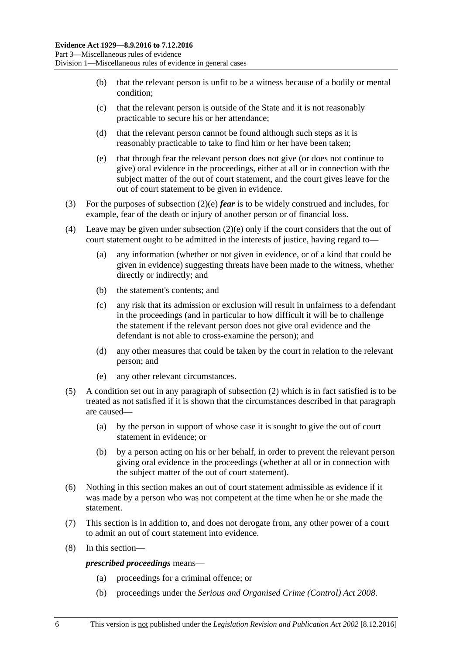- (b) that the relevant person is unfit to be a witness because of a bodily or mental condition;
- (c) that the relevant person is outside of the State and it is not reasonably practicable to secure his or her attendance;
- (d) that the relevant person cannot be found although such steps as it is reasonably practicable to take to find him or her have been taken;
- <span id="page-35-0"></span>(e) that through fear the relevant person does not give (or does not continue to give) oral evidence in the proceedings, either at all or in connection with the subject matter of the out of court statement, and the court gives leave for the out of court statement to be given in evidence.
- (3) For the purposes of [subsection](#page-35-0) (2)(e) *fear* is to be widely construed and includes, for example, fear of the death or injury of another person or of financial loss.
- (4) Leave may be given under [subsection](#page-35-0)  $(2)(e)$  only if the court considers that the out of court statement ought to be admitted in the interests of justice, having regard to—
	- (a) any information (whether or not given in evidence, or of a kind that could be given in evidence) suggesting threats have been made to the witness, whether directly or indirectly; and
	- (b) the statement's contents; and
	- (c) any risk that its admission or exclusion will result in unfairness to a defendant in the proceedings (and in particular to how difficult it will be to challenge the statement if the relevant person does not give oral evidence and the defendant is not able to cross-examine the person); and
	- (d) any other measures that could be taken by the court in relation to the relevant person; and
	- (e) any other relevant circumstances.
- (5) A condition set out in any paragraph of [subsection](#page-34-3) (2) which is in fact satisfied is to be treated as not satisfied if it is shown that the circumstances described in that paragraph are caused—
	- (a) by the person in support of whose case it is sought to give the out of court statement in evidence; or
	- (b) by a person acting on his or her behalf, in order to prevent the relevant person giving oral evidence in the proceedings (whether at all or in connection with the subject matter of the out of court statement).
- (6) Nothing in this section makes an out of court statement admissible as evidence if it was made by a person who was not competent at the time when he or she made the statement.
- (7) This section is in addition to, and does not derogate from, any other power of a court to admit an out of court statement into evidence.
- (8) In this section—

*prescribed proceedings* means—

- (a) proceedings for a criminal offence; or
- (b) proceedings under the *[Serious and Organised Crime \(Control\) Act](http://www.legislation.sa.gov.au/index.aspx?action=legref&type=act&legtitle=Serious%20and%20Organised%20Crime%20(Control)%20Act%202008) 2008*.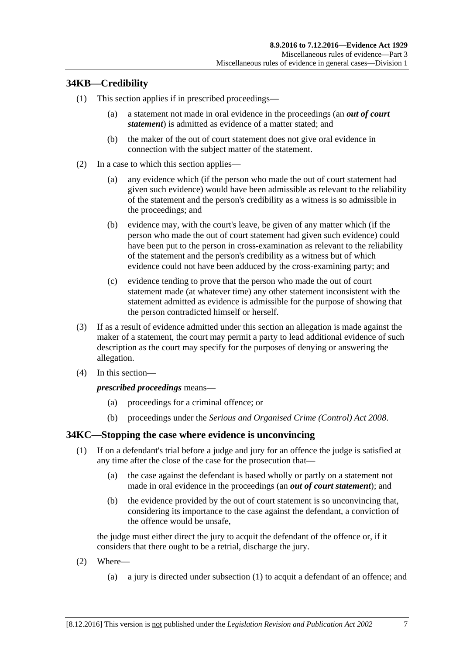# **34KB—Credibility**

- (1) This section applies if in prescribed proceedings—
	- (a) a statement not made in oral evidence in the proceedings (an *out of court statement*) is admitted as evidence of a matter stated; and
	- (b) the maker of the out of court statement does not give oral evidence in connection with the subject matter of the statement.
- (2) In a case to which this section applies—
	- (a) any evidence which (if the person who made the out of court statement had given such evidence) would have been admissible as relevant to the reliability of the statement and the person's credibility as a witness is so admissible in the proceedings; and
	- (b) evidence may, with the court's leave, be given of any matter which (if the person who made the out of court statement had given such evidence) could have been put to the person in cross-examination as relevant to the reliability of the statement and the person's credibility as a witness but of which evidence could not have been adduced by the cross-examining party; and
	- (c) evidence tending to prove that the person who made the out of court statement made (at whatever time) any other statement inconsistent with the statement admitted as evidence is admissible for the purpose of showing that the person contradicted himself or herself.
- (3) If as a result of evidence admitted under this section an allegation is made against the maker of a statement, the court may permit a party to lead additional evidence of such description as the court may specify for the purposes of denying or answering the allegation.
- (4) In this section—

#### *prescribed proceedings* means—

- (a) proceedings for a criminal offence; or
- (b) proceedings under the *[Serious and Organised Crime \(Control\) Act](http://www.legislation.sa.gov.au/index.aspx?action=legref&type=act&legtitle=Serious%20and%20Organised%20Crime%20(Control)%20Act%202008) 2008*.

# <span id="page-36-0"></span>**34KC—Stopping the case where evidence is unconvincing**

- (1) If on a defendant's trial before a judge and jury for an offence the judge is satisfied at any time after the close of the case for the prosecution that—
	- (a) the case against the defendant is based wholly or partly on a statement not made in oral evidence in the proceedings (an *out of court statement*); and
	- (b) the evidence provided by the out of court statement is so unconvincing that, considering its importance to the case against the defendant, a conviction of the offence would be unsafe,

the judge must either direct the jury to acquit the defendant of the offence or, if it considers that there ought to be a retrial, discharge the jury.

- (2) Where—
	- (a) a jury is directed under [subsection](#page-36-0) (1) to acquit a defendant of an offence; and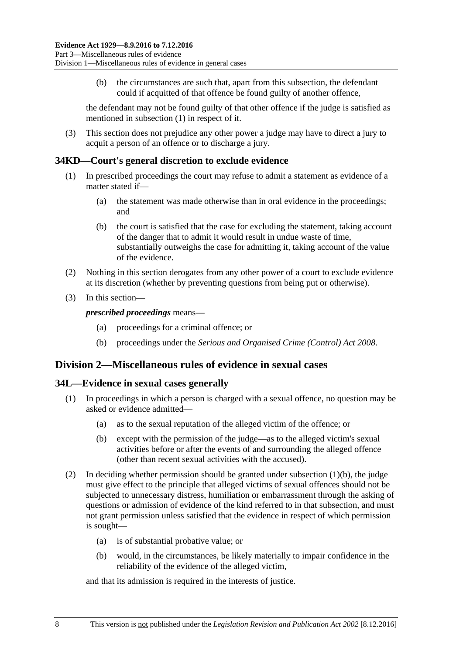(b) the circumstances are such that, apart from this subsection, the defendant could if acquitted of that offence be found guilty of another offence,

the defendant may not be found guilty of that other offence if the judge is satisfied as mentioned in [subsection](#page-36-0) (1) in respect of it.

(3) This section does not prejudice any other power a judge may have to direct a jury to acquit a person of an offence or to discharge a jury.

### **34KD—Court's general discretion to exclude evidence**

- (1) In prescribed proceedings the court may refuse to admit a statement as evidence of a matter stated if—
	- (a) the statement was made otherwise than in oral evidence in the proceedings; and
	- (b) the court is satisfied that the case for excluding the statement, taking account of the danger that to admit it would result in undue waste of time, substantially outweighs the case for admitting it, taking account of the value of the evidence.
- (2) Nothing in this section derogates from any other power of a court to exclude evidence at its discretion (whether by preventing questions from being put or otherwise).
- (3) In this section—

*prescribed proceedings* means—

- (a) proceedings for a criminal offence; or
- (b) proceedings under the *[Serious and Organised Crime \(Control\) Act](http://www.legislation.sa.gov.au/index.aspx?action=legref&type=act&legtitle=Serious%20and%20Organised%20Crime%20(Control)%20Act%202008) 2008*.

# **Division 2—Miscellaneous rules of evidence in sexual cases**

#### **34L—Evidence in sexual cases generally**

- <span id="page-37-0"></span>(1) In proceedings in which a person is charged with a sexual offence, no question may be asked or evidence admitted—
	- (a) as to the sexual reputation of the alleged victim of the offence; or
	- (b) except with the permission of the judge—as to the alleged victim's sexual activities before or after the events of and surrounding the alleged offence (other than recent sexual activities with the accused).
- (2) In deciding whether permission should be granted under [subsection](#page-37-0) (1)(b), the judge must give effect to the principle that alleged victims of sexual offences should not be subjected to unnecessary distress, humiliation or embarrassment through the asking of questions or admission of evidence of the kind referred to in that subsection, and must not grant permission unless satisfied that the evidence in respect of which permission is sought—
	- (a) is of substantial probative value; or
	- (b) would, in the circumstances, be likely materially to impair confidence in the reliability of the evidence of the alleged victim,

and that its admission is required in the interests of justice.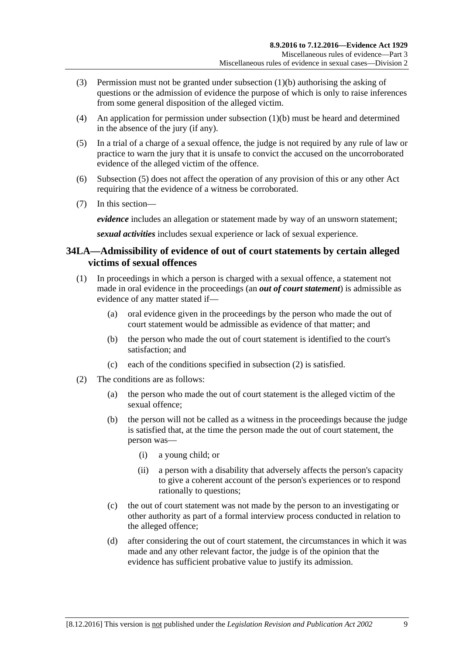- (3) Permission must not be granted under [subsection](#page-37-0) (1)(b) authorising the asking of questions or the admission of evidence the purpose of which is only to raise inferences from some general disposition of the alleged victim.
- (4) An application for permission under [subsection](#page-37-0) (1)(b) must be heard and determined in the absence of the jury (if any).
- <span id="page-38-0"></span>(5) In a trial of a charge of a sexual offence, the judge is not required by any rule of law or practice to warn the jury that it is unsafe to convict the accused on the uncorroborated evidence of the alleged victim of the offence.
- (6) [Subsection](#page-38-0) (5) does not affect the operation of any provision of this or any other Act requiring that the evidence of a witness be corroborated.
- (7) In this section—

*evidence* includes an allegation or statement made by way of an unsworn statement;

*sexual activities* includes sexual experience or lack of sexual experience.

# **34LA—Admissibility of evidence of out of court statements by certain alleged victims of sexual offences**

- (1) In proceedings in which a person is charged with a sexual offence, a statement not made in oral evidence in the proceedings (an *out of court statement*) is admissible as evidence of any matter stated if—
	- (a) oral evidence given in the proceedings by the person who made the out of court statement would be admissible as evidence of that matter; and
	- (b) the person who made the out of court statement is identified to the court's satisfaction; and
	- (c) each of the conditions specified in [subsection](#page-38-1) (2) is satisfied.
- <span id="page-38-2"></span><span id="page-38-1"></span>(2) The conditions are as follows:
	- (a) the person who made the out of court statement is the alleged victim of the sexual offence;
	- (b) the person will not be called as a witness in the proceedings because the judge is satisfied that, at the time the person made the out of court statement, the person was—
		- (i) a young child; or
		- (ii) a person with a disability that adversely affects the person's capacity to give a coherent account of the person's experiences or to respond rationally to questions;
	- (c) the out of court statement was not made by the person to an investigating or other authority as part of a formal interview process conducted in relation to the alleged offence;
	- (d) after considering the out of court statement, the circumstances in which it was made and any other relevant factor, the judge is of the opinion that the evidence has sufficient probative value to justify its admission.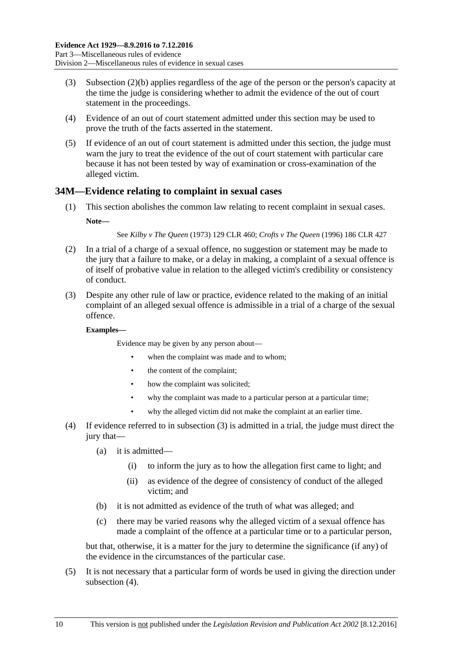- (3) [Subsection \(2\)\(b\)](#page-38-2) applies regardless of the age of the person or the person's capacity at the time the judge is considering whether to admit the evidence of the out of court statement in the proceedings.
- (4) Evidence of an out of court statement admitted under this section may be used to prove the truth of the facts asserted in the statement.
- (5) If evidence of an out of court statement is admitted under this section, the judge must warn the jury to treat the evidence of the out of court statement with particular care because it has not been tested by way of examination or cross-examination of the alleged victim.

# **34M—Evidence relating to complaint in sexual cases**

(1) This section abolishes the common law relating to recent complaint in sexual cases. **Note—**

See *Kilby v The Queen* (1973) 129 CLR 460; *Crofts v The Queen* (1996) 186 CLR 427

- (2) In a trial of a charge of a sexual offence, no suggestion or statement may be made to the jury that a failure to make, or a delay in making, a complaint of a sexual offence is of itself of probative value in relation to the alleged victim's credibility or consistency of conduct.
- <span id="page-39-0"></span>(3) Despite any other rule of law or practice, evidence related to the making of an initial complaint of an alleged sexual offence is admissible in a trial of a charge of the sexual offence.

#### **Examples—**

Evidence may be given by any person about—

- when the complaint was made and to whom:
- the content of the complaint;
- how the complaint was solicited;
- why the complaint was made to a particular person at a particular time:
- why the alleged victim did not make the complaint at an earlier time.
- <span id="page-39-1"></span>(4) If evidence referred to in [subsection](#page-39-0) (3) is admitted in a trial, the judge must direct the jury that—
	- (a) it is admitted—
		- (i) to inform the jury as to how the allegation first came to light; and
		- (ii) as evidence of the degree of consistency of conduct of the alleged victim; and
	- (b) it is not admitted as evidence of the truth of what was alleged; and
	- (c) there may be varied reasons why the alleged victim of a sexual offence has made a complaint of the offence at a particular time or to a particular person,

but that, otherwise, it is a matter for the jury to determine the significance (if any) of the evidence in the circumstances of the particular case.

(5) It is not necessary that a particular form of words be used in giving the direction under [subsection](#page-39-1)  $(4)$ .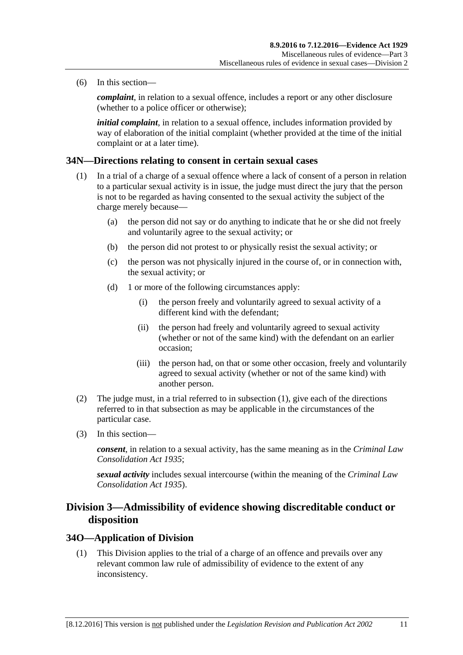(6) In this section—

*complaint*, in relation to a sexual offence, includes a report or any other disclosure (whether to a police officer or otherwise);

*initial complaint*, in relation to a sexual offence, includes information provided by way of elaboration of the initial complaint (whether provided at the time of the initial complaint or at a later time).

#### <span id="page-40-0"></span>**34N—Directions relating to consent in certain sexual cases**

- (1) In a trial of a charge of a sexual offence where a lack of consent of a person in relation to a particular sexual activity is in issue, the judge must direct the jury that the person is not to be regarded as having consented to the sexual activity the subject of the charge merely because—
	- (a) the person did not say or do anything to indicate that he or she did not freely and voluntarily agree to the sexual activity; or
	- (b) the person did not protest to or physically resist the sexual activity; or
	- (c) the person was not physically injured in the course of, or in connection with, the sexual activity; or
	- (d) 1 or more of the following circumstances apply:
		- (i) the person freely and voluntarily agreed to sexual activity of a different kind with the defendant;
		- (ii) the person had freely and voluntarily agreed to sexual activity (whether or not of the same kind) with the defendant on an earlier occasion;
		- (iii) the person had, on that or some other occasion, freely and voluntarily agreed to sexual activity (whether or not of the same kind) with another person.
- (2) The judge must, in a trial referred to in [subsection](#page-40-0) (1), give each of the directions referred to in that subsection as may be applicable in the circumstances of the particular case.
- (3) In this section—

*consent*, in relation to a sexual activity, has the same meaning as in the *[Criminal Law](http://www.legislation.sa.gov.au/index.aspx?action=legref&type=act&legtitle=Criminal%20Law%20Consolidation%20Act%201935)  [Consolidation Act](http://www.legislation.sa.gov.au/index.aspx?action=legref&type=act&legtitle=Criminal%20Law%20Consolidation%20Act%201935) 1935*;

*sexual activity* includes sexual intercourse (within the meaning of the *[Criminal Law](http://www.legislation.sa.gov.au/index.aspx?action=legref&type=act&legtitle=Criminal%20Law%20Consolidation%20Act%201935)  [Consolidation Act](http://www.legislation.sa.gov.au/index.aspx?action=legref&type=act&legtitle=Criminal%20Law%20Consolidation%20Act%201935) 1935*).

# **Division 3—Admissibility of evidence showing discreditable conduct or disposition**

#### **34O—Application of Division**

(1) This Division applies to the trial of a charge of an offence and prevails over any relevant common law rule of admissibility of evidence to the extent of any inconsistency.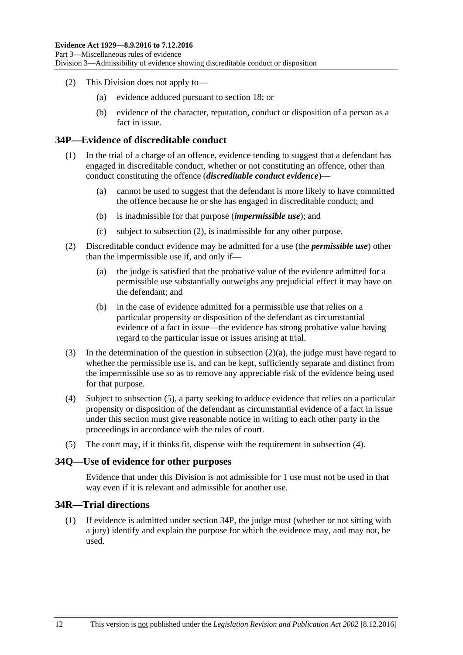- (2) This Division does not apply to—
	- (a) evidence adduced pursuant to [section](#page-24-0) 18; or
	- (b) evidence of the character, reputation, conduct or disposition of a person as a fact in issue.

### <span id="page-41-4"></span>**34P—Evidence of discreditable conduct**

- (1) In the trial of a charge of an offence, evidence tending to suggest that a defendant has engaged in discreditable conduct, whether or not constituting an offence, other than conduct constituting the offence (*discreditable conduct evidence*)—
	- (a) cannot be used to suggest that the defendant is more likely to have committed the offence because he or she has engaged in discreditable conduct; and
	- (b) is inadmissible for that purpose (*impermissible use*); and
	- (c) subject to [subsection](#page-41-0) (2), is inadmissible for any other purpose.
- <span id="page-41-1"></span><span id="page-41-0"></span>(2) Discreditable conduct evidence may be admitted for a use (the *permissible use*) other than the impermissible use if, and only if—
	- (a) the judge is satisfied that the probative value of the evidence admitted for a permissible use substantially outweighs any prejudicial effect it may have on the defendant; and
	- (b) in the case of evidence admitted for a permissible use that relies on a particular propensity or disposition of the defendant as circumstantial evidence of a fact in issue—the evidence has strong probative value having regard to the particular issue or issues arising at trial.
- (3) In the determination of the question in [subsection](#page-41-1) (2)(a), the judge must have regard to whether the permissible use is, and can be kept, sufficiently separate and distinct from the impermissible use so as to remove any appreciable risk of the evidence being used for that purpose.
- <span id="page-41-3"></span>(4) Subject to [subsection](#page-41-2) (5), a party seeking to adduce evidence that relies on a particular propensity or disposition of the defendant as circumstantial evidence of a fact in issue under this section must give reasonable notice in writing to each other party in the proceedings in accordance with the rules of court.
- <span id="page-41-2"></span>(5) The court may, if it thinks fit, dispense with the requirement in [subsection](#page-41-3) (4).

#### **34Q—Use of evidence for other purposes**

Evidence that under this Division is not admissible for 1 use must not be used in that way even if it is relevant and admissible for another use.

# **34R—Trial directions**

(1) If evidence is admitted under [section](#page-41-4) 34P, the judge must (whether or not sitting with a jury) identify and explain the purpose for which the evidence may, and may not, be used.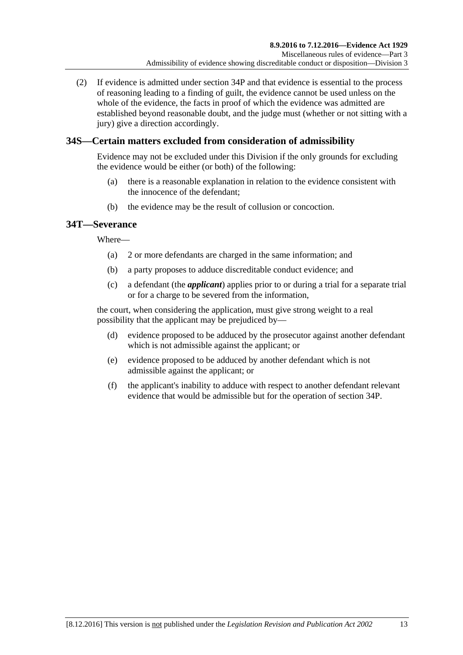(2) If evidence is admitted under [section](#page-41-4) 34P and that evidence is essential to the process of reasoning leading to a finding of guilt, the evidence cannot be used unless on the whole of the evidence, the facts in proof of which the evidence was admitted are established beyond reasonable doubt, and the judge must (whether or not sitting with a jury) give a direction accordingly.

# **34S—Certain matters excluded from consideration of admissibility**

Evidence may not be excluded under this Division if the only grounds for excluding the evidence would be either (or both) of the following:

- (a) there is a reasonable explanation in relation to the evidence consistent with the innocence of the defendant;
- (b) the evidence may be the result of collusion or concoction.

# **34T—Severance**

Where—

- (a) 2 or more defendants are charged in the same information; and
- (b) a party proposes to adduce discreditable conduct evidence; and
- (c) a defendant (the *applicant*) applies prior to or during a trial for a separate trial or for a charge to be severed from the information,

the court, when considering the application, must give strong weight to a real possibility that the applicant may be prejudiced by—

- (d) evidence proposed to be adduced by the prosecutor against another defendant which is not admissible against the applicant; or
- (e) evidence proposed to be adduced by another defendant which is not admissible against the applicant; or
- (f) the applicant's inability to adduce with respect to another defendant relevant evidence that would be admissible but for the operation of [section](#page-41-4) 34P.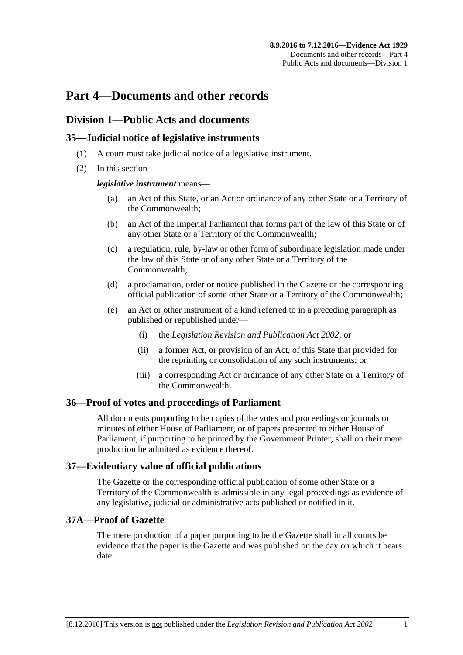# **Part 4—Documents and other records**

# **Division 1—Public Acts and documents**

# **35—Judicial notice of legislative instruments**

- (1) A court must take judicial notice of a legislative instrument.
- (2) In this section—

### *legislative instrument* means—

- (a) an Act of this State, or an Act or ordinance of any other State or a Territory of the Commonwealth;
- (b) an Act of the Imperial Parliament that forms part of the law of this State or of any other State or a Territory of the Commonwealth;
- (c) a regulation, rule, by-law or other form of subordinate legislation made under the law of this State or of any other State or a Territory of the Commonwealth;
- (d) a proclamation, order or notice published in the Gazette or the corresponding official publication of some other State or a Territory of the Commonwealth;
- (e) an Act or other instrument of a kind referred to in a preceding paragraph as published or republished under—
	- (i) the *[Legislation Revision and Publication Act](http://www.legislation.sa.gov.au/index.aspx?action=legref&type=act&legtitle=Legislation%20Revision%20and%20Publication%20Act%202002) 2002*; or
	- (ii) a former Act, or provision of an Act, of this State that provided for the reprinting or consolidation of any such instruments; or
	- (iii) a corresponding Act or ordinance of any other State or a Territory of the Commonwealth.

# **36—Proof of votes and proceedings of Parliament**

All documents purporting to be copies of the votes and proceedings or journals or minutes of either House of Parliament, or of papers presented to either House of Parliament, if purporting to be printed by the Government Printer, shall on their mere production be admitted as evidence thereof.

# **37—Evidentiary value of official publications**

The Gazette or the corresponding official publication of some other State or a Territory of the Commonwealth is admissible in any legal proceedings as evidence of any legislative, judicial or administrative acts published or notified in it.

# **37A—Proof of Gazette**

The mere production of a paper purporting to be the Gazette shall in all courts be evidence that the paper is the Gazette and was published on the day on which it bears date.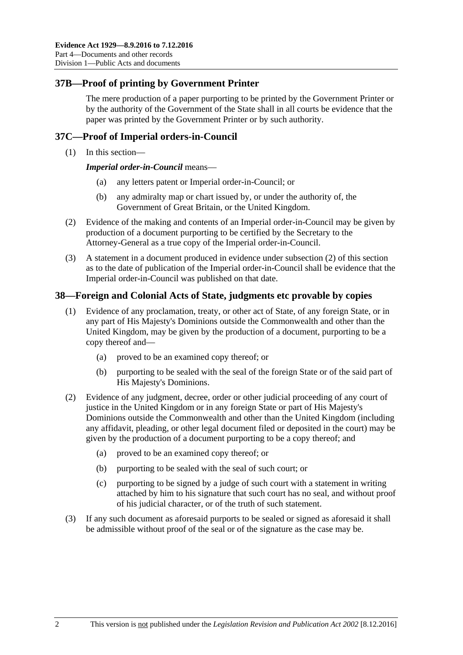# **37B—Proof of printing by Government Printer**

The mere production of a paper purporting to be printed by the Government Printer or by the authority of the Government of the State shall in all courts be evidence that the paper was printed by the Government Printer or by such authority.

# **37C—Proof of Imperial orders-in-Council**

(1) In this section—

*Imperial order-in-Council* means—

- (a) any letters patent or Imperial order-in-Council; or
- (b) any admiralty map or chart issued by, or under the authority of, the Government of Great Britain, or the United Kingdom.
- <span id="page-45-0"></span>(2) Evidence of the making and contents of an Imperial order-in-Council may be given by production of a document purporting to be certified by the Secretary to the Attorney-General as a true copy of the Imperial order-in-Council.
- (3) A statement in a document produced in evidence under [subsection](#page-45-0) (2) of this section as to the date of publication of the Imperial order-in-Council shall be evidence that the Imperial order-in-Council was published on that date.

### **38—Foreign and Colonial Acts of State, judgments etc provable by copies**

- (1) Evidence of any proclamation, treaty, or other act of State, of any foreign State, or in any part of His Majesty's Dominions outside the Commonwealth and other than the United Kingdom, may be given by the production of a document, purporting to be a copy thereof and—
	- (a) proved to be an examined copy thereof; or
	- (b) purporting to be sealed with the seal of the foreign State or of the said part of His Majesty's Dominions.
- (2) Evidence of any judgment, decree, order or other judicial proceeding of any court of justice in the United Kingdom or in any foreign State or part of His Majesty's Dominions outside the Commonwealth and other than the United Kingdom (including any affidavit, pleading, or other legal document filed or deposited in the court) may be given by the production of a document purporting to be a copy thereof; and
	- (a) proved to be an examined copy thereof; or
	- (b) purporting to be sealed with the seal of such court; or
	- (c) purporting to be signed by a judge of such court with a statement in writing attached by him to his signature that such court has no seal, and without proof of his judicial character, or of the truth of such statement.
- (3) If any such document as aforesaid purports to be sealed or signed as aforesaid it shall be admissible without proof of the seal or of the signature as the case may be.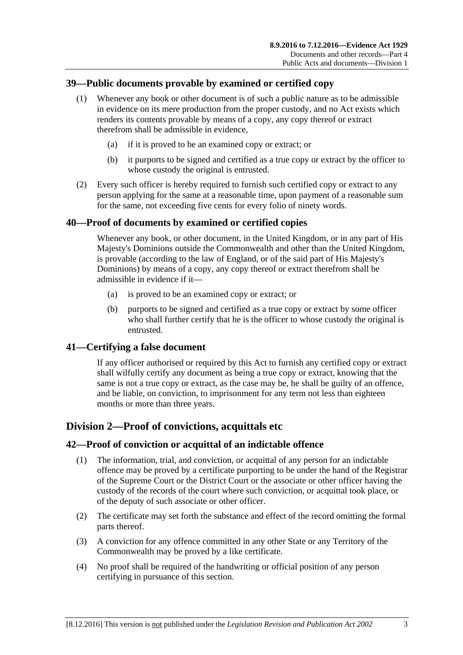# **39—Public documents provable by examined or certified copy**

- (1) Whenever any book or other document is of such a public nature as to be admissible in evidence on its mere production from the proper custody, and no Act exists which renders its contents provable by means of a copy, any copy thereof or extract therefrom shall be admissible in evidence,
	- (a) if it is proved to be an examined copy or extract; or
	- (b) it purports to be signed and certified as a true copy or extract by the officer to whose custody the original is entrusted.
- (2) Every such officer is hereby required to furnish such certified copy or extract to any person applying for the same at a reasonable time, upon payment of a reasonable sum for the same, not exceeding five cents for every folio of ninety words.

# **40—Proof of documents by examined or certified copies**

Whenever any book, or other document, in the United Kingdom, or in any part of His Majesty's Dominions outside the Commonwealth and other than the United Kingdom, is provable (according to the law of England, or of the said part of His Majesty's Dominions) by means of a copy, any copy thereof or extract therefrom shall be admissible in evidence if it—

- (a) is proved to be an examined copy or extract; or
- (b) purports to be signed and certified as a true copy or extract by some officer who shall further certify that he is the officer to whose custody the original is entrusted.

# **41—Certifying a false document**

If any officer authorised or required by this Act to furnish any certified copy or extract shall wilfully certify any document as being a true copy or extract, knowing that the same is not a true copy or extract, as the case may be, he shall be guilty of an offence, and be liable, on conviction, to imprisonment for any term not less than eighteen months or more than three years.

# **Division 2—Proof of convictions, acquittals etc**

# **42—Proof of conviction or acquittal of an indictable offence**

- (1) The information, trial, and conviction, or acquittal of any person for an indictable offence may be proved by a certificate purporting to be under the hand of the Registrar of the Supreme Court or the District Court or the associate or other officer having the custody of the records of the court where such conviction, or acquittal took place, or of the deputy of such associate or other officer.
- (2) The certificate may set forth the substance and effect of the record omitting the formal parts thereof.
- (3) A conviction for any offence committed in any other State or any Territory of the Commonwealth may be proved by a like certificate.
- (4) No proof shall be required of the handwriting or official position of any person certifying in pursuance of this section.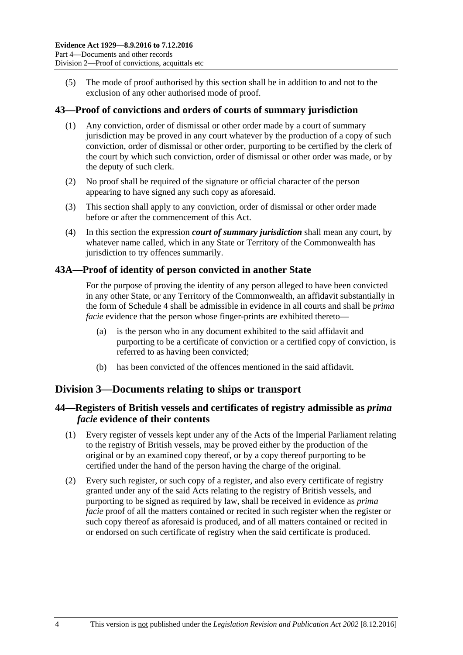(5) The mode of proof authorised by this section shall be in addition to and not to the exclusion of any other authorised mode of proof.

### **43—Proof of convictions and orders of courts of summary jurisdiction**

- (1) Any conviction, order of dismissal or other order made by a court of summary jurisdiction may be proved in any court whatever by the production of a copy of such conviction, order of dismissal or other order, purporting to be certified by the clerk of the court by which such conviction, order of dismissal or other order was made, or by the deputy of such clerk.
- (2) No proof shall be required of the signature or official character of the person appearing to have signed any such copy as aforesaid.
- (3) This section shall apply to any conviction, order of dismissal or other order made before or after the commencement of this Act.
- (4) In this section the expression *court of summary jurisdiction* shall mean any court, by whatever name called, which in any State or Territory of the Commonwealth has jurisdiction to try offences summarily.

### **43A—Proof of identity of person convicted in another State**

For the purpose of proving the identity of any person alleged to have been convicted in any other State, or any Territory of the Commonwealth, an affidavit substantially in the form of [Schedule 4](#page-95-0) shall be admissible in evidence in all courts and shall be *prima facie* evidence that the person whose finger-prints are exhibited thereto—

- (a) is the person who in any document exhibited to the said affidavit and purporting to be a certificate of conviction or a certified copy of conviction, is referred to as having been convicted;
- (b) has been convicted of the offences mentioned in the said affidavit.

# **Division 3—Documents relating to ships or transport**

# **44—Registers of British vessels and certificates of registry admissible as** *prima facie* **evidence of their contents**

- (1) Every register of vessels kept under any of the Acts of the Imperial Parliament relating to the registry of British vessels, may be proved either by the production of the original or by an examined copy thereof, or by a copy thereof purporting to be certified under the hand of the person having the charge of the original.
- (2) Every such register, or such copy of a register, and also every certificate of registry granted under any of the said Acts relating to the registry of British vessels, and purporting to be signed as required by law, shall be received in evidence as *prima facie* proof of all the matters contained or recited in such register when the register or such copy thereof as aforesaid is produced, and of all matters contained or recited in or endorsed on such certificate of registry when the said certificate is produced.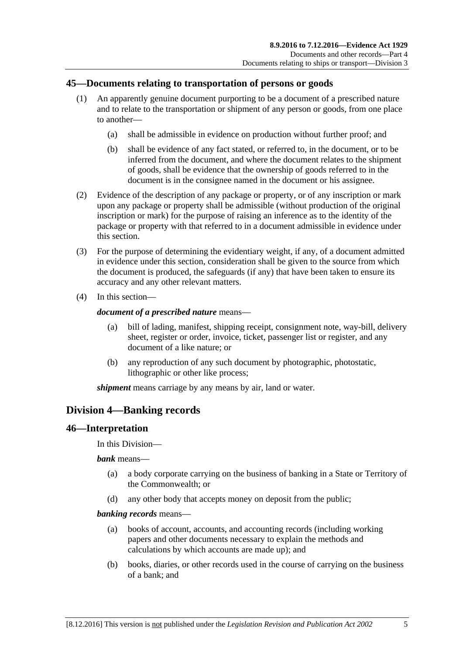# **45—Documents relating to transportation of persons or goods**

- (1) An apparently genuine document purporting to be a document of a prescribed nature and to relate to the transportation or shipment of any person or goods, from one place to another—
	- (a) shall be admissible in evidence on production without further proof; and
	- (b) shall be evidence of any fact stated, or referred to, in the document, or to be inferred from the document, and where the document relates to the shipment of goods, shall be evidence that the ownership of goods referred to in the document is in the consignee named in the document or his assignee.
- (2) Evidence of the description of any package or property, or of any inscription or mark upon any package or property shall be admissible (without production of the original inscription or mark) for the purpose of raising an inference as to the identity of the package or property with that referred to in a document admissible in evidence under this section.
- (3) For the purpose of determining the evidentiary weight, if any, of a document admitted in evidence under this section, consideration shall be given to the source from which the document is produced, the safeguards (if any) that have been taken to ensure its accuracy and any other relevant matters.
- (4) In this section—

### *document of a prescribed nature* means—

- (a) bill of lading, manifest, shipping receipt, consignment note, way-bill, delivery sheet, register or order, invoice, ticket, passenger list or register, and any document of a like nature; or
- (b) any reproduction of any such document by photographic, photostatic, lithographic or other like process;

*shipment* means carriage by any means by air, land or water.

# **Division 4—Banking records**

# **46—Interpretation**

In this Division—

*bank* means—

- (a) a body corporate carrying on the business of banking in a State or Territory of the Commonwealth; or
- (d) any other body that accepts money on deposit from the public;

#### *banking records* means—

- (a) books of account, accounts, and accounting records (including working papers and other documents necessary to explain the methods and calculations by which accounts are made up); and
- (b) books, diaries, or other records used in the course of carrying on the business of a bank; and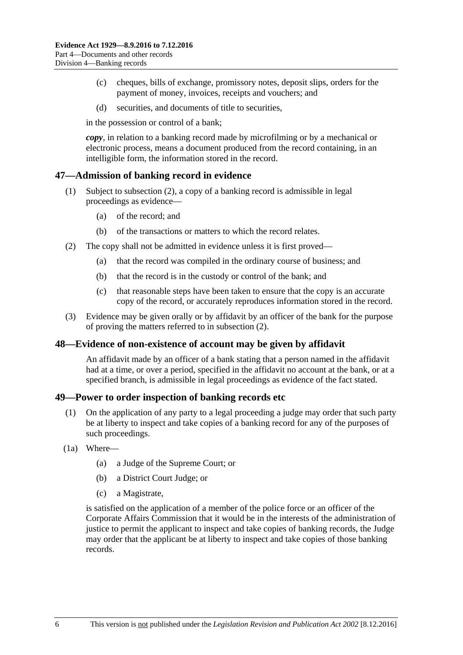- (c) cheques, bills of exchange, promissory notes, deposit slips, orders for the payment of money, invoices, receipts and vouchers; and
- (d) securities, and documents of title to securities,

in the possession or control of a bank;

*copy*, in relation to a banking record made by microfilming or by a mechanical or electronic process, means a document produced from the record containing, in an intelligible form, the information stored in the record.

### **47—Admission of banking record in evidence**

- (1) Subject to [subsection](#page-49-0) (2), a copy of a banking record is admissible in legal proceedings as evidence—
	- (a) of the record; and
	- (b) of the transactions or matters to which the record relates.
- <span id="page-49-0"></span>(2) The copy shall not be admitted in evidence unless it is first proved—
	- (a) that the record was compiled in the ordinary course of business; and
	- (b) that the record is in the custody or control of the bank; and
	- (c) that reasonable steps have been taken to ensure that the copy is an accurate copy of the record, or accurately reproduces information stored in the record.
- (3) Evidence may be given orally or by affidavit by an officer of the bank for the purpose of proving the matters referred to in [subsection](#page-49-0) (2).

#### **48—Evidence of non-existence of account may be given by affidavit**

An affidavit made by an officer of a bank stating that a person named in the affidavit had at a time, or over a period, specified in the affidavit no account at the bank, or at a specified branch, is admissible in legal proceedings as evidence of the fact stated.

#### **49—Power to order inspection of banking records etc**

- (1) On the application of any party to a legal proceeding a judge may order that such party be at liberty to inspect and take copies of a banking record for any of the purposes of such proceedings.
- <span id="page-49-1"></span>(1a) Where—
	- (a) a Judge of the Supreme Court; or
	- (b) a District Court Judge; or
	- (c) a Magistrate,

is satisfied on the application of a member of the police force or an officer of the Corporate Affairs Commission that it would be in the interests of the administration of justice to permit the applicant to inspect and take copies of banking records, the Judge may order that the applicant be at liberty to inspect and take copies of those banking records.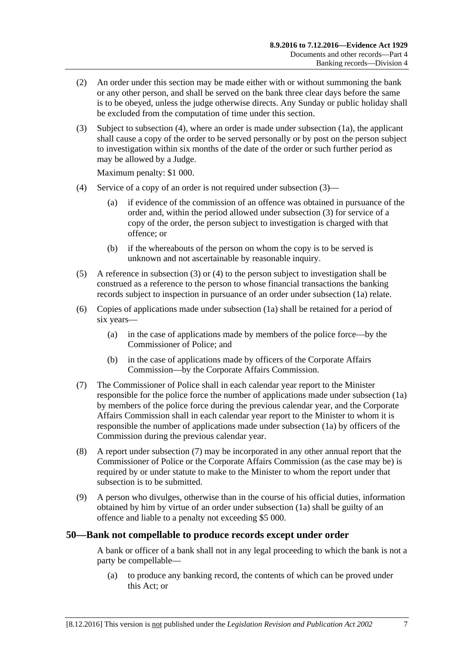- (2) An order under this section may be made either with or without summoning the bank or any other person, and shall be served on the bank three clear days before the same is to be obeyed, unless the judge otherwise directs. Any Sunday or public holiday shall be excluded from the computation of time under this section.
- <span id="page-50-1"></span>(3) Subject to [subsection](#page-50-0) (4), where an order is made under [subsection](#page-49-1) (1a), the applicant shall cause a copy of the order to be served personally or by post on the person subject to investigation within six months of the date of the order or such further period as may be allowed by a Judge.

Maximum penalty: \$1 000.

- <span id="page-50-0"></span>(4) Service of a copy of an order is not required under [subsection](#page-50-1) (3)—
	- (a) if evidence of the commission of an offence was obtained in pursuance of the order and, within the period allowed under [subsection](#page-50-1) (3) for service of a copy of the order, the person subject to investigation is charged with that offence; or
	- (b) if the whereabouts of the person on whom the copy is to be served is unknown and not ascertainable by reasonable inquiry.
- (5) A reference in [subsection](#page-50-1) (3) or [\(4\)](#page-50-0) to the person subject to investigation shall be construed as a reference to the person to whose financial transactions the banking records subject to inspection in pursuance of an order under [subsection](#page-49-1) (1a) relate.
- (6) Copies of applications made under [subsection](#page-49-1) (1a) shall be retained for a period of six years—
	- (a) in the case of applications made by members of the police force—by the Commissioner of Police; and
	- (b) in the case of applications made by officers of the Corporate Affairs Commission—by the Corporate Affairs Commission.
- <span id="page-50-2"></span>(7) The Commissioner of Police shall in each calendar year report to the Minister responsible for the police force the number of applications made under [subsection](#page-49-1) (1a) by members of the police force during the previous calendar year, and the Corporate Affairs Commission shall in each calendar year report to the Minister to whom it is responsible the number of applications made under [subsection](#page-49-1) (1a) by officers of the Commission during the previous calendar year.
- (8) A report under [subsection](#page-50-2) (7) may be incorporated in any other annual report that the Commissioner of Police or the Corporate Affairs Commission (as the case may be) is required by or under statute to make to the Minister to whom the report under that subsection is to be submitted.
- (9) A person who divulges, otherwise than in the course of his official duties, information obtained by him by virtue of an order under [subsection](#page-49-1) (1a) shall be guilty of an offence and liable to a penalty not exceeding \$5 000.

#### **50—Bank not compellable to produce records except under order**

A bank or officer of a bank shall not in any legal proceeding to which the bank is not a party be compellable—

(a) to produce any banking record, the contents of which can be proved under this Act; or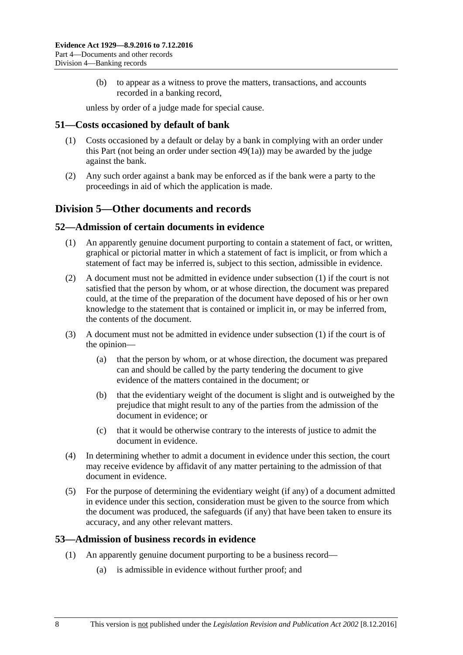(b) to appear as a witness to prove the matters, transactions, and accounts recorded in a banking record,

unless by order of a judge made for special cause.

### **51—Costs occasioned by default of bank**

- (1) Costs occasioned by a default or delay by a bank in complying with an order under this Part (not being an order under [section](#page-49-1) 49(1a)) may be awarded by the judge against the bank.
- (2) Any such order against a bank may be enforced as if the bank were a party to the proceedings in aid of which the application is made.

# **Division 5—Other documents and records**

#### <span id="page-51-0"></span>**52—Admission of certain documents in evidence**

- (1) An apparently genuine document purporting to contain a statement of fact, or written, graphical or pictorial matter in which a statement of fact is implicit, or from which a statement of fact may be inferred is, subject to this section, admissible in evidence.
- (2) A document must not be admitted in evidence under [subsection](#page-51-0) (1) if the court is not satisfied that the person by whom, or at whose direction, the document was prepared could, at the time of the preparation of the document have deposed of his or her own knowledge to the statement that is contained or implicit in, or may be inferred from, the contents of the document.
- (3) A document must not be admitted in evidence under [subsection](#page-51-0) (1) if the court is of the opinion—
	- (a) that the person by whom, or at whose direction, the document was prepared can and should be called by the party tendering the document to give evidence of the matters contained in the document; or
	- (b) that the evidentiary weight of the document is slight and is outweighed by the prejudice that might result to any of the parties from the admission of the document in evidence; or
	- (c) that it would be otherwise contrary to the interests of justice to admit the document in evidence.
- (4) In determining whether to admit a document in evidence under this section, the court may receive evidence by affidavit of any matter pertaining to the admission of that document in evidence.
- (5) For the purpose of determining the evidentiary weight (if any) of a document admitted in evidence under this section, consideration must be given to the source from which the document was produced, the safeguards (if any) that have been taken to ensure its accuracy, and any other relevant matters.

# <span id="page-51-1"></span>**53—Admission of business records in evidence**

- (1) An apparently genuine document purporting to be a business record—
	- (a) is admissible in evidence without further proof; and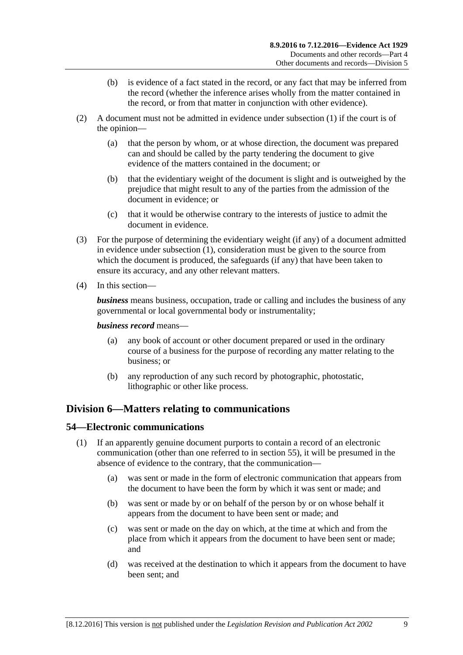- (b) is evidence of a fact stated in the record, or any fact that may be inferred from the record (whether the inference arises wholly from the matter contained in the record, or from that matter in conjunction with other evidence).
- (2) A document must not be admitted in evidence under [subsection](#page-51-1) (1) if the court is of the opinion—
	- (a) that the person by whom, or at whose direction, the document was prepared can and should be called by the party tendering the document to give evidence of the matters contained in the document; or
	- (b) that the evidentiary weight of the document is slight and is outweighed by the prejudice that might result to any of the parties from the admission of the document in evidence; or
	- (c) that it would be otherwise contrary to the interests of justice to admit the document in evidence.
- (3) For the purpose of determining the evidentiary weight (if any) of a document admitted in evidence under [subsection](#page-51-1) (1), consideration must be given to the source from which the document is produced, the safeguards (if any) that have been taken to ensure its accuracy, and any other relevant matters.
- (4) In this section—

*business* means business, occupation, trade or calling and includes the business of any governmental or local governmental body or instrumentality;

#### *business record* means—

- (a) any book of account or other document prepared or used in the ordinary course of a business for the purpose of recording any matter relating to the business; or
- (b) any reproduction of any such record by photographic, photostatic, lithographic or other like process.

# **Division 6—Matters relating to communications**

# <span id="page-52-0"></span>**54—Electronic communications**

- (1) If an apparently genuine document purports to contain a record of an electronic communication (other than one referred to in [section](#page-53-0) 55), it will be presumed in the absence of evidence to the contrary, that the communication—
	- (a) was sent or made in the form of electronic communication that appears from the document to have been the form by which it was sent or made; and
	- (b) was sent or made by or on behalf of the person by or on whose behalf it appears from the document to have been sent or made; and
	- (c) was sent or made on the day on which, at the time at which and from the place from which it appears from the document to have been sent or made; and
	- (d) was received at the destination to which it appears from the document to have been sent; and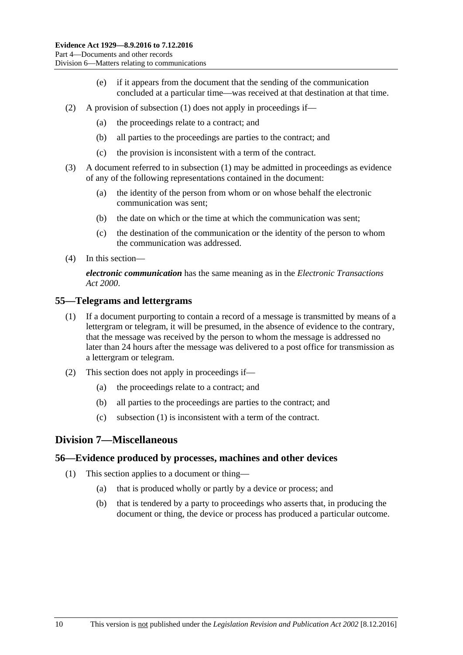- (e) if it appears from the document that the sending of the communication concluded at a particular time—was received at that destination at that time.
- (2) A provision of [subsection](#page-52-0) (1) does not apply in proceedings if—
	- (a) the proceedings relate to a contract; and
	- (b) all parties to the proceedings are parties to the contract; and
	- (c) the provision is inconsistent with a term of the contract.
- (3) A document referred to in [subsection](#page-52-0) (1) may be admitted in proceedings as evidence of any of the following representations contained in the document:
	- (a) the identity of the person from whom or on whose behalf the electronic communication was sent;
	- (b) the date on which or the time at which the communication was sent;
	- (c) the destination of the communication or the identity of the person to whom the communication was addressed.
- (4) In this section—

*electronic communication* has the same meaning as in the *[Electronic Transactions](http://www.legislation.sa.gov.au/index.aspx?action=legref&type=act&legtitle=Electronic%20Transactions%20Act%202000)  Act [2000](http://www.legislation.sa.gov.au/index.aspx?action=legref&type=act&legtitle=Electronic%20Transactions%20Act%202000)*.

#### <span id="page-53-1"></span><span id="page-53-0"></span>**55—Telegrams and lettergrams**

- (1) If a document purporting to contain a record of a message is transmitted by means of a lettergram or telegram, it will be presumed, in the absence of evidence to the contrary, that the message was received by the person to whom the message is addressed no later than 24 hours after the message was delivered to a post office for transmission as a lettergram or telegram.
- (2) This section does not apply in proceedings if—
	- (a) the proceedings relate to a contract; and
	- (b) all parties to the proceedings are parties to the contract; and
	- (c) [subsection \(1\)](#page-53-1) is inconsistent with a term of the contract.

# **Division 7—Miscellaneous**

#### **56—Evidence produced by processes, machines and other devices**

- (1) This section applies to a document or thing—
	- (a) that is produced wholly or partly by a device or process; and
	- (b) that is tendered by a party to proceedings who asserts that, in producing the document or thing, the device or process has produced a particular outcome.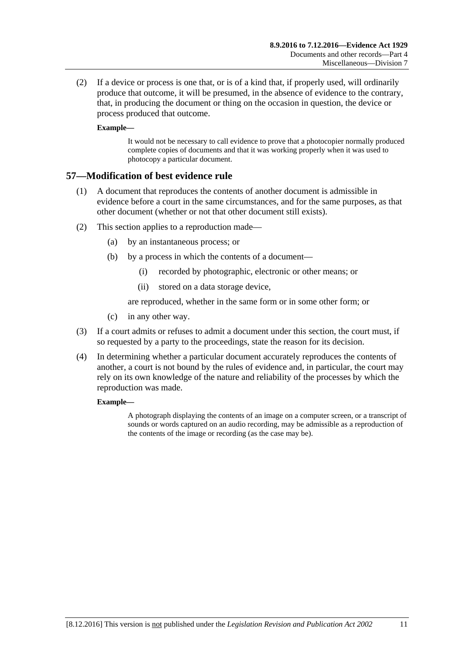(2) If a device or process is one that, or is of a kind that, if properly used, will ordinarily produce that outcome, it will be presumed, in the absence of evidence to the contrary, that, in producing the document or thing on the occasion in question, the device or process produced that outcome.

#### **Example—**

It would not be necessary to call evidence to prove that a photocopier normally produced complete copies of documents and that it was working properly when it was used to photocopy a particular document.

# **57—Modification of best evidence rule**

- (1) A document that reproduces the contents of another document is admissible in evidence before a court in the same circumstances, and for the same purposes, as that other document (whether or not that other document still exists).
- (2) This section applies to a reproduction made—
	- (a) by an instantaneous process; or
	- (b) by a process in which the contents of a document—
		- (i) recorded by photographic, electronic or other means; or
		- (ii) stored on a data storage device,

are reproduced, whether in the same form or in some other form; or

- (c) in any other way.
- (3) If a court admits or refuses to admit a document under this section, the court must, if so requested by a party to the proceedings, state the reason for its decision.
- (4) In determining whether a particular document accurately reproduces the contents of another, a court is not bound by the rules of evidence and, in particular, the court may rely on its own knowledge of the nature and reliability of the processes by which the reproduction was made.

#### **Example—**

A photograph displaying the contents of an image on a computer screen, or a transcript of sounds or words captured on an audio recording, may be admissible as a reproduction of the contents of the image or recording (as the case may be).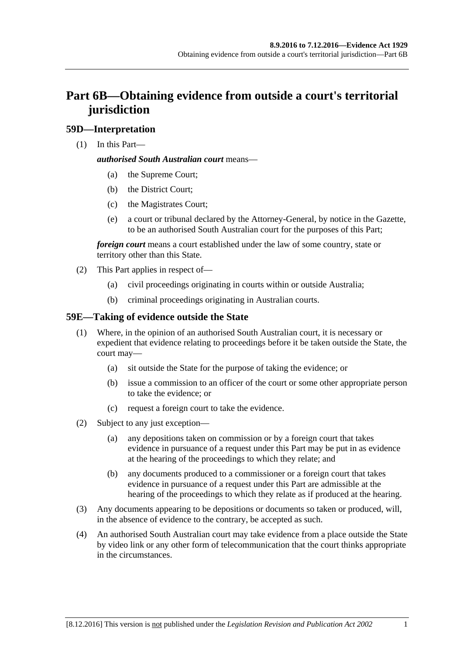# **Part 6B—Obtaining evidence from outside a court's territorial jurisdiction**

# **59D—Interpretation**

(1) In this Part—

### *authorised South Australian court* means—

- (a) the Supreme Court;
- (b) the District Court;
- (c) the Magistrates Court;
- (e) a court or tribunal declared by the Attorney-General, by notice in the Gazette, to be an authorised South Australian court for the purposes of this Part;

*foreign court* means a court established under the law of some country, state or territory other than this State.

- (2) This Part applies in respect of—
	- (a) civil proceedings originating in courts within or outside Australia;
	- (b) criminal proceedings originating in Australian courts.

# **59E—Taking of evidence outside the State**

- (1) Where, in the opinion of an authorised South Australian court, it is necessary or expedient that evidence relating to proceedings before it be taken outside the State, the court may—
	- (a) sit outside the State for the purpose of taking the evidence; or
	- (b) issue a commission to an officer of the court or some other appropriate person to take the evidence; or
	- (c) request a foreign court to take the evidence.
- (2) Subject to any just exception—
	- (a) any depositions taken on commission or by a foreign court that takes evidence in pursuance of a request under this Part may be put in as evidence at the hearing of the proceedings to which they relate; and
	- (b) any documents produced to a commissioner or a foreign court that takes evidence in pursuance of a request under this Part are admissible at the hearing of the proceedings to which they relate as if produced at the hearing.
- (3) Any documents appearing to be depositions or documents so taken or produced, will, in the absence of evidence to the contrary, be accepted as such.
- (4) An authorised South Australian court may take evidence from a place outside the State by video link or any other form of telecommunication that the court thinks appropriate in the circumstances.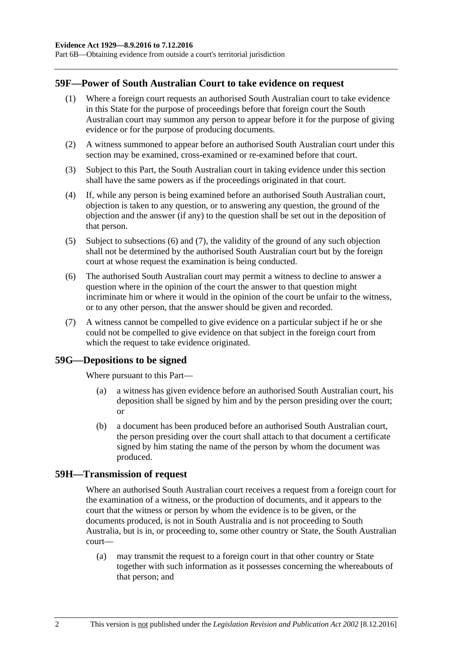Part 6B—Obtaining evidence from outside a court's territorial jurisdiction

#### **59F—Power of South Australian Court to take evidence on request**

- (1) Where a foreign court requests an authorised South Australian court to take evidence in this State for the purpose of proceedings before that foreign court the South Australian court may summon any person to appear before it for the purpose of giving evidence or for the purpose of producing documents.
- (2) A witness summoned to appear before an authorised South Australian court under this section may be examined, cross-examined or re-examined before that court.
- (3) Subject to this Part, the South Australian court in taking evidence under this section shall have the same powers as if the proceedings originated in that court.
- (4) If, while any person is being examined before an authorised South Australian court, objection is taken to any question, or to answering any question, the ground of the objection and the answer (if any) to the question shall be set out in the deposition of that person.
- (5) Subject to [subsections](#page-57-0) (6) and [\(7\),](#page-57-1) the validity of the ground of any such objection shall not be determined by the authorised South Australian court but by the foreign court at whose request the examination is being conducted.
- <span id="page-57-0"></span>(6) The authorised South Australian court may permit a witness to decline to answer a question where in the opinion of the court the answer to that question might incriminate him or where it would in the opinion of the court be unfair to the witness, or to any other person, that the answer should be given and recorded.
- <span id="page-57-1"></span>(7) A witness cannot be compelled to give evidence on a particular subject if he or she could not be compelled to give evidence on that subject in the foreign court from which the request to take evidence originated.

#### **59G—Depositions to be signed**

Where pursuant to this Part—

- (a) a witness has given evidence before an authorised South Australian court, his deposition shall be signed by him and by the person presiding over the court; or
- (b) a document has been produced before an authorised South Australian court, the person presiding over the court shall attach to that document a certificate signed by him stating the name of the person by whom the document was produced.

#### **59H—Transmission of request**

Where an authorised South Australian court receives a request from a foreign court for the examination of a witness, or the production of documents, and it appears to the court that the witness or person by whom the evidence is to be given, or the documents produced, is not in South Australia and is not proceeding to South Australia, but is in, or proceeding to, some other country or State, the South Australian court—

(a) may transmit the request to a foreign court in that other country or State together with such information as it possesses concerning the whereabouts of that person; and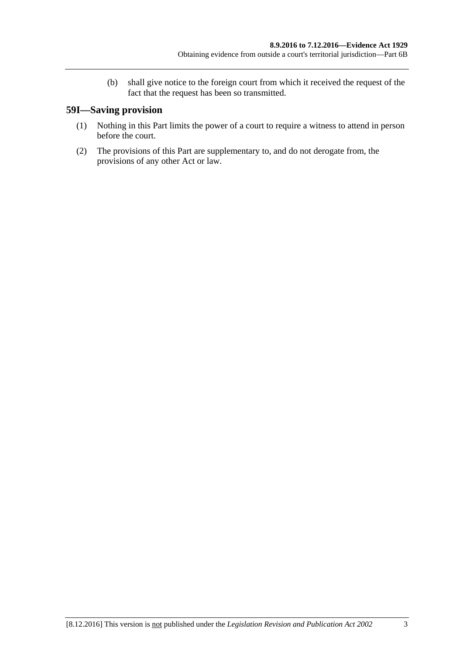(b) shall give notice to the foreign court from which it received the request of the fact that the request has been so transmitted.

# **59I—Saving provision**

- (1) Nothing in this Part limits the power of a court to require a witness to attend in person before the court.
- (2) The provisions of this Part are supplementary to, and do not derogate from, the provisions of any other Act or law.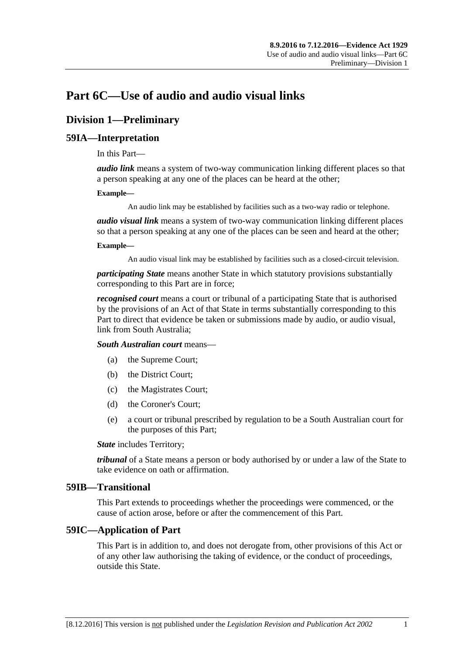# **Part 6C—Use of audio and audio visual links**

# **Division 1—Preliminary**

### **59IA—Interpretation**

In this Part—

*audio link* means a system of two-way communication linking different places so that a person speaking at any one of the places can be heard at the other;

#### **Example—**

An audio link may be established by facilities such as a two-way radio or telephone.

*audio visual link* means a system of two-way communication linking different places so that a person speaking at any one of the places can be seen and heard at the other;

#### **Example—**

An audio visual link may be established by facilities such as a closed-circuit television.

*participating State* means another State in which statutory provisions substantially corresponding to this Part are in force;

*recognised court* means a court or tribunal of a participating State that is authorised by the provisions of an Act of that State in terms substantially corresponding to this Part to direct that evidence be taken or submissions made by audio, or audio visual, link from South Australia;

*South Australian court* means—

- (a) the Supreme Court;
- (b) the District Court;
- (c) the Magistrates Court;
- (d) the Coroner's Court;
- (e) a court or tribunal prescribed by regulation to be a South Australian court for the purposes of this Part;

*State* includes Territory;

*tribunal* of a State means a person or body authorised by or under a law of the State to take evidence on oath or affirmation.

#### **59IB—Transitional**

This Part extends to proceedings whether the proceedings were commenced, or the cause of action arose, before or after the commencement of this Part.

#### **59IC—Application of Part**

This Part is in addition to, and does not derogate from, other provisions of this Act or of any other law authorising the taking of evidence, or the conduct of proceedings, outside this State.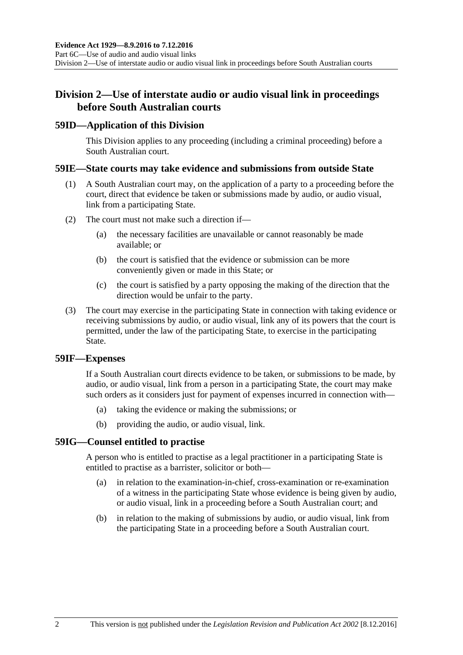# **Division 2—Use of interstate audio or audio visual link in proceedings before South Australian courts**

### **59ID—Application of this Division**

This Division applies to any proceeding (including a criminal proceeding) before a South Australian court.

### **59IE—State courts may take evidence and submissions from outside State**

- (1) A South Australian court may, on the application of a party to a proceeding before the court, direct that evidence be taken or submissions made by audio, or audio visual, link from a participating State.
- (2) The court must not make such a direction if—
	- (a) the necessary facilities are unavailable or cannot reasonably be made available; or
	- (b) the court is satisfied that the evidence or submission can be more conveniently given or made in this State; or
	- (c) the court is satisfied by a party opposing the making of the direction that the direction would be unfair to the party.
- (3) The court may exercise in the participating State in connection with taking evidence or receiving submissions by audio, or audio visual, link any of its powers that the court is permitted, under the law of the participating State, to exercise in the participating State.

#### **59IF—Expenses**

If a South Australian court directs evidence to be taken, or submissions to be made, by audio, or audio visual, link from a person in a participating State, the court may make such orders as it considers just for payment of expenses incurred in connection with—

- (a) taking the evidence or making the submissions; or
- (b) providing the audio, or audio visual, link.

# **59IG—Counsel entitled to practise**

A person who is entitled to practise as a legal practitioner in a participating State is entitled to practise as a barrister, solicitor or both—

- (a) in relation to the examination-in-chief, cross-examination or re-examination of a witness in the participating State whose evidence is being given by audio, or audio visual, link in a proceeding before a South Australian court; and
- (b) in relation to the making of submissions by audio, or audio visual, link from the participating State in a proceeding before a South Australian court.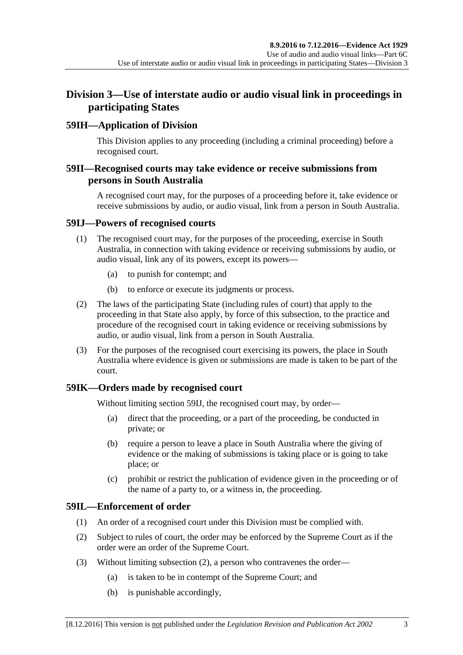# **Division 3—Use of interstate audio or audio visual link in proceedings in participating States**

# **59IH—Application of Division**

This Division applies to any proceeding (including a criminal proceeding) before a recognised court.

# **59II—Recognised courts may take evidence or receive submissions from persons in South Australia**

A recognised court may, for the purposes of a proceeding before it, take evidence or receive submissions by audio, or audio visual, link from a person in South Australia.

### <span id="page-62-0"></span>**59IJ—Powers of recognised courts**

- (1) The recognised court may, for the purposes of the proceeding, exercise in South Australia, in connection with taking evidence or receiving submissions by audio, or audio visual, link any of its powers, except its powers—
	- (a) to punish for contempt; and
	- (b) to enforce or execute its judgments or process.
- (2) The laws of the participating State (including rules of court) that apply to the proceeding in that State also apply, by force of this subsection, to the practice and procedure of the recognised court in taking evidence or receiving submissions by audio, or audio visual, link from a person in South Australia.
- (3) For the purposes of the recognised court exercising its powers, the place in South Australia where evidence is given or submissions are made is taken to be part of the court.

# **59IK—Orders made by recognised court**

Without limiting [section](#page-62-0) 59IJ, the recognised court may, by order—

- (a) direct that the proceeding, or a part of the proceeding, be conducted in private; or
- (b) require a person to leave a place in South Australia where the giving of evidence or the making of submissions is taking place or is going to take place; or
- (c) prohibit or restrict the publication of evidence given in the proceeding or of the name of a party to, or a witness in, the proceeding.

# **59IL—Enforcement of order**

- (1) An order of a recognised court under this Division must be complied with.
- <span id="page-62-1"></span>(2) Subject to rules of court, the order may be enforced by the Supreme Court as if the order were an order of the Supreme Court.
- (3) Without limiting [subsection](#page-62-1) (2), a person who contravenes the order—
	- (a) is taken to be in contempt of the Supreme Court; and
	- (b) is punishable accordingly,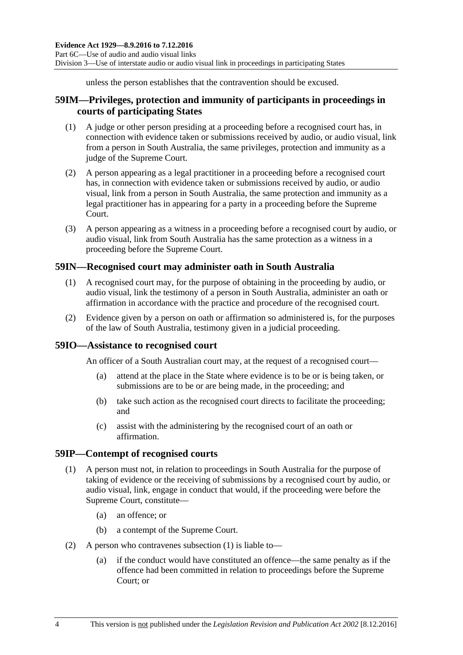unless the person establishes that the contravention should be excused.

# **59IM—Privileges, protection and immunity of participants in proceedings in courts of participating States**

- (1) A judge or other person presiding at a proceeding before a recognised court has, in connection with evidence taken or submissions received by audio, or audio visual, link from a person in South Australia, the same privileges, protection and immunity as a judge of the Supreme Court.
- (2) A person appearing as a legal practitioner in a proceeding before a recognised court has, in connection with evidence taken or submissions received by audio, or audio visual, link from a person in South Australia, the same protection and immunity as a legal practitioner has in appearing for a party in a proceeding before the Supreme Court.
- (3) A person appearing as a witness in a proceeding before a recognised court by audio, or audio visual, link from South Australia has the same protection as a witness in a proceeding before the Supreme Court.

# **59IN—Recognised court may administer oath in South Australia**

- (1) A recognised court may, for the purpose of obtaining in the proceeding by audio, or audio visual, link the testimony of a person in South Australia, administer an oath or affirmation in accordance with the practice and procedure of the recognised court.
- (2) Evidence given by a person on oath or affirmation so administered is, for the purposes of the law of South Australia, testimony given in a judicial proceeding.

# **59IO—Assistance to recognised court**

An officer of a South Australian court may, at the request of a recognised court—

- (a) attend at the place in the State where evidence is to be or is being taken, or submissions are to be or are being made, in the proceeding; and
- (b) take such action as the recognised court directs to facilitate the proceeding; and
- (c) assist with the administering by the recognised court of an oath or affirmation.

#### <span id="page-63-0"></span>**59IP—Contempt of recognised courts**

- (1) A person must not, in relation to proceedings in South Australia for the purpose of taking of evidence or the receiving of submissions by a recognised court by audio, or audio visual, link, engage in conduct that would, if the proceeding were before the Supreme Court, constitute—
	- (a) an offence; or
	- (b) a contempt of the Supreme Court.
- (2) A person who contravenes [subsection](#page-63-0) (1) is liable to—
	- (a) if the conduct would have constituted an offence—the same penalty as if the offence had been committed in relation to proceedings before the Supreme Court; or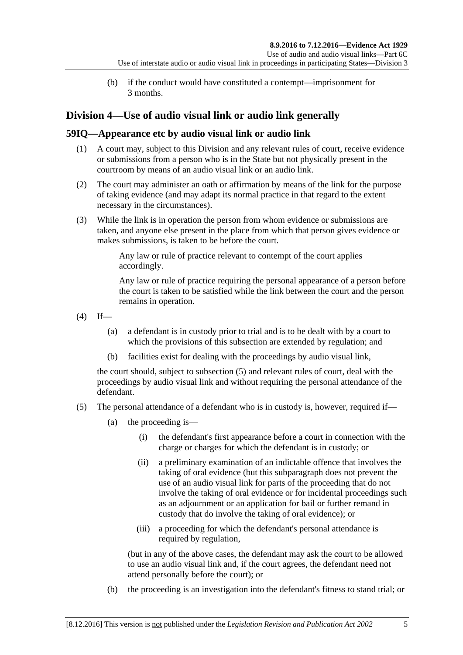(b) if the conduct would have constituted a contempt—imprisonment for 3 months.

# **Division 4—Use of audio visual link or audio link generally**

# **59IQ—Appearance etc by audio visual link or audio link**

- (1) A court may, subject to this Division and any relevant rules of court, receive evidence or submissions from a person who is in the State but not physically present in the courtroom by means of an audio visual link or an audio link.
- (2) The court may administer an oath or affirmation by means of the link for the purpose of taking evidence (and may adapt its normal practice in that regard to the extent necessary in the circumstances).
- (3) While the link is in operation the person from whom evidence or submissions are taken, and anyone else present in the place from which that person gives evidence or makes submissions, is taken to be before the court.

Any law or rule of practice relevant to contempt of the court applies accordingly.

Any law or rule of practice requiring the personal appearance of a person before the court is taken to be satisfied while the link between the court and the person remains in operation.

- <span id="page-64-1"></span> $(4)$  If—
	- (a) a defendant is in custody prior to trial and is to be dealt with by a court to which the provisions of this subsection are extended by regulation; and
	- (b) facilities exist for dealing with the proceedings by audio visual link,

the court should, subject to [subsection](#page-64-0) (5) and relevant rules of court, deal with the proceedings by audio visual link and without requiring the personal attendance of the defendant.

- <span id="page-64-0"></span>(5) The personal attendance of a defendant who is in custody is, however, required if—
	- (a) the proceeding is—
		- (i) the defendant's first appearance before a court in connection with the charge or charges for which the defendant is in custody; or
		- (ii) a preliminary examination of an indictable offence that involves the taking of oral evidence (but this subparagraph does not prevent the use of an audio visual link for parts of the proceeding that do not involve the taking of oral evidence or for incidental proceedings such as an adjournment or an application for bail or further remand in custody that do involve the taking of oral evidence); or
		- (iii) a proceeding for which the defendant's personal attendance is required by regulation,

(but in any of the above cases, the defendant may ask the court to be allowed to use an audio visual link and, if the court agrees, the defendant need not attend personally before the court); or

(b) the proceeding is an investigation into the defendant's fitness to stand trial; or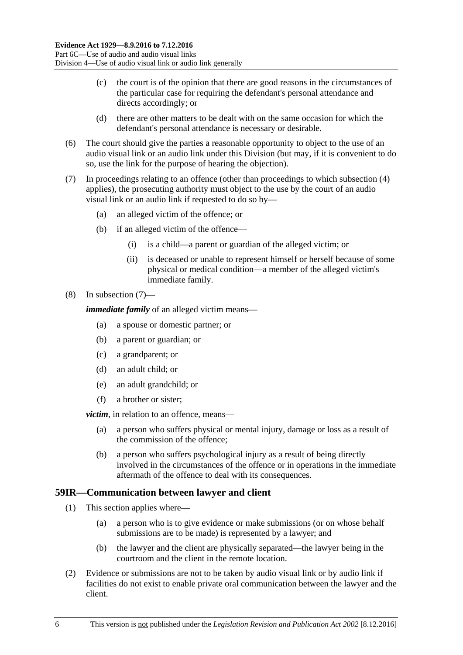- (c) the court is of the opinion that there are good reasons in the circumstances of the particular case for requiring the defendant's personal attendance and directs accordingly; or
- (d) there are other matters to be dealt with on the same occasion for which the defendant's personal attendance is necessary or desirable.
- (6) The court should give the parties a reasonable opportunity to object to the use of an audio visual link or an audio link under this Division (but may, if it is convenient to do so, use the link for the purpose of hearing the objection).
- <span id="page-65-0"></span>(7) In proceedings relating to an offence (other than proceedings to which [subsection](#page-64-1) (4) applies), the prosecuting authority must object to the use by the court of an audio visual link or an audio link if requested to do so by—
	- (a) an alleged victim of the offence; or
	- (b) if an alleged victim of the offence—
		- (i) is a child—a parent or guardian of the alleged victim; or
		- (ii) is deceased or unable to represent himself or herself because of some physical or medical condition—a member of the alleged victim's immediate family.

#### (8) In [subsection](#page-65-0) (7)—

*immediate family* of an alleged victim means—

- (a) a spouse or domestic partner; or
- (b) a parent or guardian; or
- (c) a grandparent; or
- (d) an adult child; or
- (e) an adult grandchild; or
- (f) a brother or sister;

*victim*, in relation to an offence, means—

- (a) a person who suffers physical or mental injury, damage or loss as a result of the commission of the offence;
- (b) a person who suffers psychological injury as a result of being directly involved in the circumstances of the offence or in operations in the immediate aftermath of the offence to deal with its consequences.

#### **59IR—Communication between lawyer and client**

- (1) This section applies where—
	- (a) a person who is to give evidence or make submissions (or on whose behalf submissions are to be made) is represented by a lawyer; and
	- (b) the lawyer and the client are physically separated—the lawyer being in the courtroom and the client in the remote location.
- (2) Evidence or submissions are not to be taken by audio visual link or by audio link if facilities do not exist to enable private oral communication between the lawyer and the client.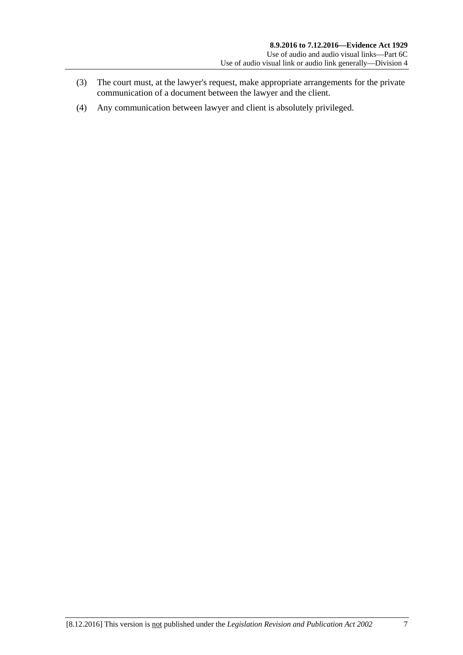- (3) The court must, at the lawyer's request, make appropriate arrangements for the private communication of a document between the lawyer and the client.
- (4) Any communication between lawyer and client is absolutely privileged.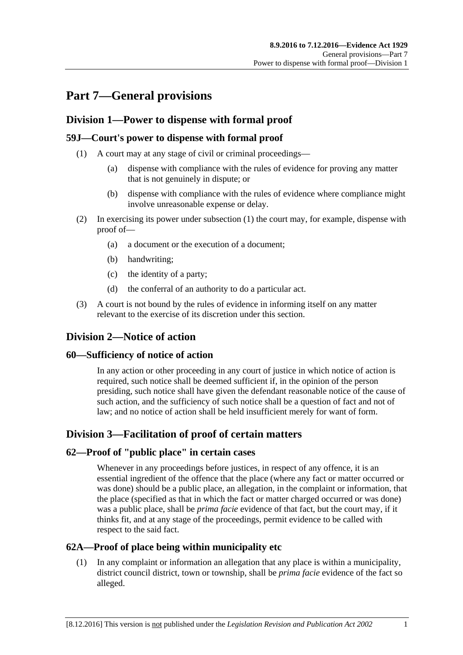# **Part 7—General provisions**

# **Division 1—Power to dispense with formal proof**

# <span id="page-68-0"></span>**59J—Court's power to dispense with formal proof**

- (1) A court may at any stage of civil or criminal proceedings—
	- (a) dispense with compliance with the rules of evidence for proving any matter that is not genuinely in dispute; or
	- (b) dispense with compliance with the rules of evidence where compliance might involve unreasonable expense or delay.
- (2) In exercising its power under [subsection](#page-68-0) (1) the court may, for example, dispense with proof of—
	- (a) a document or the execution of a document;
	- (b) handwriting;
	- (c) the identity of a party;
	- (d) the conferral of an authority to do a particular act.
- (3) A court is not bound by the rules of evidence in informing itself on any matter relevant to the exercise of its discretion under this section.

# **Division 2—Notice of action**

# **60—Sufficiency of notice of action**

In any action or other proceeding in any court of justice in which notice of action is required, such notice shall be deemed sufficient if, in the opinion of the person presiding, such notice shall have given the defendant reasonable notice of the cause of such action, and the sufficiency of such notice shall be a question of fact and not of law; and no notice of action shall be held insufficient merely for want of form.

# **Division 3—Facilitation of proof of certain matters**

# **62—Proof of "public place" in certain cases**

Whenever in any proceedings before justices, in respect of any offence, it is an essential ingredient of the offence that the place (where any fact or matter occurred or was done) should be a public place, an allegation, in the complaint or information, that the place (specified as that in which the fact or matter charged occurred or was done) was a public place, shall be *prima facie* evidence of that fact, but the court may, if it thinks fit, and at any stage of the proceedings, permit evidence to be called with respect to the said fact.

# **62A—Proof of place being within municipality etc**

(1) In any complaint or information an allegation that any place is within a municipality, district council district, town or township, shall be *prima facie* evidence of the fact so alleged.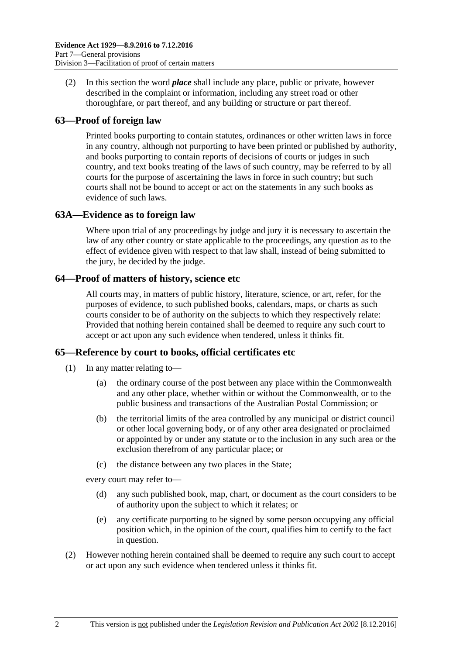(2) In this section the word *place* shall include any place, public or private, however described in the complaint or information, including any street road or other thoroughfare, or part thereof, and any building or structure or part thereof.

# **63—Proof of foreign law**

Printed books purporting to contain statutes, ordinances or other written laws in force in any country, although not purporting to have been printed or published by authority, and books purporting to contain reports of decisions of courts or judges in such country, and text books treating of the laws of such country, may be referred to by all courts for the purpose of ascertaining the laws in force in such country; but such courts shall not be bound to accept or act on the statements in any such books as evidence of such laws.

# **63A—Evidence as to foreign law**

Where upon trial of any proceedings by judge and jury it is necessary to ascertain the law of any other country or state applicable to the proceedings, any question as to the effect of evidence given with respect to that law shall, instead of being submitted to the jury, be decided by the judge.

# **64—Proof of matters of history, science etc**

All courts may, in matters of public history, literature, science, or art, refer, for the purposes of evidence, to such published books, calendars, maps, or charts as such courts consider to be of authority on the subjects to which they respectively relate: Provided that nothing herein contained shall be deemed to require any such court to accept or act upon any such evidence when tendered, unless it thinks fit.

# **65—Reference by court to books, official certificates etc**

- (1) In any matter relating to—
	- (a) the ordinary course of the post between any place within the Commonwealth and any other place, whether within or without the Commonwealth, or to the public business and transactions of the Australian Postal Commission; or
	- (b) the territorial limits of the area controlled by any municipal or district council or other local governing body, or of any other area designated or proclaimed or appointed by or under any statute or to the inclusion in any such area or the exclusion therefrom of any particular place; or
	- (c) the distance between any two places in the State;

every court may refer to—

- (d) any such published book, map, chart, or document as the court considers to be of authority upon the subject to which it relates; or
- (e) any certificate purporting to be signed by some person occupying any official position which, in the opinion of the court, qualifies him to certify to the fact in question.
- (2) However nothing herein contained shall be deemed to require any such court to accept or act upon any such evidence when tendered unless it thinks fit.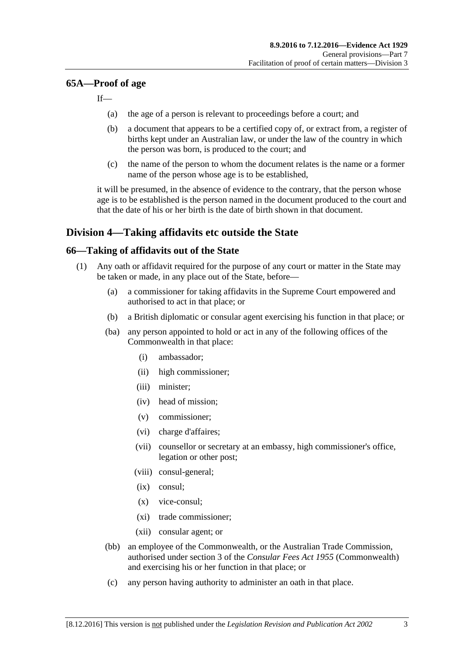# **65A—Proof of age**

If—

- (a) the age of a person is relevant to proceedings before a court; and
- (b) a document that appears to be a certified copy of, or extract from, a register of births kept under an Australian law, or under the law of the country in which the person was born, is produced to the court; and
- (c) the name of the person to whom the document relates is the name or a former name of the person whose age is to be established,

it will be presumed, in the absence of evidence to the contrary, that the person whose age is to be established is the person named in the document produced to the court and that the date of his or her birth is the date of birth shown in that document.

# **Division 4—Taking affidavits etc outside the State**

# <span id="page-70-3"></span>**66—Taking of affidavits out of the State**

- <span id="page-70-2"></span><span id="page-70-1"></span><span id="page-70-0"></span>(1) Any oath or affidavit required for the purpose of any court or matter in the State may be taken or made, in any place out of the State, before—
	- (a) a commissioner for taking affidavits in the Supreme Court empowered and authorised to act in that place; or
	- (b) a British diplomatic or consular agent exercising his function in that place; or
	- (ba) any person appointed to hold or act in any of the following offices of the Commonwealth in that place:
		- (i) ambassador;
		- (ii) high commissioner;
		- (iii) minister;
		- (iv) head of mission;
		- (v) commissioner;
		- (vi) charge d'affaires;
		- (vii) counsellor or secretary at an embassy, high commissioner's office, legation or other post;
		- (viii) consul-general;
		- (ix) consul;
		- (x) vice-consul;
		- (xi) trade commissioner;
		- (xii) consular agent; or
	- (bb) an employee of the Commonwealth, or the Australian Trade Commission, authorised under section 3 of the *Consular Fees Act 1955* (Commonwealth) and exercising his or her function in that place; or
	- (c) any person having authority to administer an oath in that place.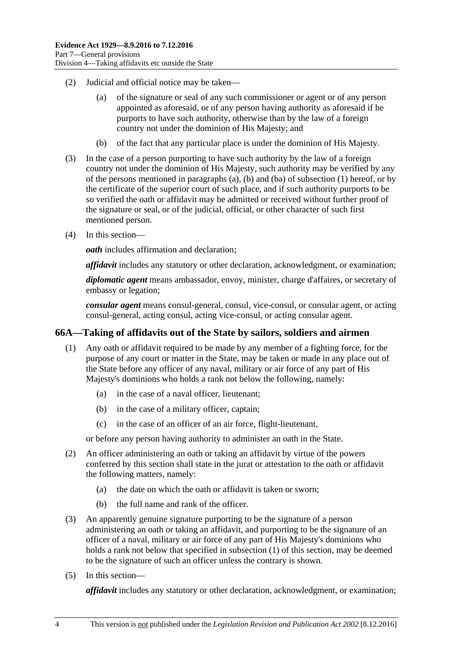- (2) Judicial and official notice may be taken—
	- (a) of the signature or seal of any such commissioner or agent or of any person appointed as aforesaid, or of any person having authority as aforesaid if he purports to have such authority, otherwise than by the law of a foreign country not under the dominion of His Majesty; and
	- (b) of the fact that any particular place is under the dominion of His Majesty.
- (3) In the case of a person purporting to have such authority by the law of a foreign country not under the dominion of His Majesty, such authority may be verified by any of the persons mentioned in [paragraphs](#page-70-0) (a), [\(b\)](#page-70-1) and [\(ba\)](#page-70-2) of [subsection](#page-70-3) (1) hereof, or by the certificate of the superior court of such place, and if such authority purports to be so verified the oath or affidavit may be admitted or received without further proof of the signature or seal, or of the judicial, official, or other character of such first mentioned person.
- (4) In this section—

*oath* includes affirmation and declaration;

*affidavit* includes any statutory or other declaration, acknowledgment, or examination;

*diplomatic agent* means ambassador, envoy, minister, charge d'affaires, or secretary of embassy or legation;

*consular agent* means consul-general, consul, vice-consul, or consular agent, or acting consul-general, acting consul, acting vice-consul, or acting consular agent.

# <span id="page-71-0"></span>**66A—Taking of affidavits out of the State by sailors, soldiers and airmen**

- (1) Any oath or affidavit required to be made by any member of a fighting force, for the purpose of any court or matter in the State, may be taken or made in any place out of the State before any officer of any naval, military or air force of any part of His Majesty's dominions who holds a rank not below the following, namely:
	- (a) in the case of a naval officer, lieutenant;
	- (b) in the case of a military officer, captain;
	- (c) in the case of an officer of an air force, flight-lieutenant,

or before any person having authority to administer an oath in the State.

- (2) An officer administering an oath or taking an affidavit by virtue of the powers conferred by this section shall state in the jurat or attestation to the oath or affidavit the following matters, namely:
	- (a) the date on which the oath or affidavit is taken or sworn;
	- (b) the full name and rank of the officer.
- (3) An apparently genuine signature purporting to be the signature of a person administering an oath or taking an affidavit, and purporting to be the signature of an officer of a naval, military or air force of any part of His Majesty's dominions who holds a rank not below that specified in [subsection](#page-71-0) (1) of this section, may be deemed to be the signature of such an officer unless the contrary is shown.
- (5) In this section—

*affidavit* includes any statutory or other declaration, acknowledgment, or examination;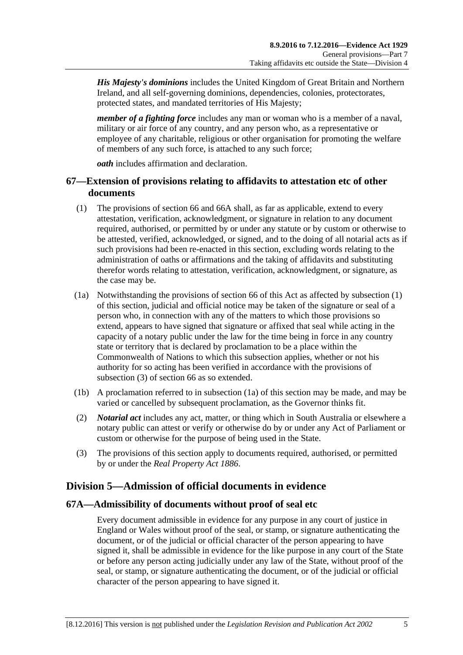*His Majesty's dominions* includes the United Kingdom of Great Britain and Northern Ireland, and all self-governing dominions, dependencies, colonies, protectorates, protected states, and mandated territories of His Majesty;

*member of a fighting force* includes any man or woman who is a member of a naval, military or air force of any country, and any person who, as a representative or employee of any charitable, religious or other organisation for promoting the welfare of members of any such force, is attached to any such force;

*oath* includes affirmation and declaration.

## **67—Extension of provisions relating to affidavits to attestation etc of other documents**

- <span id="page-72-0"></span>(1) The provisions of [section](#page-70-0) 66 and [66A](#page-71-0) shall, as far as applicable, extend to every attestation, verification, acknowledgment, or signature in relation to any document required, authorised, or permitted by or under any statute or by custom or otherwise to be attested, verified, acknowledged, or signed, and to the doing of all notarial acts as if such provisions had been re-enacted in this section, excluding words relating to the administration of oaths or affirmations and the taking of affidavits and substituting therefor words relating to attestation, verification, acknowledgment, or signature, as the case may be.
- <span id="page-72-2"></span>(1a) Notwithstanding the provisions of [section](#page-70-0) 66 of this Act as affected by [subsection](#page-72-0) (1) of this section, judicial and official notice may be taken of the signature or seal of a person who, in connection with any of the matters to which those provisions so extend, appears to have signed that signature or affixed that seal while acting in the capacity of a notary public under the law for the time being in force in any country state or territory that is declared by proclamation to be a place within the Commonwealth of Nations to which this subsection applies, whether or not his authority for so acting has been verified in accordance with the provisions of [subsection](#page-72-1) (3) of [section](#page-70-0) 66 as so extended.
- (1b) A proclamation referred to in [subsection](#page-72-2) (1a) of this section may be made, and may be varied or cancelled by subsequent proclamation, as the Governor thinks fit.
- (2) *Notarial act* includes any act, matter, or thing which in South Australia or elsewhere a notary public can attest or verify or otherwise do by or under any Act of Parliament or custom or otherwise for the purpose of being used in the State.
- <span id="page-72-1"></span>(3) The provisions of this section apply to documents required, authorised, or permitted by or under the *[Real Property Act](http://www.legislation.sa.gov.au/index.aspx?action=legref&type=act&legtitle=Real%20Property%20Act%201886) 1886*.

# **Division 5—Admission of official documents in evidence**

#### **67A—Admissibility of documents without proof of seal etc**

Every document admissible in evidence for any purpose in any court of justice in England or Wales without proof of the seal, or stamp, or signature authenticating the document, or of the judicial or official character of the person appearing to have signed it, shall be admissible in evidence for the like purpose in any court of the State or before any person acting judicially under any law of the State, without proof of the seal, or stamp, or signature authenticating the document, or of the judicial or official character of the person appearing to have signed it.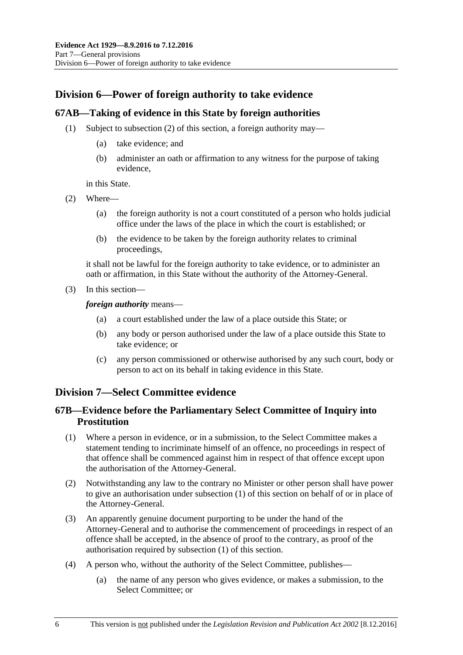## **Division 6—Power of foreign authority to take evidence**

#### **67AB—Taking of evidence in this State by foreign authorities**

- (1) Subject to [subsection](#page-73-0) (2) of this section, a foreign authority may—
	- (a) take evidence; and
	- (b) administer an oath or affirmation to any witness for the purpose of taking evidence,

in this State.

- <span id="page-73-0"></span>(2) Where—
	- (a) the foreign authority is not a court constituted of a person who holds judicial office under the laws of the place in which the court is established; or
	- (b) the evidence to be taken by the foreign authority relates to criminal proceedings,

it shall not be lawful for the foreign authority to take evidence, or to administer an oath or affirmation, in this State without the authority of the Attorney-General.

(3) In this section—

*foreign authority* means—

- (a) a court established under the law of a place outside this State; or
- (b) any body or person authorised under the law of a place outside this State to take evidence; or
- (c) any person commissioned or otherwise authorised by any such court, body or person to act on its behalf in taking evidence in this State.

## **Division 7—Select Committee evidence**

#### **67B—Evidence before the Parliamentary Select Committee of Inquiry into Prostitution**

- <span id="page-73-1"></span>(1) Where a person in evidence, or in a submission, to the Select Committee makes a statement tending to incriminate himself of an offence, no proceedings in respect of that offence shall be commenced against him in respect of that offence except upon the authorisation of the Attorney-General.
- (2) Notwithstanding any law to the contrary no Minister or other person shall have power to give an authorisation under [subsection](#page-73-1) (1) of this section on behalf of or in place of the Attorney-General.
- (3) An apparently genuine document purporting to be under the hand of the Attorney-General and to authorise the commencement of proceedings in respect of an offence shall be accepted, in the absence of proof to the contrary, as proof of the authorisation required by [subsection](#page-73-1) (1) of this section.
- (4) A person who, without the authority of the Select Committee, publishes—
	- (a) the name of any person who gives evidence, or makes a submission, to the Select Committee; or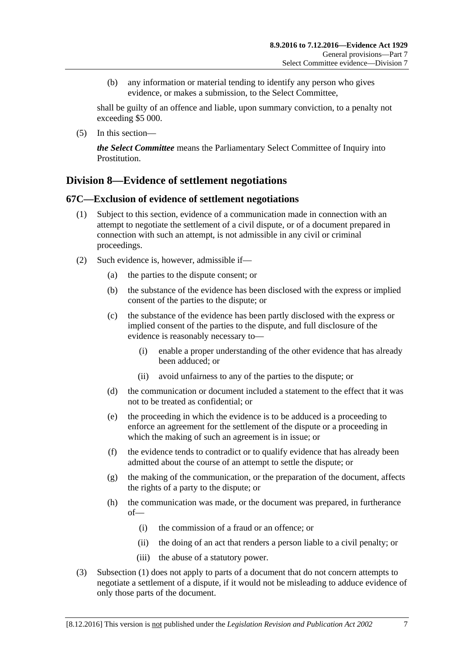(b) any information or material tending to identify any person who gives evidence, or makes a submission, to the Select Committee,

shall be guilty of an offence and liable, upon summary conviction, to a penalty not exceeding \$5 000.

(5) In this section—

*the Select Committee* means the Parliamentary Select Committee of Inquiry into Prostitution.

## **Division 8—Evidence of settlement negotiations**

#### <span id="page-74-0"></span>**67C—Exclusion of evidence of settlement negotiations**

- (1) Subject to this section, evidence of a communication made in connection with an attempt to negotiate the settlement of a civil dispute, or of a document prepared in connection with such an attempt, is not admissible in any civil or criminal proceedings.
- (2) Such evidence is, however, admissible if—
	- (a) the parties to the dispute consent; or
	- (b) the substance of the evidence has been disclosed with the express or implied consent of the parties to the dispute; or
	- (c) the substance of the evidence has been partly disclosed with the express or implied consent of the parties to the dispute, and full disclosure of the evidence is reasonably necessary to—
		- (i) enable a proper understanding of the other evidence that has already been adduced; or
		- (ii) avoid unfairness to any of the parties to the dispute; or
	- (d) the communication or document included a statement to the effect that it was not to be treated as confidential; or
	- (e) the proceeding in which the evidence is to be adduced is a proceeding to enforce an agreement for the settlement of the dispute or a proceeding in which the making of such an agreement is in issue; or
	- (f) the evidence tends to contradict or to qualify evidence that has already been admitted about the course of an attempt to settle the dispute; or
	- (g) the making of the communication, or the preparation of the document, affects the rights of a party to the dispute; or
	- (h) the communication was made, or the document was prepared, in furtherance of—
		- (i) the commission of a fraud or an offence; or
		- (ii) the doing of an act that renders a person liable to a civil penalty; or
		- (iii) the abuse of a statutory power.
- (3) [Subsection](#page-74-0) (1) does not apply to parts of a document that do not concern attempts to negotiate a settlement of a dispute, if it would not be misleading to adduce evidence of only those parts of the document.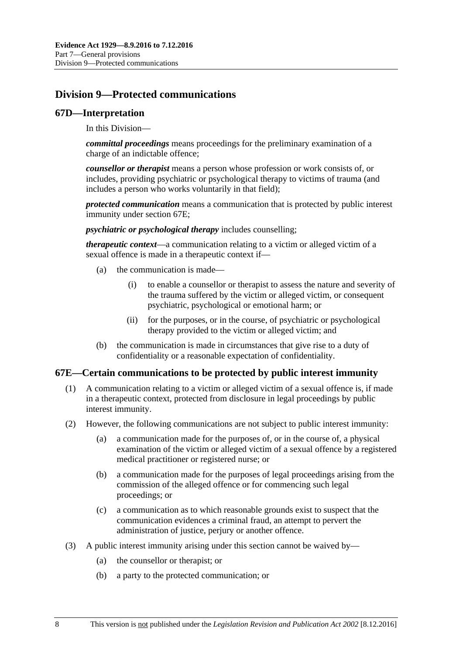# **Division 9—Protected communications**

#### **67D—Interpretation**

In this Division—

*committal proceedings* means proceedings for the preliminary examination of a charge of an indictable offence;

*counsellor or therapist* means a person whose profession or work consists of, or includes, providing psychiatric or psychological therapy to victims of trauma (and includes a person who works voluntarily in that field);

*protected communication* means a communication that is protected by public interest immunity under [section](#page-75-0) 67E;

*psychiatric or psychological therapy* includes counselling;

*therapeutic context*—a communication relating to a victim or alleged victim of a sexual offence is made in a therapeutic context if—

- (a) the communication is made—
	- (i) to enable a counsellor or therapist to assess the nature and severity of the trauma suffered by the victim or alleged victim, or consequent psychiatric, psychological or emotional harm; or
	- (ii) for the purposes, or in the course, of psychiatric or psychological therapy provided to the victim or alleged victim; and
- (b) the communication is made in circumstances that give rise to a duty of confidentiality or a reasonable expectation of confidentiality.

#### <span id="page-75-0"></span>**67E—Certain communications to be protected by public interest immunity**

- (1) A communication relating to a victim or alleged victim of a sexual offence is, if made in a therapeutic context, protected from disclosure in legal proceedings by public interest immunity.
- (2) However, the following communications are not subject to public interest immunity:
	- (a) a communication made for the purposes of, or in the course of, a physical examination of the victim or alleged victim of a sexual offence by a registered medical practitioner or registered nurse; or
	- (b) a communication made for the purposes of legal proceedings arising from the commission of the alleged offence or for commencing such legal proceedings; or
	- (c) a communication as to which reasonable grounds exist to suspect that the communication evidences a criminal fraud, an attempt to pervert the administration of justice, perjury or another offence.
- (3) A public interest immunity arising under this section cannot be waived by—
	- (a) the counsellor or therapist; or
	- (b) a party to the protected communication; or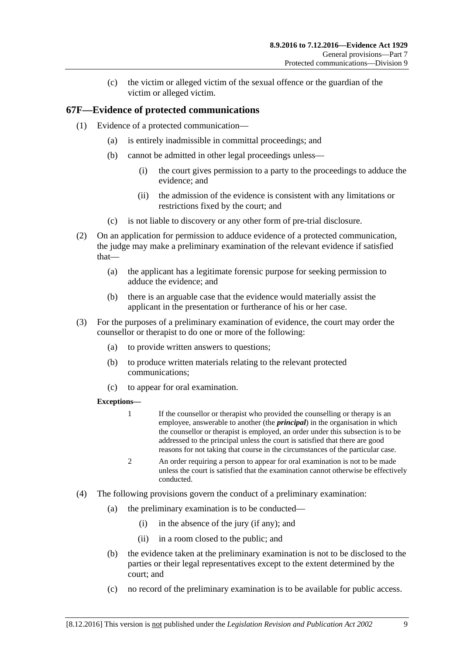(c) the victim or alleged victim of the sexual offence or the guardian of the victim or alleged victim.

## **67F—Evidence of protected communications**

- (1) Evidence of a protected communication—
	- (a) is entirely inadmissible in committal proceedings; and
	- (b) cannot be admitted in other legal proceedings unless—
		- (i) the court gives permission to a party to the proceedings to adduce the evidence; and
		- (ii) the admission of the evidence is consistent with any limitations or restrictions fixed by the court; and
	- (c) is not liable to discovery or any other form of pre-trial disclosure.
- (2) On an application for permission to adduce evidence of a protected communication, the judge may make a preliminary examination of the relevant evidence if satisfied that—
	- (a) the applicant has a legitimate forensic purpose for seeking permission to adduce the evidence; and
	- (b) there is an arguable case that the evidence would materially assist the applicant in the presentation or furtherance of his or her case.
- (3) For the purposes of a preliminary examination of evidence, the court may order the counsellor or therapist to do one or more of the following:
	- (a) to provide written answers to questions;
	- (b) to produce written materials relating to the relevant protected communications;
	- (c) to appear for oral examination.

#### **Exceptions—**

- 1 If the counsellor or therapist who provided the counselling or therapy is an employee, answerable to another (the *principal*) in the organisation in which the counsellor or therapist is employed, an order under this subsection is to be addressed to the principal unless the court is satisfied that there are good reasons for not taking that course in the circumstances of the particular case.
- 2 An order requiring a person to appear for oral examination is not to be made unless the court is satisfied that the examination cannot otherwise be effectively conducted.
- (4) The following provisions govern the conduct of a preliminary examination:
	- (a) the preliminary examination is to be conducted—
		- (i) in the absence of the jury (if any); and
		- (ii) in a room closed to the public; and
	- (b) the evidence taken at the preliminary examination is not to be disclosed to the parties or their legal representatives except to the extent determined by the court; and
	- (c) no record of the preliminary examination is to be available for public access.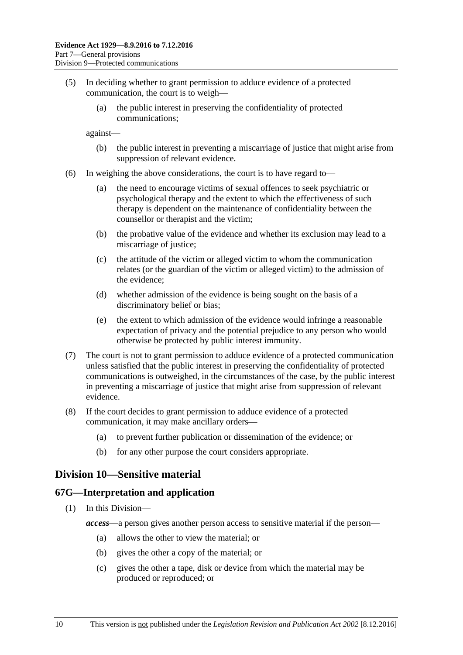- (5) In deciding whether to grant permission to adduce evidence of a protected communication, the court is to weigh—
	- (a) the public interest in preserving the confidentiality of protected communications;

against—

- (b) the public interest in preventing a miscarriage of justice that might arise from suppression of relevant evidence.
- (6) In weighing the above considerations, the court is to have regard to—
	- (a) the need to encourage victims of sexual offences to seek psychiatric or psychological therapy and the extent to which the effectiveness of such therapy is dependent on the maintenance of confidentiality between the counsellor or therapist and the victim;
	- (b) the probative value of the evidence and whether its exclusion may lead to a miscarriage of justice;
	- (c) the attitude of the victim or alleged victim to whom the communication relates (or the guardian of the victim or alleged victim) to the admission of the evidence;
	- (d) whether admission of the evidence is being sought on the basis of a discriminatory belief or bias;
	- (e) the extent to which admission of the evidence would infringe a reasonable expectation of privacy and the potential prejudice to any person who would otherwise be protected by public interest immunity.
- (7) The court is not to grant permission to adduce evidence of a protected communication unless satisfied that the public interest in preserving the confidentiality of protected communications is outweighed, in the circumstances of the case, by the public interest in preventing a miscarriage of justice that might arise from suppression of relevant evidence.
- (8) If the court decides to grant permission to adduce evidence of a protected communication, it may make ancillary orders—
	- (a) to prevent further publication or dissemination of the evidence; or
	- (b) for any other purpose the court considers appropriate.

## **Division 10—Sensitive material**

#### **67G—Interpretation and application**

- (1) In this Division
	- *access*—a person gives another person access to sensitive material if the person—
		- (a) allows the other to view the material; or
		- (b) gives the other a copy of the material; or
		- (c) gives the other a tape, disk or device from which the material may be produced or reproduced; or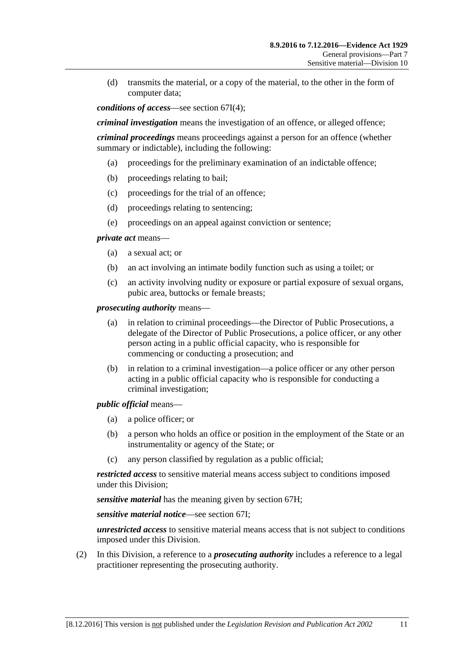(d) transmits the material, or a copy of the material, to the other in the form of computer data;

*conditions of access*—see [section](#page-80-0) 67I(4);

*criminal investigation* means the investigation of an offence, or alleged offence;

*criminal proceedings* means proceedings against a person for an offence (whether summary or indictable), including the following:

- (a) proceedings for the preliminary examination of an indictable offence;
- (b) proceedings relating to bail;
- (c) proceedings for the trial of an offence;
- (d) proceedings relating to sentencing;
- (e) proceedings on an appeal against conviction or sentence;

*private act* means—

- (a) a sexual act; or
- (b) an act involving an intimate bodily function such as using a toilet; or
- (c) an activity involving nudity or exposure or partial exposure of sexual organs, pubic area, buttocks or female breasts;

*prosecuting authority* means—

- (a) in relation to criminal proceedings—the Director of Public Prosecutions, a delegate of the Director of Public Prosecutions, a police officer, or any other person acting in a public official capacity, who is responsible for commencing or conducting a prosecution; and
- (b) in relation to a criminal investigation—a police officer or any other person acting in a public official capacity who is responsible for conducting a criminal investigation;

*public official* means—

- (a) a police officer; or
- (b) a person who holds an office or position in the employment of the State or an instrumentality or agency of the State; or
- (c) any person classified by regulation as a public official;

*restricted access* to sensitive material means access subject to conditions imposed under this Division;

*sensitive material* has the meaning given by [section](#page-79-0) 67H;

*sensitive material notice*—see [section](#page-79-1) 67I;

*unrestricted access* to sensitive material means access that is not subject to conditions imposed under this Division.

(2) In this Division, a reference to a *prosecuting authority* includes a reference to a legal practitioner representing the prosecuting authority.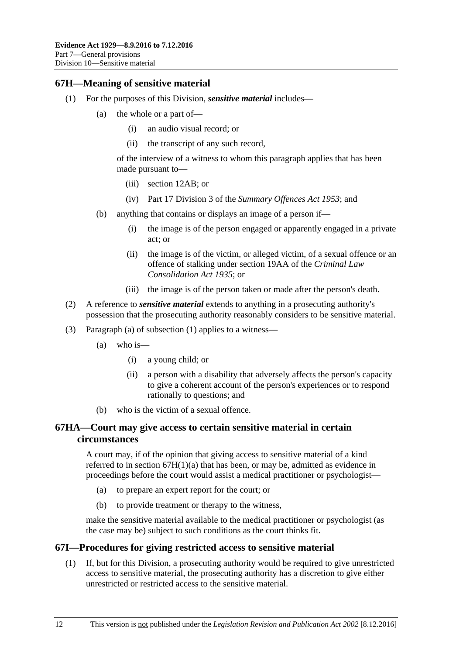#### <span id="page-79-3"></span><span id="page-79-0"></span>**67H—Meaning of sensitive material**

- <span id="page-79-2"></span>(1) For the purposes of this Division, *sensitive material* includes—
	- (a) the whole or a part of—
		- (i) an audio visual record; or
		- (ii) the transcript of any such record,

of the interview of a witness to whom this paragraph applies that has been made pursuant to—

- (iii) [section](#page-12-0) 12AB; or
- (iv) Part 17 Division 3 of the *[Summary Offences Act](http://www.legislation.sa.gov.au/index.aspx?action=legref&type=act&legtitle=Summary%20Offences%20Act%201953) 1953*; and
- (b) anything that contains or displays an image of a person if—
	- (i) the image is of the person engaged or apparently engaged in a private act; or
	- (ii) the image is of the victim, or alleged victim, of a sexual offence or an offence of stalking under section 19AA of the *[Criminal Law](http://www.legislation.sa.gov.au/index.aspx?action=legref&type=act&legtitle=Criminal%20Law%20Consolidation%20Act%201935)  [Consolidation Act](http://www.legislation.sa.gov.au/index.aspx?action=legref&type=act&legtitle=Criminal%20Law%20Consolidation%20Act%201935) 1935*; or
	- (iii) the image is of the person taken or made after the person's death.
- (2) A reference to *sensitive material* extends to anything in a prosecuting authority's possession that the prosecuting authority reasonably considers to be sensitive material.
- (3) [Paragraph](#page-79-2) (a) of [subsection](#page-79-3) (1) applies to a witness—
	- (a) who is—
		- (i) a young child; or
		- (ii) a person with a disability that adversely affects the person's capacity to give a coherent account of the person's experiences or to respond rationally to questions; and
	- (b) who is the victim of a sexual offence.

#### **67HA—Court may give access to certain sensitive material in certain circumstances**

A court may, if of the opinion that giving access to sensitive material of a kind referred to in section [67H\(1\)\(a\)](#page-79-2) that has been, or may be, admitted as evidence in proceedings before the court would assist a medical practitioner or psychologist—

- (a) to prepare an expert report for the court; or
- (b) to provide treatment or therapy to the witness,

make the sensitive material available to the medical practitioner or psychologist (as the case may be) subject to such conditions as the court thinks fit.

#### <span id="page-79-1"></span>**67I—Procedures for giving restricted access to sensitive material**

(1) If, but for this Division, a prosecuting authority would be required to give unrestricted access to sensitive material, the prosecuting authority has a discretion to give either unrestricted or restricted access to the sensitive material.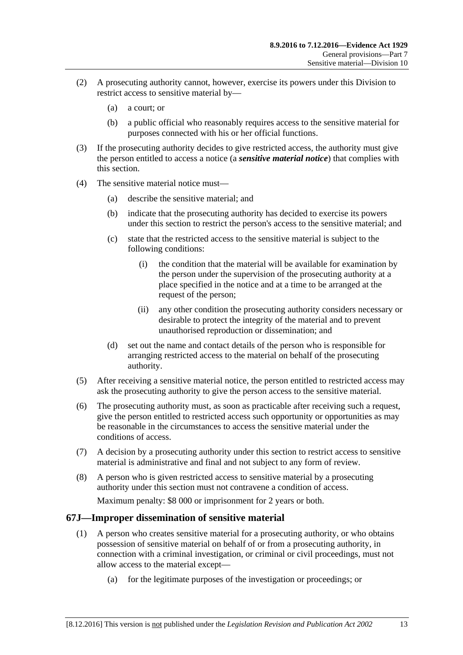- (2) A prosecuting authority cannot, however, exercise its powers under this Division to restrict access to sensitive material by—
	- (a) a court; or
	- (b) a public official who reasonably requires access to the sensitive material for purposes connected with his or her official functions.
- (3) If the prosecuting authority decides to give restricted access, the authority must give the person entitled to access a notice (a *sensitive material notice*) that complies with this section.
- <span id="page-80-0"></span>(4) The sensitive material notice must—
	- (a) describe the sensitive material; and
	- (b) indicate that the prosecuting authority has decided to exercise its powers under this section to restrict the person's access to the sensitive material; and
	- (c) state that the restricted access to the sensitive material is subject to the following conditions:
		- (i) the condition that the material will be available for examination by the person under the supervision of the prosecuting authority at a place specified in the notice and at a time to be arranged at the request of the person;
		- (ii) any other condition the prosecuting authority considers necessary or desirable to protect the integrity of the material and to prevent unauthorised reproduction or dissemination; and
	- (d) set out the name and contact details of the person who is responsible for arranging restricted access to the material on behalf of the prosecuting authority.
- (5) After receiving a sensitive material notice, the person entitled to restricted access may ask the prosecuting authority to give the person access to the sensitive material.
- (6) The prosecuting authority must, as soon as practicable after receiving such a request, give the person entitled to restricted access such opportunity or opportunities as may be reasonable in the circumstances to access the sensitive material under the conditions of access.
- (7) A decision by a prosecuting authority under this section to restrict access to sensitive material is administrative and final and not subject to any form of review.
- (8) A person who is given restricted access to sensitive material by a prosecuting authority under this section must not contravene a condition of access.

Maximum penalty: \$8 000 or imprisonment for 2 years or both.

## <span id="page-80-1"></span>**67J—Improper dissemination of sensitive material**

- (1) A person who creates sensitive material for a prosecuting authority, or who obtains possession of sensitive material on behalf of or from a prosecuting authority, in connection with a criminal investigation, or criminal or civil proceedings, must not allow access to the material except—
	- (a) for the legitimate purposes of the investigation or proceedings; or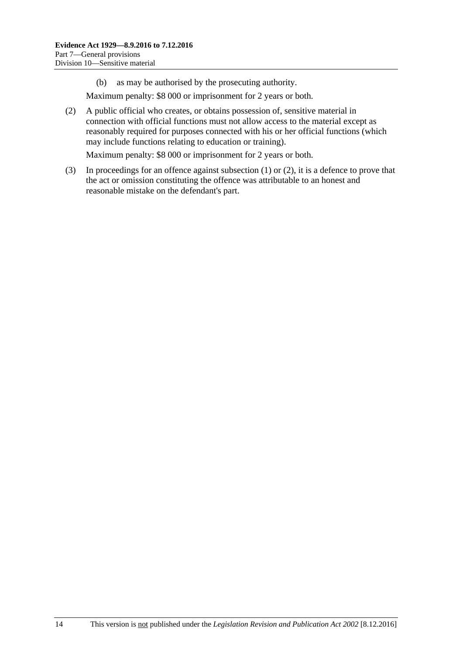(b) as may be authorised by the prosecuting authority.

Maximum penalty: \$8 000 or imprisonment for 2 years or both.

<span id="page-81-0"></span>(2) A public official who creates, or obtains possession of, sensitive material in connection with official functions must not allow access to the material except as reasonably required for purposes connected with his or her official functions (which may include functions relating to education or training).

Maximum penalty: \$8 000 or imprisonment for 2 years or both.

(3) In proceedings for an offence against [subsection](#page-80-1) (1) or [\(2\),](#page-81-0) it is a defence to prove that the act or omission constituting the offence was attributable to an honest and reasonable mistake on the defendant's part.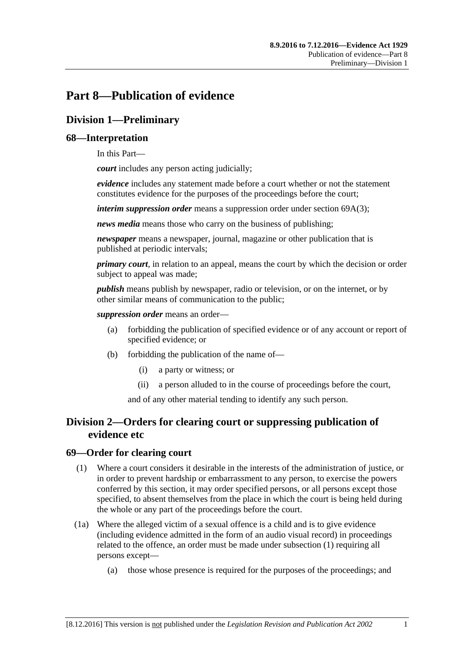# **Part 8—Publication of evidence**

## **Division 1—Preliminary**

### **68—Interpretation**

In this Part—

*court* includes any person acting judicially;

*evidence* includes any statement made before a court whether or not the statement constitutes evidence for the purposes of the proceedings before the court;

*interim suppression order* means a suppression order under section [69A\(3\);](#page-83-0)

*news media* means those who carry on the business of publishing;

*newspaper* means a newspaper, journal, magazine or other publication that is published at periodic intervals;

*primary court*, in relation to an appeal, means the court by which the decision or order subject to appeal was made;

*publish* means publish by newspaper, radio or television, or on the internet, or by other similar means of communication to the public;

*suppression order* means an order—

- (a) forbidding the publication of specified evidence or of any account or report of specified evidence; or
- (b) forbidding the publication of the name of—
	- (i) a party or witness; or
	- (ii) a person alluded to in the course of proceedings before the court,

and of any other material tending to identify any such person.

## **Division 2—Orders for clearing court or suppressing publication of evidence etc**

#### <span id="page-82-0"></span>**69—Order for clearing court**

- (1) Where a court considers it desirable in the interests of the administration of justice, or in order to prevent hardship or embarrassment to any person, to exercise the powers conferred by this section, it may order specified persons, or all persons except those specified, to absent themselves from the place in which the court is being held during the whole or any part of the proceedings before the court.
- (1a) Where the alleged victim of a sexual offence is a child and is to give evidence (including evidence admitted in the form of an audio visual record) in proceedings related to the offence, an order must be made under [subsection](#page-82-0) (1) requiring all persons except—
	- (a) those whose presence is required for the purposes of the proceedings; and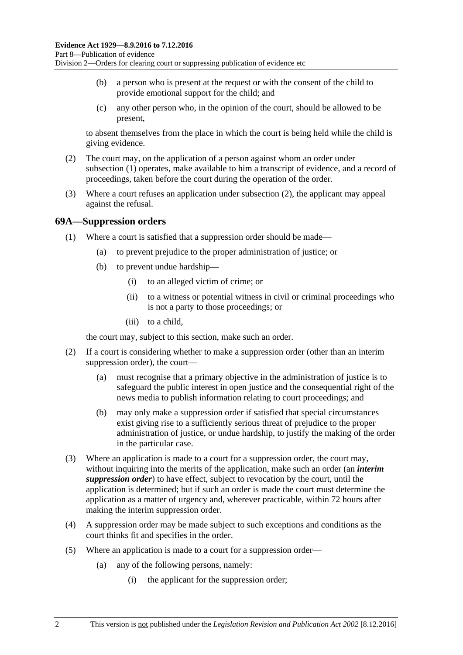- (b) a person who is present at the request or with the consent of the child to provide emotional support for the child; and
- (c) any other person who, in the opinion of the court, should be allowed to be present,

to absent themselves from the place in which the court is being held while the child is giving evidence.

- <span id="page-83-1"></span>(2) The court may, on the application of a person against whom an order under [subsection](#page-82-0) (1) operates, make available to him a transcript of evidence, and a record of proceedings, taken before the court during the operation of the order.
- (3) Where a court refuses an application under [subsection](#page-83-1) (2), the applicant may appeal against the refusal.

#### **69A—Suppression orders**

- (1) Where a court is satisfied that a suppression order should be made—
	- (a) to prevent prejudice to the proper administration of justice; or
	- (b) to prevent undue hardship—
		- (i) to an alleged victim of crime; or
		- (ii) to a witness or potential witness in civil or criminal proceedings who is not a party to those proceedings; or
		- (iii) to a child,

the court may, subject to this section, make such an order.

- (2) If a court is considering whether to make a suppression order (other than an interim suppression order), the court—
	- (a) must recognise that a primary objective in the administration of justice is to safeguard the public interest in open justice and the consequential right of the news media to publish information relating to court proceedings; and
	- (b) may only make a suppression order if satisfied that special circumstances exist giving rise to a sufficiently serious threat of prejudice to the proper administration of justice, or undue hardship, to justify the making of the order in the particular case.
- <span id="page-83-0"></span>(3) Where an application is made to a court for a suppression order, the court may, without inquiring into the merits of the application, make such an order (an *interim suppression order*) to have effect, subject to revocation by the court, until the application is determined; but if such an order is made the court must determine the application as a matter of urgency and, wherever practicable, within 72 hours after making the interim suppression order.
- (4) A suppression order may be made subject to such exceptions and conditions as the court thinks fit and specifies in the order.
- <span id="page-83-2"></span>(5) Where an application is made to a court for a suppression order—
	- (a) any of the following persons, namely:
		- (i) the applicant for the suppression order;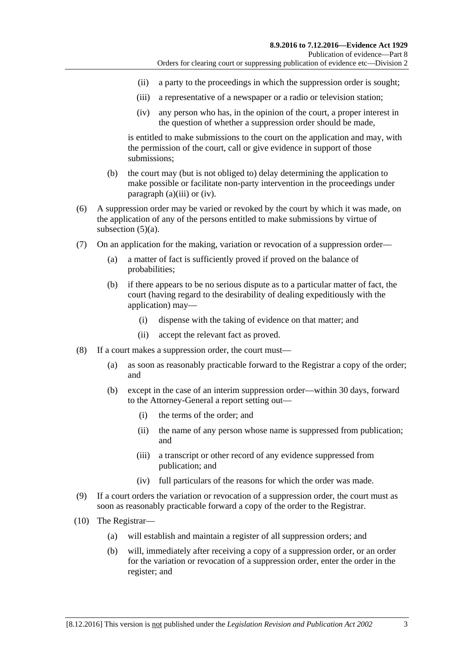- (ii) a party to the proceedings in which the suppression order is sought;
- <span id="page-84-0"></span>(iii) a representative of a newspaper or a radio or television station;
- (iv) any person who has, in the opinion of the court, a proper interest in the question of whether a suppression order should be made,

<span id="page-84-1"></span>is entitled to make submissions to the court on the application and may, with the permission of the court, call or give evidence in support of those submissions;

- (b) the court may (but is not obliged to) delay determining the application to make possible or facilitate non-party intervention in the proceedings under [paragraph](#page-84-0) (a)(iii) or [\(iv\).](#page-84-1)
- (6) A suppression order may be varied or revoked by the court by which it was made, on the application of any of the persons entitled to make submissions by virtue of [subsection](#page-83-2) (5)(a).
- (7) On an application for the making, variation or revocation of a suppression order—
	- (a) a matter of fact is sufficiently proved if proved on the balance of probabilities;
	- (b) if there appears to be no serious dispute as to a particular matter of fact, the court (having regard to the desirability of dealing expeditiously with the application) may—
		- (i) dispense with the taking of evidence on that matter; and
		- (ii) accept the relevant fact as proved.
- (8) If a court makes a suppression order, the court must—
	- (a) as soon as reasonably practicable forward to the Registrar a copy of the order; and
	- (b) except in the case of an interim suppression order—within 30 days, forward to the Attorney-General a report setting out—
		- (i) the terms of the order; and
		- (ii) the name of any person whose name is suppressed from publication; and
		- (iii) a transcript or other record of any evidence suppressed from publication; and
		- (iv) full particulars of the reasons for which the order was made.
- (9) If a court orders the variation or revocation of a suppression order, the court must as soon as reasonably practicable forward a copy of the order to the Registrar.
- (10) The Registrar—
	- (a) will establish and maintain a register of all suppression orders; and
	- (b) will, immediately after receiving a copy of a suppression order, or an order for the variation or revocation of a suppression order, enter the order in the register; and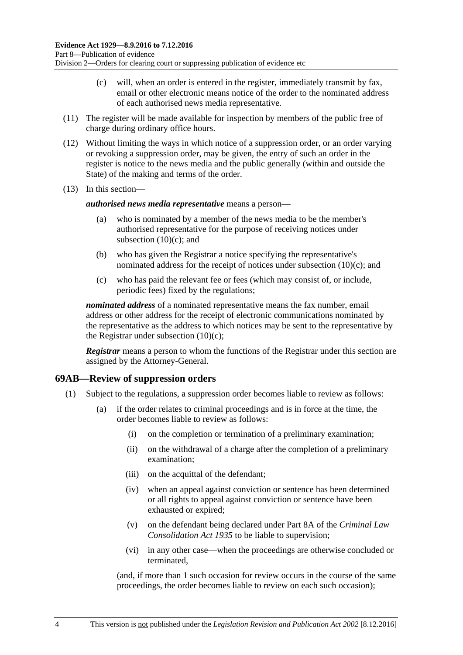- (c) will, when an order is entered in the register, immediately transmit by fax, email or other electronic means notice of the order to the nominated address of each authorised news media representative.
- <span id="page-85-0"></span>(11) The register will be made available for inspection by members of the public free of charge during ordinary office hours.
- (12) Without limiting the ways in which notice of a suppression order, or an order varying or revoking a suppression order, may be given, the entry of such an order in the register is notice to the news media and the public generally (within and outside the State) of the making and terms of the order.
- (13) In this section—

#### *authorised news media representative* means a person—

- (a) who is nominated by a member of the news media to be the member's authorised representative for the purpose of receiving notices under [subsection](#page-85-0)  $(10)(c)$ ; and
- (b) who has given the Registrar a notice specifying the representative's nominated address for the receipt of notices under [subsection](#page-85-0) (10)(c); and
- (c) who has paid the relevant fee or fees (which may consist of, or include, periodic fees) fixed by the regulations;

*nominated address* of a nominated representative means the fax number, email address or other address for the receipt of electronic communications nominated by the representative as the address to which notices may be sent to the representative by the Registrar under [subsection](#page-85-0)  $(10)(c)$ ;

*Registrar* means a person to whom the functions of the Registrar under this section are assigned by the Attorney-General.

#### **69AB—Review of suppression orders**

- (1) Subject to the regulations, a suppression order becomes liable to review as follows:
	- (a) if the order relates to criminal proceedings and is in force at the time, the order becomes liable to review as follows:
		- (i) on the completion or termination of a preliminary examination;
		- (ii) on the withdrawal of a charge after the completion of a preliminary examination;
		- (iii) on the acquittal of the defendant;
		- (iv) when an appeal against conviction or sentence has been determined or all rights to appeal against conviction or sentence have been exhausted or expired;
		- (v) on the defendant being declared under Part 8A of the *[Criminal Law](http://www.legislation.sa.gov.au/index.aspx?action=legref&type=act&legtitle=Criminal%20Law%20Consolidation%20Act%201935)  [Consolidation Act](http://www.legislation.sa.gov.au/index.aspx?action=legref&type=act&legtitle=Criminal%20Law%20Consolidation%20Act%201935) 1935* to be liable to supervision;
		- (vi) in any other case—when the proceedings are otherwise concluded or terminated,

(and, if more than 1 such occasion for review occurs in the course of the same proceedings, the order becomes liable to review on each such occasion);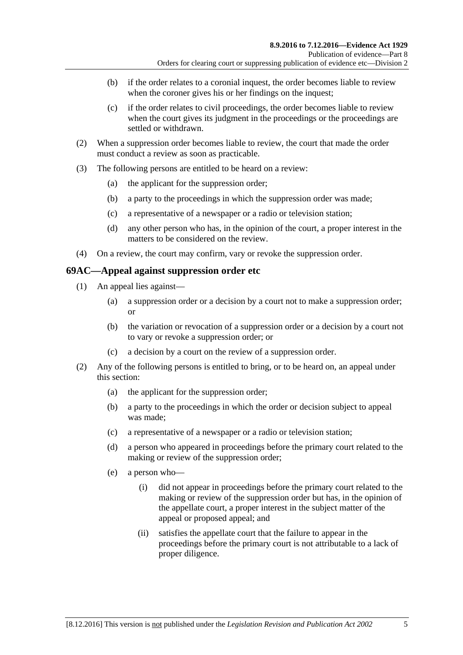- (b) if the order relates to a coronial inquest, the order becomes liable to review when the coroner gives his or her findings on the inquest;
- (c) if the order relates to civil proceedings, the order becomes liable to review when the court gives its judgment in the proceedings or the proceedings are settled or withdrawn.
- (2) When a suppression order becomes liable to review, the court that made the order must conduct a review as soon as practicable.
- (3) The following persons are entitled to be heard on a review:
	- (a) the applicant for the suppression order;
	- (b) a party to the proceedings in which the suppression order was made;
	- (c) a representative of a newspaper or a radio or television station;
	- (d) any other person who has, in the opinion of the court, a proper interest in the matters to be considered on the review.
- (4) On a review, the court may confirm, vary or revoke the suppression order.

#### **69AC—Appeal against suppression order etc**

- (1) An appeal lies against—
	- (a) a suppression order or a decision by a court not to make a suppression order; or
	- (b) the variation or revocation of a suppression order or a decision by a court not to vary or revoke a suppression order; or
	- (c) a decision by a court on the review of a suppression order.
- (2) Any of the following persons is entitled to bring, or to be heard on, an appeal under this section:
	- (a) the applicant for the suppression order;
	- (b) a party to the proceedings in which the order or decision subject to appeal was made;
	- (c) a representative of a newspaper or a radio or television station;
	- (d) a person who appeared in proceedings before the primary court related to the making or review of the suppression order;
	- (e) a person who—
		- (i) did not appear in proceedings before the primary court related to the making or review of the suppression order but has, in the opinion of the appellate court, a proper interest in the subject matter of the appeal or proposed appeal; and
		- (ii) satisfies the appellate court that the failure to appear in the proceedings before the primary court is not attributable to a lack of proper diligence.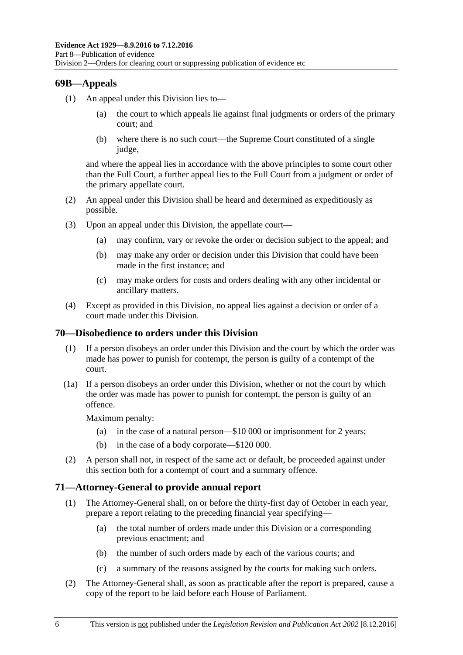#### **69B—Appeals**

- (1) An appeal under this Division lies to
	- the court to which appeals lie against final judgments or orders of the primary court; and
	- (b) where there is no such court—the Supreme Court constituted of a single judge,

and where the appeal lies in accordance with the above principles to some court other than the Full Court, a further appeal lies to the Full Court from a judgment or order of the primary appellate court.

- (2) An appeal under this Division shall be heard and determined as expeditiously as possible.
- (3) Upon an appeal under this Division, the appellate court—
	- (a) may confirm, vary or revoke the order or decision subject to the appeal; and
	- (b) may make any order or decision under this Division that could have been made in the first instance; and
	- (c) may make orders for costs and orders dealing with any other incidental or ancillary matters.
- (4) Except as provided in this Division, no appeal lies against a decision or order of a court made under this Division.

#### **70—Disobedience to orders under this Division**

- (1) If a person disobeys an order under this Division and the court by which the order was made has power to punish for contempt, the person is guilty of a contempt of the court.
- (1a) If a person disobeys an order under this Division, whether or not the court by which the order was made has power to punish for contempt, the person is guilty of an offence.

Maximum penalty:

- (a) in the case of a natural person—\$10 000 or imprisonment for 2 years;
- (b) in the case of a body corporate—\$120 000.
- (2) A person shall not, in respect of the same act or default, be proceeded against under this section both for a contempt of court and a summary offence.

#### **71—Attorney-General to provide annual report**

- (1) The Attorney-General shall, on or before the thirty-first day of October in each year, prepare a report relating to the preceding financial year specifying—
	- (a) the total number of orders made under this Division or a corresponding previous enactment; and
	- (b) the number of such orders made by each of the various courts; and
	- (c) a summary of the reasons assigned by the courts for making such orders.
- (2) The Attorney-General shall, as soon as practicable after the report is prepared, cause a copy of the report to be laid before each House of Parliament.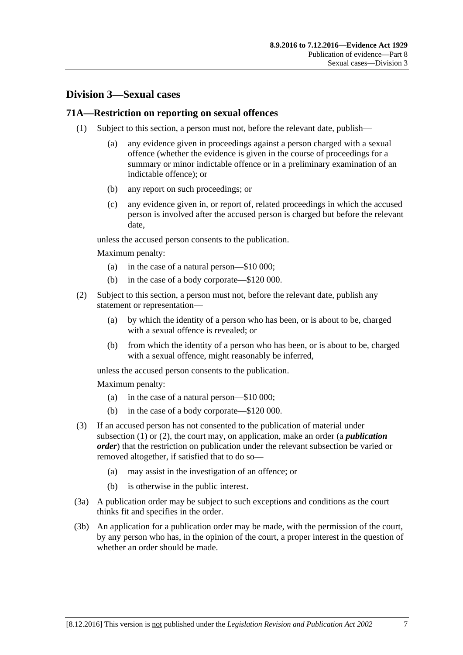## **Division 3—Sexual cases**

#### <span id="page-88-0"></span>**71A—Restriction on reporting on sexual offences**

- (1) Subject to this section, a person must not, before the relevant date, publish—
	- (a) any evidence given in proceedings against a person charged with a sexual offence (whether the evidence is given in the course of proceedings for a summary or minor indictable offence or in a preliminary examination of an indictable offence); or
	- (b) any report on such proceedings; or
	- (c) any evidence given in, or report of, related proceedings in which the accused person is involved after the accused person is charged but before the relevant date,

unless the accused person consents to the publication.

Maximum penalty:

- (a) in the case of a natural person—\$10 000;
- (b) in the case of a body corporate—\$120 000.
- <span id="page-88-1"></span>(2) Subject to this section, a person must not, before the relevant date, publish any statement or representation—
	- (a) by which the identity of a person who has been, or is about to be, charged with a sexual offence is revealed; or
	- (b) from which the identity of a person who has been, or is about to be, charged with a sexual offence, might reasonably be inferred,

unless the accused person consents to the publication.

Maximum penalty:

- (a) in the case of a natural person—\$10 000;
- (b) in the case of a body corporate—\$120 000.
- (3) If an accused person has not consented to the publication of material under [subsection](#page-88-0) (1) or [\(2\),](#page-88-1) the court may, on application, make an order (a *publication order*) that the restriction on publication under the relevant subsection be varied or removed altogether, if satisfied that to do so—
	- (a) may assist in the investigation of an offence; or
	- (b) is otherwise in the public interest.
- (3a) A publication order may be subject to such exceptions and conditions as the court thinks fit and specifies in the order.
- (3b) An application for a publication order may be made, with the permission of the court, by any person who has, in the opinion of the court, a proper interest in the question of whether an order should be made.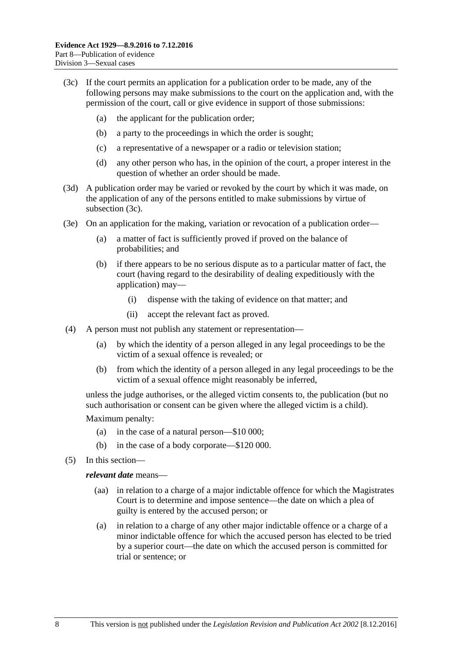- <span id="page-89-0"></span>(3c) If the court permits an application for a publication order to be made, any of the following persons may make submissions to the court on the application and, with the permission of the court, call or give evidence in support of those submissions:
	- (a) the applicant for the publication order;
	- (b) a party to the proceedings in which the order is sought;
	- (c) a representative of a newspaper or a radio or television station;
	- (d) any other person who has, in the opinion of the court, a proper interest in the question of whether an order should be made.
- (3d) A publication order may be varied or revoked by the court by which it was made, on the application of any of the persons entitled to make submissions by virtue of [subsection](#page-89-0) (3c).
- (3e) On an application for the making, variation or revocation of a publication order—
	- (a) a matter of fact is sufficiently proved if proved on the balance of probabilities; and
	- (b) if there appears to be no serious dispute as to a particular matter of fact, the court (having regard to the desirability of dealing expeditiously with the application) may—
		- (i) dispense with the taking of evidence on that matter; and
		- (ii) accept the relevant fact as proved.
- (4) A person must not publish any statement or representation—
	- (a) by which the identity of a person alleged in any legal proceedings to be the victim of a sexual offence is revealed; or
	- (b) from which the identity of a person alleged in any legal proceedings to be the victim of a sexual offence might reasonably be inferred,

unless the judge authorises, or the alleged victim consents to, the publication (but no such authorisation or consent can be given where the alleged victim is a child).

Maximum penalty:

- (a) in the case of a natural person—\$10 000;
- (b) in the case of a body corporate—\$120 000.
- (5) In this section—

#### *relevant date* means—

- (aa) in relation to a charge of a major indictable offence for which the Magistrates Court is to determine and impose sentence—the date on which a plea of guilty is entered by the accused person; or
- (a) in relation to a charge of any other major indictable offence or a charge of a minor indictable offence for which the accused person has elected to be tried by a superior court—the date on which the accused person is committed for trial or sentence; or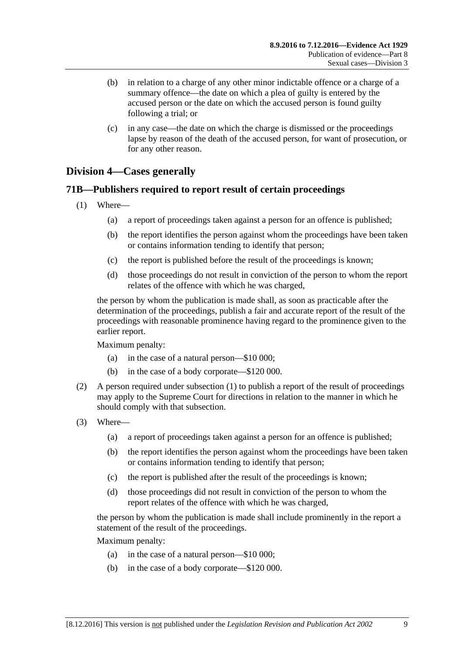- (b) in relation to a charge of any other minor indictable offence or a charge of a summary offence—the date on which a plea of guilty is entered by the accused person or the date on which the accused person is found guilty following a trial; or
- (c) in any case—the date on which the charge is dismissed or the proceedings lapse by reason of the death of the accused person, for want of prosecution, or for any other reason.

## **Division 4—Cases generally**

#### <span id="page-90-0"></span>**71B—Publishers required to report result of certain proceedings**

- (1) Where—
	- (a) a report of proceedings taken against a person for an offence is published;
	- (b) the report identifies the person against whom the proceedings have been taken or contains information tending to identify that person;
	- (c) the report is published before the result of the proceedings is known;
	- (d) those proceedings do not result in conviction of the person to whom the report relates of the offence with which he was charged,

the person by whom the publication is made shall, as soon as practicable after the determination of the proceedings, publish a fair and accurate report of the result of the proceedings with reasonable prominence having regard to the prominence given to the earlier report.

Maximum penalty:

- (a) in the case of a natural person—\$10 000;
- (b) in the case of a body corporate—\$120 000.
- (2) A person required under [subsection](#page-90-0) (1) to publish a report of the result of proceedings may apply to the Supreme Court for directions in relation to the manner in which he should comply with that subsection.
- (3) Where—
	- (a) a report of proceedings taken against a person for an offence is published;
	- (b) the report identifies the person against whom the proceedings have been taken or contains information tending to identify that person;
	- (c) the report is published after the result of the proceedings is known;
	- (d) those proceedings did not result in conviction of the person to whom the report relates of the offence with which he was charged,

the person by whom the publication is made shall include prominently in the report a statement of the result of the proceedings.

Maximum penalty:

- (a) in the case of a natural person—\$10 000;
- (b) in the case of a body corporate—\$120 000.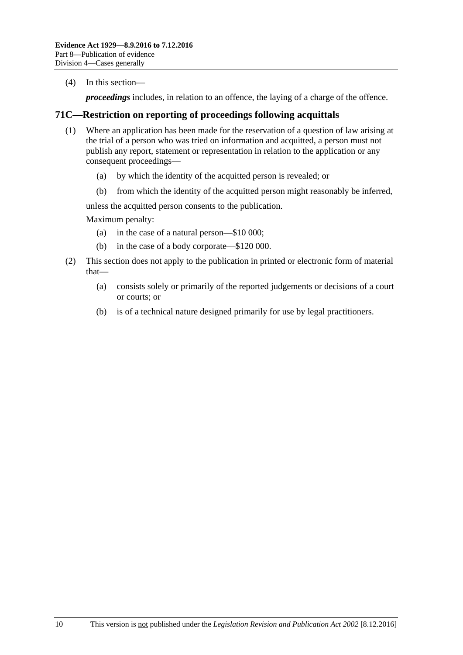(4) In this section—

*proceedings* includes, in relation to an offence, the laying of a charge of the offence.

#### **71C—Restriction on reporting of proceedings following acquittals**

- (1) Where an application has been made for the reservation of a question of law arising at the trial of a person who was tried on information and acquitted, a person must not publish any report, statement or representation in relation to the application or any consequent proceedings—
	- (a) by which the identity of the acquitted person is revealed; or
	- (b) from which the identity of the acquitted person might reasonably be inferred,

unless the acquitted person consents to the publication.

Maximum penalty:

- (a) in the case of a natural person—\$10 000;
- (b) in the case of a body corporate—\$120 000.
- (2) This section does not apply to the publication in printed or electronic form of material that—
	- (a) consists solely or primarily of the reported judgements or decisions of a court or courts; or
	- (b) is of a technical nature designed primarily for use by legal practitioners.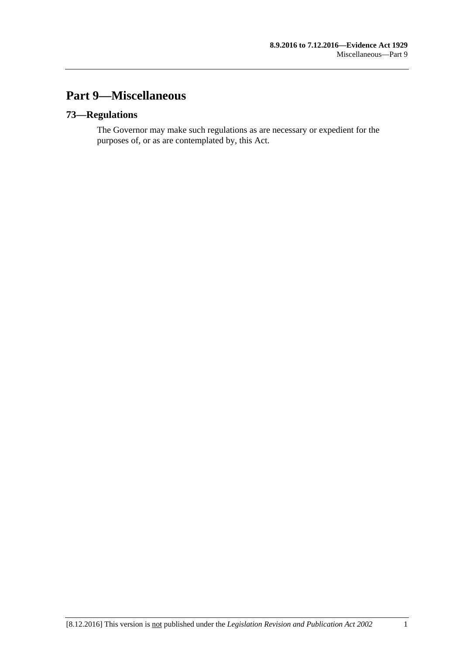# **Part 9—Miscellaneous**

## **73—Regulations**

The Governor may make such regulations as are necessary or expedient for the purposes of, or as are contemplated by, this Act.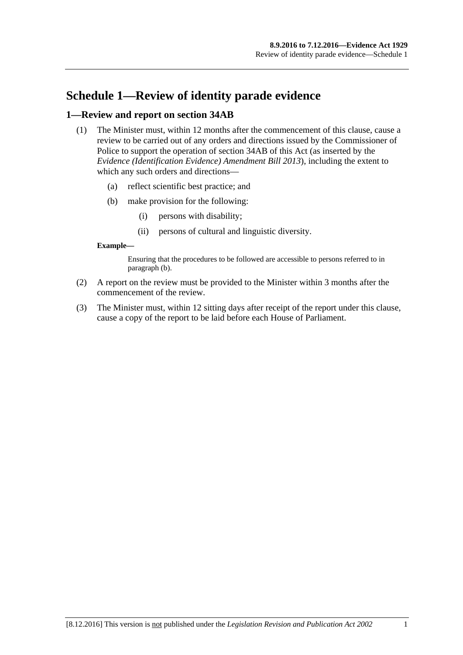# **Schedule 1—Review of identity parade evidence**

#### **1—Review and report on section 34AB**

- (1) The Minister must, within 12 months after the commencement of this clause, cause a review to be carried out of any orders and directions issued by the Commissioner of Police to support the operation of section 34AB of this Act (as inserted by the *[Evidence \(Identification Evidence\) Amendment Bill](http://www.legislation.sa.gov.au/index.aspx?action=legref&type=act&legtitle=Evidence%20(Identification%20Evidence)%20Amendment%20Bill%202013) 2013*), including the extent to which any such orders and directions—
	- (a) reflect scientific best practice; and
	- (b) make provision for the following:
		- (i) persons with disability;
		- (ii) persons of cultural and linguistic diversity.

#### <span id="page-94-0"></span>**Example—**

Ensuring that the procedures to be followed are accessible to persons referred to in [paragraph](#page-94-0) (b).

- (2) A report on the review must be provided to the Minister within 3 months after the commencement of the review.
- (3) The Minister must, within 12 sitting days after receipt of the report under this clause, cause a copy of the report to be laid before each House of Parliament.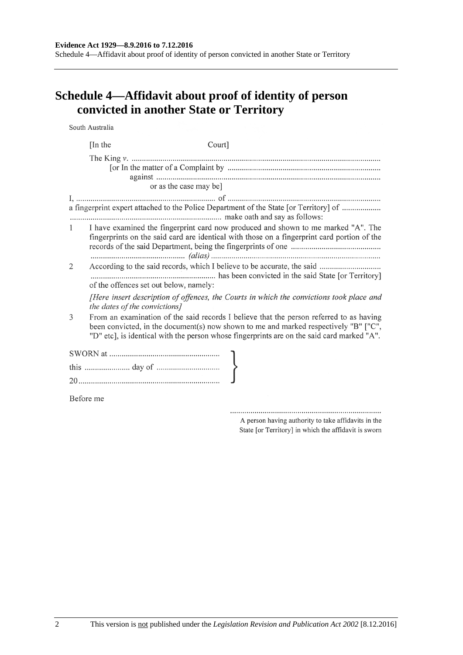#### **Evidence Act 1929—8.9.2016 to 7.12.2016**

Schedule 4—Affidavit about proof of identity of person convicted in another State or Territory

# **Schedule 4—Affidavit about proof of identity of person convicted in another State or Territory**

South Australia

|              | [In the]                               | Court]                 |                                                                                                                                                                                                                                                                               |  |
|--------------|----------------------------------------|------------------------|-------------------------------------------------------------------------------------------------------------------------------------------------------------------------------------------------------------------------------------------------------------------------------|--|
|              |                                        | or as the case may be] |                                                                                                                                                                                                                                                                               |  |
|              |                                        |                        | a fingerprint expert attached to the Police Department of the State [or Territory] of                                                                                                                                                                                         |  |
| $\mathbf{1}$ |                                        |                        | I have examined the fingerprint card now produced and shown to me marked "A". The<br>fingerprints on the said card are identical with those on a fingerprint card portion of the                                                                                              |  |
| 2            | of the offences set out below, namely: |                        |                                                                                                                                                                                                                                                                               |  |
|              | the dates of the convictions]          |                        | [Here insert description of offences, the Courts in which the convictions took place and                                                                                                                                                                                      |  |
| 3            |                                        |                        | From an examination of the said records I believe that the person referred to as having<br>been convicted, in the document(s) now shown to me and marked respectively "B" ["C",<br>"D" etc], is identical with the person whose fingerprints are on the said card marked "A". |  |
|              |                                        |                        |                                                                                                                                                                                                                                                                               |  |
|              |                                        |                        |                                                                                                                                                                                                                                                                               |  |
|              |                                        |                        |                                                                                                                                                                                                                                                                               |  |
| Before me    |                                        |                        |                                                                                                                                                                                                                                                                               |  |

A person having authority to take affidavits in the State [or Territory] in which the affidavit is sworn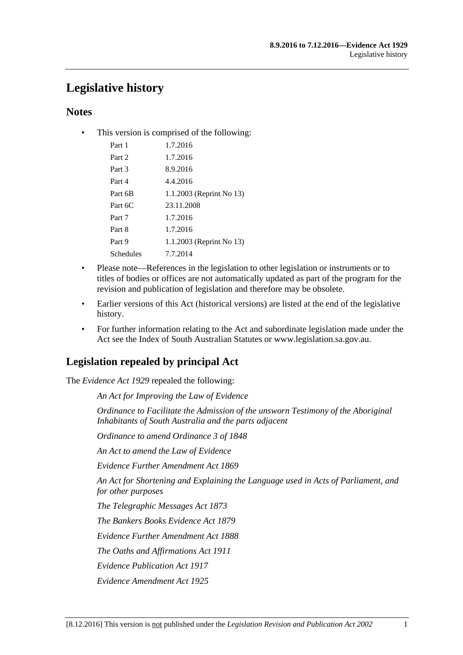# **Legislative history**

## **Notes**

• This version is comprised of the following:

| Part 1    | 1.7.2016                 |
|-----------|--------------------------|
| Part 2    | 1.7.2016                 |
| Part 3    | 8.9.2016                 |
| Part 4    | 4.4.2016                 |
| Part 6B   | 1.1.2003 (Reprint No 13) |
| Part 6C   | 23.11.2008               |
| Part 7    | 1.7.2016                 |
| Part 8    | 1.7.2016                 |
| Part 9    | 1.1.2003 (Reprint No 13) |
| Schedules | 7.7.2014                 |
|           |                          |

- Please note—References in the legislation to other legislation or instruments or to titles of bodies or offices are not automatically updated as part of the program for the revision and publication of legislation and therefore may be obsolete.
- Earlier versions of this Act (historical versions) are listed at the end of the legislative history.
- For further information relating to the Act and subordinate legislation made under the Act see the Index of South Australian Statutes or www.legislation.sa.gov.au.

# **Legislation repealed by principal Act**

The *Evidence Act 1929* repealed the following:

*An Act for Improving the Law of Evidence*

*Ordinance to Facilitate the Admission of the unsworn Testimony of the Aboriginal Inhabitants of South Australia and the parts adjacent*

*Ordinance to amend Ordinance 3 of 1848*

*An Act to amend the Law of Evidence*

*Evidence Further Amendment Act 1869*

*An Act for Shortening and Explaining the Language used in Acts of Parliament, and for other purposes*

*The Telegraphic Messages Act 1873*

*The Bankers Books Evidence Act 1879*

*Evidence Further Amendment Act 1888*

*The Oaths and Affirmations Act 1911*

*Evidence Publication Act 1917*

*Evidence Amendment Act 1925*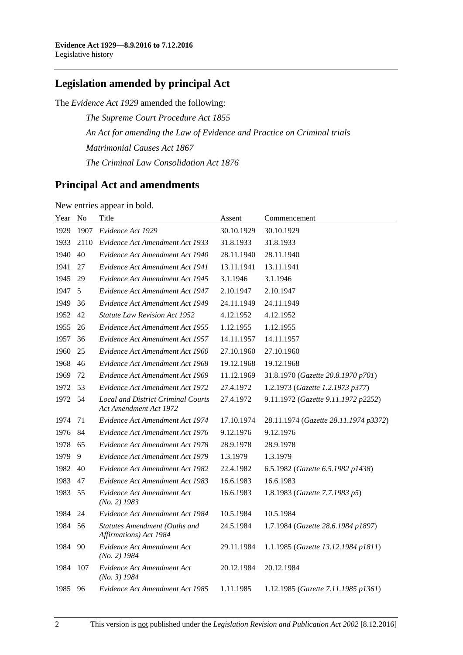# **Legislation amended by principal Act**

The *Evidence Act 1929* amended the following:

*The Supreme Court Procedure Act 1855 An Act for amending the Law of Evidence and Practice on Criminal trials Matrimonial Causes Act 1867 The Criminal Law Consolidation Act 1876*

## **Principal Act and amendments**

New entries appear in bold.

| Year | N <sub>o</sub> | Title                                                               | Assent     | Commencement                          |
|------|----------------|---------------------------------------------------------------------|------------|---------------------------------------|
| 1929 | 1907           | Evidence Act 1929                                                   | 30.10.1929 | 30.10.1929                            |
| 1933 | 2110           | Evidence Act Amendment Act 1933                                     | 31.8.1933  | 31.8.1933                             |
| 1940 | 40             | Evidence Act Amendment Act 1940                                     | 28.11.1940 | 28.11.1940                            |
| 1941 | 27             | Evidence Act Amendment Act 1941                                     | 13.11.1941 | 13.11.1941                            |
| 1945 | 29             | Evidence Act Amendment Act 1945                                     | 3.1.1946   | 3.1.1946                              |
| 1947 | 5              | Evidence Act Amendment Act 1947                                     | 2.10.1947  | 2.10.1947                             |
| 1949 | 36             | Evidence Act Amendment Act 1949                                     | 24.11.1949 | 24.11.1949                            |
| 1952 | 42             | <b>Statute Law Revision Act 1952</b>                                | 4.12.1952  | 4.12.1952                             |
| 1955 | 26             | Evidence Act Amendment Act 1955                                     | 1.12.1955  | 1.12.1955                             |
| 1957 | 36             | Evidence Act Amendment Act 1957                                     | 14.11.1957 | 14.11.1957                            |
| 1960 | 25             | Evidence Act Amendment Act 1960                                     | 27.10.1960 | 27.10.1960                            |
| 1968 | 46             | Evidence Act Amendment Act 1968                                     | 19.12.1968 | 19.12.1968                            |
| 1969 | 72             | Evidence Act Amendment Act 1969                                     | 11.12.1969 | 31.8.1970 (Gazette 20.8.1970 p701)    |
| 1972 | 53             | Evidence Act Amendment Act 1972                                     | 27.4.1972  | 1.2.1973 (Gazette 1.2.1973 p377)      |
| 1972 | 54             | <b>Local and District Criminal Courts</b><br>Act Amendment Act 1972 | 27.4.1972  | 9.11.1972 (Gazette 9.11.1972 p2252)   |
| 1974 | 71             | Evidence Act Amendment Act 1974                                     | 17.10.1974 | 28.11.1974 (Gazette 28.11.1974 p3372) |
| 1976 | 84             | Evidence Act Amendment Act 1976                                     | 9.12.1976  | 9.12.1976                             |
| 1978 | 65             | Evidence Act Amendment Act 1978                                     | 28.9.1978  | 28.9.1978                             |
| 1979 | 9              | Evidence Act Amendment Act 1979                                     | 1.3.1979   | 1.3.1979                              |
| 1982 | 40             | Evidence Act Amendment Act 1982                                     | 22.4.1982  | 6.5.1982 (Gazette 6.5.1982 p1438)     |
| 1983 | 47             | Evidence Act Amendment Act 1983                                     | 16.6.1983  | 16.6.1983                             |
| 1983 | 55             | Evidence Act Amendment Act<br>$(No. 2)$ 1983                        | 16.6.1983  | 1.8.1983 (Gazette 7.7.1983 p5)        |
| 1984 | 24             | Evidence Act Amendment Act 1984                                     | 10.5.1984  | 10.5.1984                             |
| 1984 | 56             | Statutes Amendment (Oaths and<br>Affirmations) Act 1984             | 24.5.1984  | 1.7.1984 (Gazette 28.6.1984 p1897)    |
| 1984 | 90             | Evidence Act Amendment Act<br>$(No. 2)$ 1984                        | 29.11.1984 | 1.1.1985 (Gazette 13.12.1984 p1811)   |
| 1984 | 107            | Evidence Act Amendment Act<br>$(No. 3)$ 1984                        | 20.12.1984 | 20.12.1984                            |
| 1985 | 96             | Evidence Act Amendment Act 1985                                     | 1.11.1985  | 1.12.1985 (Gazette 7.11.1985 p1361)   |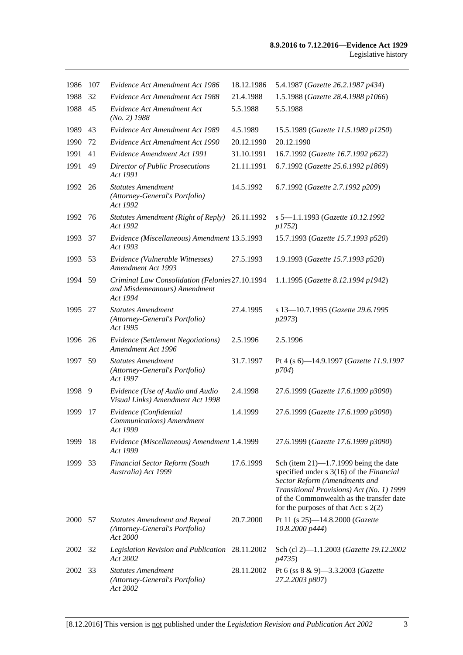| 1986    | 107 | Evidence Act Amendment Act 1986                                                             | 18.12.1986 | 5.4.1987 (Gazette 26.2.1987 p434)                                                                                                                                                                                                                        |
|---------|-----|---------------------------------------------------------------------------------------------|------------|----------------------------------------------------------------------------------------------------------------------------------------------------------------------------------------------------------------------------------------------------------|
| 1988    | 32  | Evidence Act Amendment Act 1988                                                             | 21.4.1988  | 1.5.1988 (Gazette 28.4.1988 p1066)                                                                                                                                                                                                                       |
| 1988    | 45  | Evidence Act Amendment Act<br>$(No. 2)$ 1988                                                | 5.5.1988   | 5.5.1988                                                                                                                                                                                                                                                 |
| 1989    | 43  | Evidence Act Amendment Act 1989                                                             | 4.5.1989   | 15.5.1989 (Gazette 11.5.1989 p1250)                                                                                                                                                                                                                      |
| 1990    | 72  | Evidence Act Amendment Act 1990                                                             | 20.12.1990 | 20.12.1990                                                                                                                                                                                                                                               |
| 1991    | 41  | Evidence Amendment Act 1991                                                                 | 31.10.1991 | 16.7.1992 (Gazette 16.7.1992 p622)                                                                                                                                                                                                                       |
| 1991    | 49  | Director of Public Prosecutions<br>Act 1991                                                 | 21.11.1991 | 6.7.1992 (Gazette 25.6.1992 p1869)                                                                                                                                                                                                                       |
| 1992 26 |     | <b>Statutes Amendment</b><br>(Attorney-General's Portfolio)<br>Act 1992                     | 14.5.1992  | 6.7.1992 (Gazette 2.7.1992 p209)                                                                                                                                                                                                                         |
| 1992    | 76  | Statutes Amendment (Right of Reply) 26.11.1992<br>Act 1992                                  |            | s 5-1.1.1993 (Gazette 10.12.1992<br>p1752)                                                                                                                                                                                                               |
| 1993    | 37  | Evidence (Miscellaneous) Amendment 13.5.1993<br>Act 1993                                    |            | 15.7.1993 (Gazette 15.7.1993 p520)                                                                                                                                                                                                                       |
| 1993    | 53  | Evidence (Vulnerable Witnesses)<br>Amendment Act 1993                                       | 27.5.1993  | 1.9.1993 (Gazette 15.7.1993 p520)                                                                                                                                                                                                                        |
| 1994 59 |     | Criminal Law Consolidation (Felonies 27.10.1994<br>and Misdemeanours) Amendment<br>Act 1994 |            | 1.1.1995 (Gazette 8.12.1994 p1942)                                                                                                                                                                                                                       |
| 1995    | 27  | <b>Statutes Amendment</b><br>(Attorney-General's Portfolio)<br>Act 1995                     | 27.4.1995  | s 13-10.7.1995 (Gazette 29.6.1995<br>p2973)                                                                                                                                                                                                              |
| 1996    | 26  | Evidence (Settlement Negotiations)<br>Amendment Act 1996                                    | 2.5.1996   | 2.5.1996                                                                                                                                                                                                                                                 |
| 1997    | 59  | <b>Statutes Amendment</b><br>(Attorney-General's Portfolio)<br>Act 1997                     | 31.7.1997  | Pt 4 (s 6)-14.9.1997 (Gazette 11.9.1997<br>p704)                                                                                                                                                                                                         |
| 1998 9  |     | Evidence (Use of Audio and Audio<br>Visual Links) Amendment Act 1998                        | 2.4.1998   | 27.6.1999 (Gazette 17.6.1999 p3090)                                                                                                                                                                                                                      |
| 1999    | 17  | Evidence (Confidential<br>Communications) Amendment<br>Act 1999                             | 1.4.1999   | 27.6.1999 (Gazette 17.6.1999 p3090)                                                                                                                                                                                                                      |
| 1999    | 18  | Evidence (Miscellaneous) Amendment 1.4.1999<br>Act 1999                                     |            | 27.6.1999 (Gazette 17.6.1999 p3090)                                                                                                                                                                                                                      |
| 1999    | 33  | Financial Sector Reform (South<br>Australia) Act 1999                                       | 17.6.1999  | Sch (item $21$ )—1.7.1999 being the date<br>specified under s 3(16) of the Financial<br>Sector Reform (Amendments and<br>Transitional Provisions) Act (No. 1) 1999<br>of the Commonwealth as the transfer date<br>for the purposes of that Act: $s$ 2(2) |
| 2000    | 57  | <b>Statutes Amendment and Repeal</b><br>(Attorney-General's Portfolio)<br>Act 2000          | 20.7.2000  | Pt 11 (s 25)-14.8.2000 (Gazette<br>10.8.2000 p444)                                                                                                                                                                                                       |
| 2002    | 32  | Legislation Revision and Publication 28.11.2002<br>Act 2002                                 |            | Sch (cl 2)-1.1.2003 (Gazette 19.12.2002<br>p4735)                                                                                                                                                                                                        |
| 2002    | 33  | <b>Statutes Amendment</b><br>(Attorney-General's Portfolio)<br>Act 2002                     | 28.11.2002 | Pt 6 (ss 8 & 9)-3.3.2003 (Gazette<br>27.2.2003 p807)                                                                                                                                                                                                     |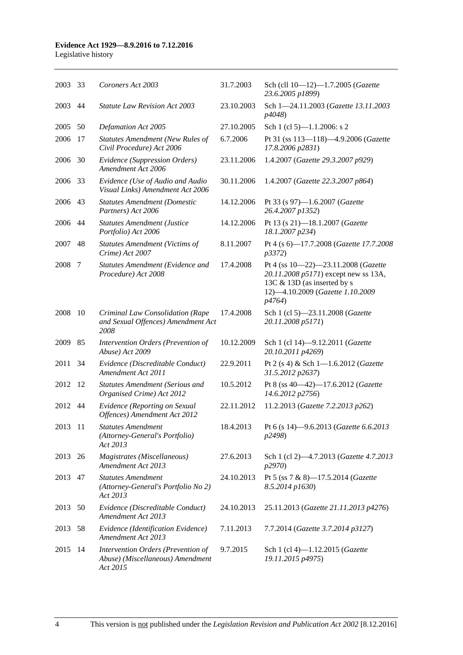#### **Evidence Act 1929—8.9.2016 to 7.12.2016**

Legislative history

| 2003    | -33 | Coroners Act 2003                                                                  | 31.7.2003  | Sch (cll 10-12)-1.7.2005 (Gazette<br>23.6.2005 p1899)                                                                                                    |
|---------|-----|------------------------------------------------------------------------------------|------------|----------------------------------------------------------------------------------------------------------------------------------------------------------|
| 2003    | 44  | <b>Statute Law Revision Act 2003</b>                                               | 23.10.2003 | Sch 1-24.11.2003 (Gazette 13.11.2003<br>p4048)                                                                                                           |
| 2005    | 50  | Defamation Act 2005                                                                | 27.10.2005 | Sch 1 (cl 5)-1.1.2006: s 2                                                                                                                               |
| 2006    | 17  | <b>Statutes Amendment (New Rules of</b><br>Civil Procedure) Act 2006               | 6.7.2006   | Pt 31 (ss 113-118)-4.9.2006 (Gazette<br>17.8.2006 p2831)                                                                                                 |
| 2006    | 30  | Evidence (Suppression Orders)<br>Amendment Act 2006                                | 23.11.2006 | 1.4.2007 (Gazette 29.3.2007 p929)                                                                                                                        |
| 2006    | 33  | Evidence (Use of Audio and Audio<br>Visual Links) Amendment Act 2006               | 30.11.2006 | 1.4.2007 (Gazette 22.3.2007 p864)                                                                                                                        |
| 2006    | 43  | <b>Statutes Amendment (Domestic</b><br>Partners) Act 2006                          | 14.12.2006 | Pt 33 (s 97)-1.6.2007 (Gazette<br>26.4.2007 p1352)                                                                                                       |
| 2006    | 44  | <b>Statutes Amendment (Justice</b><br>Portfolio) Act 2006                          | 14.12.2006 | Pt 13 (s 21)-18.1.2007 (Gazette<br>18.1.2007 p234)                                                                                                       |
| 2007    | 48  | <b>Statutes Amendment (Victims of</b><br>Crime) Act 2007                           | 8.11.2007  | Pt 4 (s 6)-17.7.2008 (Gazette 17.7.2008<br>p3372)                                                                                                        |
| 2008    | 7   | Statutes Amendment (Evidence and<br>Procedure) Act 2008                            | 17.4.2008  | Pt 4 (ss 10-22)-23.11.2008 (Gazette<br>20.11.2008 p5171) except new ss 13A,<br>13C & 13D (as inserted by s<br>12)-4.10.2009 (Gazette 1.10.2009<br>p4764) |
| 2008    | -10 | Criminal Law Consolidation (Rape<br>and Sexual Offences) Amendment Act<br>2008     | 17.4.2008  | Sch 1 (cl 5)-23.11.2008 (Gazette<br>20.11.2008 p5171)                                                                                                    |
| 2009    | 85  | Intervention Orders (Prevention of<br>Abuse) Act 2009                              | 10.12.2009 | Sch 1 (cl 14)-9.12.2011 (Gazette<br>20.10.2011 p4269)                                                                                                    |
| 2011    | 34  | Evidence (Discreditable Conduct)<br>Amendment Act 2011                             | 22.9.2011  | Pt 2 (s 4) & Sch 1-1.6.2012 (Gazette<br>31.5.2012 p2637)                                                                                                 |
| 2012    | 12  | <b>Statutes Amendment (Serious and</b><br>Organised Crime) Act 2012                | 10.5.2012  | Pt 8 (ss 40-42)-17.6.2012 (Gazette<br>14.6.2012 p2756)                                                                                                   |
| 2012 44 |     | Evidence (Reporting on Sexual<br>Offences) Amendment Act 2012                      | 22.11.2012 | 11.2.2013 (Gazette 7.2.2013 p262)                                                                                                                        |
| 2013 11 |     | <i><b>Statutes Amendment</b></i><br>(Attorney-General's Portfolio)<br>Act 2013     | 18.4.2013  | Pt 6 (s 14)-9.6.2013 (Gazette 6.6.2013<br>p2498)                                                                                                         |
| 2013    | 26  | Magistrates (Miscellaneous)<br>Amendment Act 2013                                  | 27.6.2013  | Sch 1 (cl 2)-4.7.2013 (Gazette 4.7.2013<br>p2970)                                                                                                        |
| 2013 47 |     | <b>Statutes Amendment</b><br>(Attorney-General's Portfolio No 2)<br>Act 2013       | 24.10.2013 | Pt 5 (ss 7 & 8)-17.5.2014 (Gazette<br>8.5.2014 p1630)                                                                                                    |
| 2013    | 50  | Evidence (Discreditable Conduct)<br>Amendment Act 2013                             | 24.10.2013 | 25.11.2013 (Gazette 21.11.2013 p4276)                                                                                                                    |
| 2013    | 58  | Evidence (Identification Evidence)<br>Amendment Act 2013                           | 7.11.2013  | 7.7.2014 (Gazette 3.7.2014 p3127)                                                                                                                        |
| 2015    | 14  | Intervention Orders (Prevention of<br>Abuse) (Miscellaneous) Amendment<br>Act 2015 | 9.7.2015   | Sch 1 (cl 4)-1.12.2015 (Gazette<br>19.11.2015 p4975)                                                                                                     |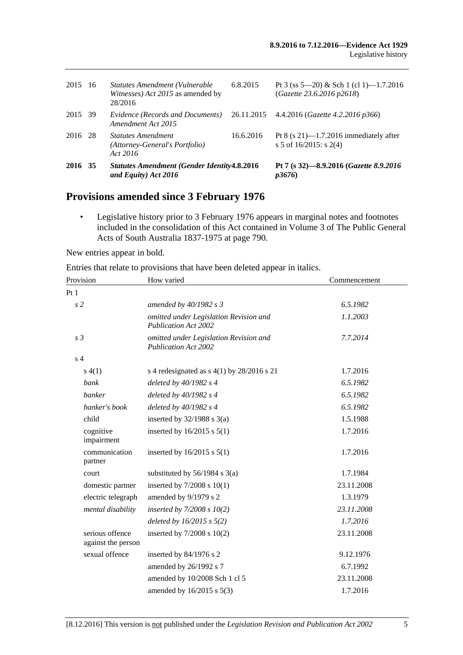| 2016 35     | and Equity) Act 2016                                                           |            | Pt 7 (s 32)-8.9.2016 (Gazette 8.9.2016)<br>p3676                       |
|-------------|--------------------------------------------------------------------------------|------------|------------------------------------------------------------------------|
| -28<br>2016 | <b>Statutes Amendment</b><br>(Attorney-General's Portfolio)<br>Act 2016        | 16.6.2016  | Pt 8 (s $21$ )—1.7.2016 immediately after<br>s 5 of $16/2015$ : s 2(4) |
| 2015 39     | Evidence (Records and Documents)<br>Amendment Act 2015                         | 26.11.2015 | 4.4.2016 ( <i>Gazette 4.2.2016 p366</i> )                              |
| -16         | Statutes Amendment (Vulnerable<br>Witnesses) Act 2015 as amended by<br>28/2016 | 6.8.2015   | Pt 3 (ss 5—20) & Sch 1 (cl 1)—1.7.2016<br>(Gazette 23.6.2016 p2618)    |
|             |                                                                                |            | <b>Statutes Amendment (Gender Identity 4.8.2016</b>                    |

# **Provisions amended since 3 February 1976**

• Legislative history prior to 3 February 1976 appears in marginal notes and footnotes included in the consolidation of this Act contained in Volume 3 of The Public General Acts of South Australia 1837-1975 at page 790.

New entries appear in bold.

Entries that relate to provisions that have been deleted appear in italics.

| Provision                             | How varied                                                            | Commencement |
|---------------------------------------|-----------------------------------------------------------------------|--------------|
| Pt1                                   |                                                                       |              |
| s <sub>2</sub>                        | amended by 40/1982 s 3                                                | 6.5.1982     |
|                                       | omitted under Legislation Revision and<br><b>Publication Act 2002</b> | 1.1.2003     |
| s <sub>3</sub>                        | omitted under Legislation Revision and<br><b>Publication Act 2002</b> | 7.7.2014     |
| s <sub>4</sub>                        |                                                                       |              |
| s(4(1))                               | s 4 redesignated as $s$ 4(1) by 28/2016 s 21                          | 1.7.2016     |
| bank                                  | deleted by $40/1982 s 4$                                              | 6.5.1982     |
| banker                                | deleted by 40/1982 s 4                                                | 6.5.1982     |
| banker's book                         | deleted by $40/1982$ s 4                                              | 6.5.1982     |
| child                                 | inserted by $32/1988$ s $3(a)$                                        | 1.5.1988     |
| cognitive<br>impairment               | inserted by $16/2015$ s $5(1)$                                        | 1.7.2016     |
| communication<br>partner              | inserted by $16/2015$ s $5(1)$                                        | 1.7.2016     |
| court                                 | substituted by $56/1984$ s $3(a)$                                     | 1.7.1984     |
| domestic partner                      | inserted by $7/2008$ s $10(1)$                                        | 23.11.2008   |
| electric telegraph                    | amended by 9/1979 s 2                                                 | 1.3.1979     |
| mental disability                     | inserted by $7/2008 s 10(2)$                                          | 23.11.2008   |
|                                       | deleted by $16/2015$ s $5(2)$                                         | 1.7.2016     |
| serious offence<br>against the person | inserted by $7/2008$ s $10(2)$                                        | 23.11.2008   |
| sexual offence                        | inserted by 84/1976 s 2                                               | 9.12.1976    |
|                                       | amended by 26/1992 s 7                                                | 6.7.1992     |
|                                       | amended by 10/2008 Sch 1 cl 5                                         | 23.11.2008   |
|                                       | amended by 16/2015 s 5(3)                                             | 1.7.2016     |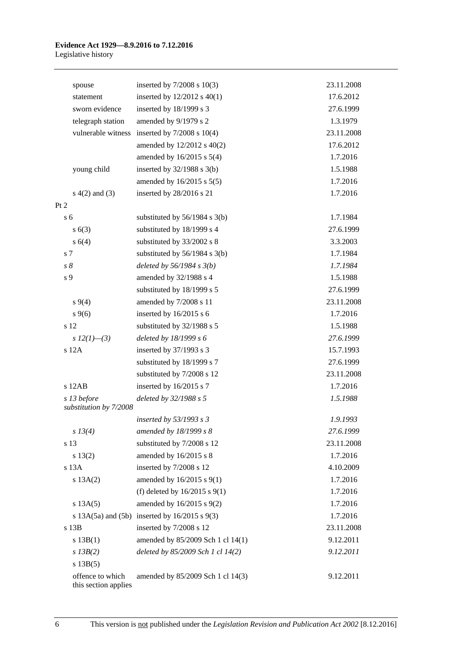|      | spouse                                   | inserted by $7/2008$ s $10(3)$                        | 23.11.2008 |
|------|------------------------------------------|-------------------------------------------------------|------------|
|      | statement                                | inserted by $12/2012$ s $40(1)$                       | 17.6.2012  |
|      | sworn evidence                           | inserted by 18/1999 s 3                               | 27.6.1999  |
|      | telegraph station                        | amended by 9/1979 s 2                                 | 1.3.1979   |
|      |                                          | vulnerable witness inserted by 7/2008 s 10(4)         | 23.11.2008 |
|      |                                          | amended by $12/2012$ s $40(2)$                        | 17.6.2012  |
|      |                                          | amended by 16/2015 s 5(4)                             | 1.7.2016   |
|      | young child                              | inserted by $32/1988$ s $3(b)$                        | 1.5.1988   |
|      |                                          | amended by 16/2015 s 5(5)                             | 1.7.2016   |
|      | $s(4(2)$ and $(3)$                       | inserted by 28/2016 s 21                              | 1.7.2016   |
| Pt 2 |                                          |                                                       |            |
|      | s <sub>6</sub>                           | substituted by $56/1984$ s $3(b)$                     | 1.7.1984   |
|      | s(6(3))                                  | substituted by 18/1999 s 4                            | 27.6.1999  |
|      | s(4)                                     | substituted by 33/2002 s 8                            | 3.3.2003   |
|      | s 7                                      | substituted by $56/1984$ s 3(b)                       | 1.7.1984   |
|      | $s\,8$                                   | deleted by $56/1984 s 3(b)$                           | 1.7.1984   |
|      | s 9                                      | amended by 32/1988 s 4                                | 1.5.1988   |
|      |                                          | substituted by 18/1999 s 5                            | 27.6.1999  |
|      | $s\,9(4)$                                | amended by 7/2008 s 11                                | 23.11.2008 |
|      | $s \, 9(6)$                              | inserted by $16/2015$ s 6                             | 1.7.2016   |
|      | s 12                                     | substituted by 32/1988 s 5                            | 1.5.1988   |
|      | s $12(1)$ —(3)                           | deleted by $18/1999 s 6$                              | 27.6.1999  |
|      | s 12A                                    | inserted by 37/1993 s 3                               | 15.7.1993  |
|      |                                          | substituted by 18/1999 s 7                            | 27.6.1999  |
|      |                                          | substituted by 7/2008 s 12                            | 23.11.2008 |
|      | s 12AB                                   | inserted by 16/2015 s 7                               | 1.7.2016   |
|      | s 13 before<br>substitution by 7/2008    | deleted by 32/1988 s 5                                | 1.5.1988   |
|      |                                          | inserted by 53/1993 s 3                               | 1.9.1993   |
|      | s 13(4)                                  | amended by 18/1999 s 8                                | 27.6.1999  |
|      | s 13                                     | substituted by 7/2008 s 12                            | 23.11.2008 |
|      | s 13(2)                                  | amended by 16/2015 s 8                                | 1.7.2016   |
|      | s 13A                                    | inserted by 7/2008 s 12                               | 4.10.2009  |
|      | s 13A(2)                                 | amended by 16/2015 s 9(1)                             | 1.7.2016   |
|      |                                          | (f) deleted by $16/2015$ s $9(1)$                     | 1.7.2016   |
|      | s 13A(5)                                 | amended by 16/2015 s 9(2)                             | 1.7.2016   |
|      |                                          | s $13A(5a)$ and $(5b)$ inserted by $16/2015$ s $9(3)$ | 1.7.2016   |
|      | s 13B                                    | inserted by 7/2008 s 12                               | 23.11.2008 |
|      | s 13B(1)                                 | amended by 85/2009 Sch 1 cl 14(1)                     | 9.12.2011  |
|      | $s$ 13B(2)                               | deleted by 85/2009 Sch 1 cl 14(2)                     | 9.12.2011  |
|      | s 13B(5)                                 |                                                       |            |
|      | offence to which<br>this section applies | amended by 85/2009 Sch 1 cl 14(3)                     | 9.12.2011  |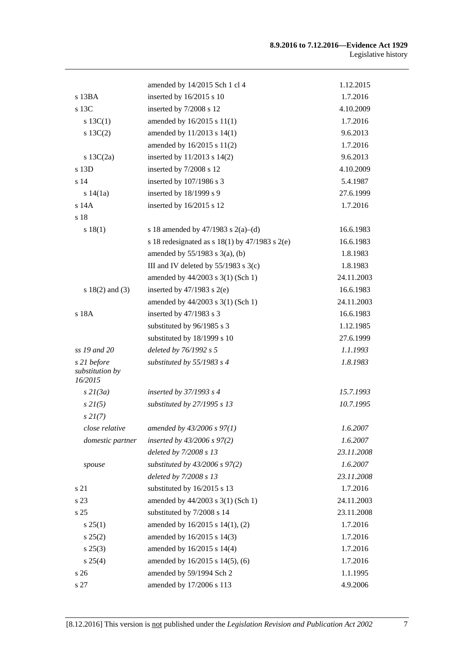|                                           | amended by 14/2015 Sch 1 cl 4                        | 1.12.2015  |
|-------------------------------------------|------------------------------------------------------|------------|
| s 13BA                                    | inserted by 16/2015 s 10                             | 1.7.2016   |
| s 13C                                     | inserted by 7/2008 s 12                              | 4.10.2009  |
| s $13C(1)$                                | amended by 16/2015 s 11(1)                           | 1.7.2016   |
| $s \ 13C(2)$                              | amended by 11/2013 s 14(1)                           | 9.6.2013   |
|                                           | amended by 16/2015 s 11(2)                           | 1.7.2016   |
| s $13C(2a)$                               | inserted by 11/2013 s 14(2)                          | 9.6.2013   |
| s 13D                                     | inserted by 7/2008 s 12                              | 4.10.2009  |
| s <sub>14</sub>                           | inserted by 107/1986 s 3                             | 5.4.1987   |
| s 14(1a)                                  | inserted by 18/1999 s 9                              | 27.6.1999  |
| s 14A                                     | inserted by 16/2015 s 12                             | 1.7.2016   |
| s 18                                      |                                                      |            |
| s 18(1)                                   | s 18 amended by 47/1983 s 2(a)–(d)                   | 16.6.1983  |
|                                           | s 18 redesignated as s $18(1)$ by $47/1983$ s $2(e)$ | 16.6.1983  |
|                                           | amended by $55/1983$ s $3(a)$ , (b)                  | 1.8.1983   |
|                                           | III and IV deleted by $55/1983$ s $3(c)$             | 1.8.1983   |
|                                           | amended by 44/2003 s 3(1) (Sch 1)                    | 24.11.2003 |
| $s 18(2)$ and (3)                         | inserted by $47/1983$ s $2(e)$                       | 16.6.1983  |
|                                           | amended by 44/2003 s 3(1) (Sch 1)                    | 24.11.2003 |
| s 18A                                     | inserted by 47/1983 s 3                              | 16.6.1983  |
|                                           | substituted by 96/1985 s 3                           | 1.12.1985  |
|                                           | substituted by 18/1999 s 10                          | 27.6.1999  |
| ss 19 and 20                              | deleted by 76/1992 s 5                               | 1.1.1993   |
| s 21 before<br>substitution by<br>16/2015 | substituted by 55/1983 s 4                           | 1.8.1983   |
| s2I(3a)                                   | inserted by 37/1993 s 4                              | 15.7.1993  |
| $s \, 2I(5)$                              | substituted by 27/1995 s 13                          | 10.7.1995  |
| $s \, 2I(7)$                              |                                                      |            |
| close relative                            | amended by 43/2006 s 97(1)                           | 1.6.2007   |
| domestic partner                          | inserted by $43/2006$ s $97(2)$                      | 1.6.2007   |
|                                           | deleted by 7/2008 s 13                               | 23.11.2008 |
| spouse                                    | substituted by $43/2006$ s $97(2)$                   | 1.6.2007   |
|                                           | deleted by 7/2008 s 13                               | 23.11.2008 |
| s 21                                      | substituted by 16/2015 s 13                          | 1.7.2016   |
| s 23                                      | amended by 44/2003 s 3(1) (Sch 1)                    | 24.11.2003 |
| s <sub>25</sub>                           | substituted by 7/2008 s 14                           | 23.11.2008 |
| $s \, 25(1)$                              | amended by 16/2015 s 14(1), (2)                      | 1.7.2016   |
| s 25(2)                                   | amended by 16/2015 s 14(3)                           | 1.7.2016   |
| $s\,25(3)$                                | amended by 16/2015 s 14(4)                           | 1.7.2016   |
| s 25(4)                                   | amended by 16/2015 s 14(5), (6)                      | 1.7.2016   |
| s 26                                      | amended by 59/1994 Sch 2                             | 1.1.1995   |
| s 27                                      | amended by 17/2006 s 113                             | 4.9.2006   |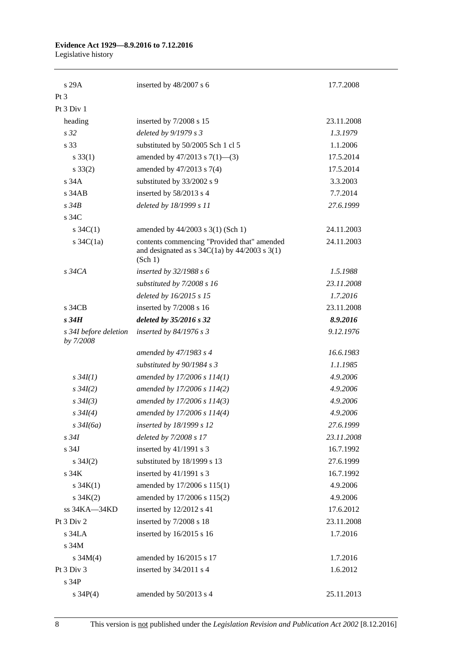# **Evidence Act 1929—8.9.2016 to 7.12.2016**

Legislative history

| s29A                               | inserted by 48/2007 s 6                                                                                                                       | 17.7.2008  |
|------------------------------------|-----------------------------------------------------------------------------------------------------------------------------------------------|------------|
| Pt <sub>3</sub>                    |                                                                                                                                               |            |
| Pt 3 Div 1                         |                                                                                                                                               |            |
| heading                            | inserted by 7/2008 s 15                                                                                                                       | 23.11.2008 |
| s <sub>32</sub>                    | deleted by 9/1979 s 3                                                                                                                         | 1.3.1979   |
| s 33                               | substituted by 50/2005 Sch 1 cl 5                                                                                                             | 1.1.2006   |
| $s \, 33(1)$                       | amended by $47/2013$ s $7(1)$ —(3)                                                                                                            | 17.5.2014  |
| $s \, 33(2)$                       | amended by 47/2013 s 7(4)                                                                                                                     | 17.5.2014  |
| s 34A                              | substituted by 33/2002 s 9                                                                                                                    | 3.3.2003   |
| $s$ 34 $AB$                        | inserted by 58/2013 s 4                                                                                                                       | 7.7.2014   |
| $s\,34B$                           | deleted by 18/1999 s 11                                                                                                                       | 27.6.1999  |
| s 34C                              |                                                                                                                                               |            |
| s $34C(1)$                         | amended by 44/2003 s 3(1) (Sch 1)                                                                                                             | 24.11.2003 |
| s $34C(1a)$                        | contents commencing "Provided that" amended<br>and designated as $s \frac{34C(1a)}{y}$ by $\frac{44}{2003} \frac{s \cdot 3(1)}{y}$<br>(Sch 1) | 24.11.2003 |
| $s\,34CA$                          | inserted by $32/1988 s 6$                                                                                                                     | 1.5.1988   |
|                                    | substituted by 7/2008 s 16                                                                                                                    | 23.11.2008 |
|                                    | deleted by 16/2015 s 15                                                                                                                       | 1.7.2016   |
| s 34CB                             | inserted by 7/2008 s 16                                                                                                                       | 23.11.2008 |
| $s\,34H$                           | deleted by 35/2016 s 32                                                                                                                       | 8.9.2016   |
| s 34I before deletion<br>by 7/2008 | inserted by $84/1976$ s 3                                                                                                                     | 9.12.1976  |
|                                    | amended by 47/1983 s 4                                                                                                                        | 16.6.1983  |
|                                    | substituted by 90/1984 s 3                                                                                                                    | 1.1.1985   |
| $s \, 34I(1)$                      | amended by 17/2006 s 114(1)                                                                                                                   | 4.9.2006   |
| $s \, 34I(2)$                      | amended by 17/2006 s 114(2)                                                                                                                   | 4.9.2006   |
| $s \, 34I(3)$                      | amended by 17/2006 s 114(3)                                                                                                                   | 4.9.2006   |
| $s \, 34I(4)$                      | amended by 17/2006 s 114(4)                                                                                                                   | 4.9.2006   |
| $s \frac{34I(6a)}{2}$              | inserted by 18/1999 s 12                                                                                                                      | 27.6.1999  |
| $s\,34I$                           | deleted by 7/2008 s 17                                                                                                                        | 23.11.2008 |
| s 34J                              | inserted by 41/1991 s 3                                                                                                                       | 16.7.1992  |
| s $34J(2)$                         | substituted by 18/1999 s 13                                                                                                                   | 27.6.1999  |
| s <sub>34K</sub>                   | inserted by 41/1991 s 3                                                                                                                       | 16.7.1992  |
| s $34K(1)$                         | amended by 17/2006 s 115(1)                                                                                                                   | 4.9.2006   |
| $s \, 34K(2)$                      | amended by 17/2006 s 115(2)                                                                                                                   | 4.9.2006   |
| ss 34KA-34KD                       | inserted by 12/2012 s 41                                                                                                                      | 17.6.2012  |
| Pt 3 Div 2                         | inserted by 7/2008 s 18                                                                                                                       | 23.11.2008 |
| s 34LA                             | inserted by 16/2015 s 16                                                                                                                      | 1.7.2016   |
| s 34M                              |                                                                                                                                               |            |
| s $34M(4)$                         | amended by 16/2015 s 17                                                                                                                       | 1.7.2016   |
| Pt 3 Div 3                         | inserted by 34/2011 s 4                                                                                                                       | 1.6.2012   |
| s 34P                              |                                                                                                                                               |            |
| $s \, 34P(4)$                      | amended by 50/2013 s 4                                                                                                                        | 25.11.2013 |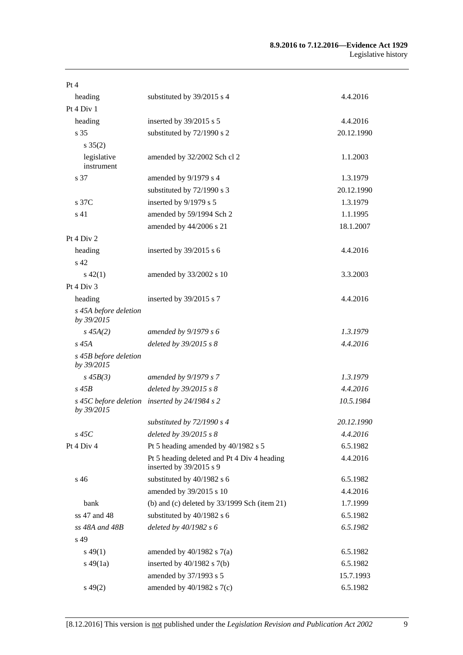#### **8.9.2016 to 7.12.2016—Evidence Act 1929** Legislative history

| Pt 4                                |                                                                        |            |
|-------------------------------------|------------------------------------------------------------------------|------------|
| heading                             | substituted by 39/2015 s 4                                             | 4.4.2016   |
| Pt 4 Div 1                          |                                                                        |            |
| heading                             | inserted by 39/2015 s 5                                                | 4.4.2016   |
| s 35                                | substituted by 72/1990 s 2                                             | 20.12.1990 |
| $s \, 35(2)$                        |                                                                        |            |
| legislative<br>instrument           | amended by 32/2002 Sch cl 2                                            | 1.1.2003   |
| s 37                                | amended by 9/1979 s 4                                                  | 1.3.1979   |
|                                     | substituted by 72/1990 s 3                                             | 20.12.1990 |
| s 37C                               | inserted by 9/1979 s 5                                                 | 1.3.1979   |
| s 41                                | amended by 59/1994 Sch 2                                               | 1.1.1995   |
|                                     | amended by 44/2006 s 21                                                | 18.1.2007  |
| Pt 4 Div 2                          |                                                                        |            |
| heading                             | inserted by $39/2015$ s 6                                              | 4.4.2016   |
| s 42                                |                                                                        |            |
| $s\,42(1)$                          | amended by 33/2002 s 10                                                | 3.3.2003   |
| Pt 4 Div 3                          |                                                                        |            |
| heading                             | inserted by 39/2015 s 7                                                | 4.4.2016   |
| s 45A before deletion<br>by 39/2015 |                                                                        |            |
| $s\,45A(2)$                         | amended by $9/1979 s 6$                                                | 1.3.1979   |
| $s\,45A$                            | deleted by 39/2015 s 8                                                 | 4.4.2016   |
| s 45B before deletion<br>by 39/2015 |                                                                        |            |
| $s\,45B(3)$                         | amended by $9/1979 s 7$                                                | 1.3.1979   |
| $s\,45B$                            | deleted by 39/2015 s 8                                                 | 4.4.2016   |
| by 39/2015                          | s 45C before deletion inserted by 24/1984 s 2                          | 10.5.1984  |
|                                     | substituted by 72/1990 s 4                                             | 20.12.1990 |
| $s$ 45 $C$                          | deleted by 39/2015 s 8                                                 | 4.4.2016   |
| Pt 4 Div 4                          | Pt 5 heading amended by 40/1982 s 5                                    | 6.5.1982   |
|                                     | Pt 5 heading deleted and Pt 4 Div 4 heading<br>inserted by 39/2015 s 9 | 4.4.2016   |
| s 46                                | substituted by 40/1982 s 6                                             | 6.5.1982   |
|                                     | amended by 39/2015 s 10                                                | 4.4.2016   |
| bank                                | (b) and (c) deleted by $33/1999$ Sch (item 21)                         | 1.7.1999   |
| ss 47 and 48                        | substituted by 40/1982 s 6                                             | 6.5.1982   |
| ss 48A and 48B                      | deleted by 40/1982 s 6                                                 | 6.5.1982   |
| s 49                                |                                                                        |            |
| $s\,49(1)$                          | amended by $40/1982$ s $7(a)$                                          | 6.5.1982   |
| $s\,49(1a)$                         | inserted by $40/1982$ s $7(b)$                                         | 6.5.1982   |
|                                     | amended by 37/1993 s 5                                                 | 15.7.1993  |
| $s\,49(2)$                          | amended by $40/1982$ s $7(c)$                                          | 6.5.1982   |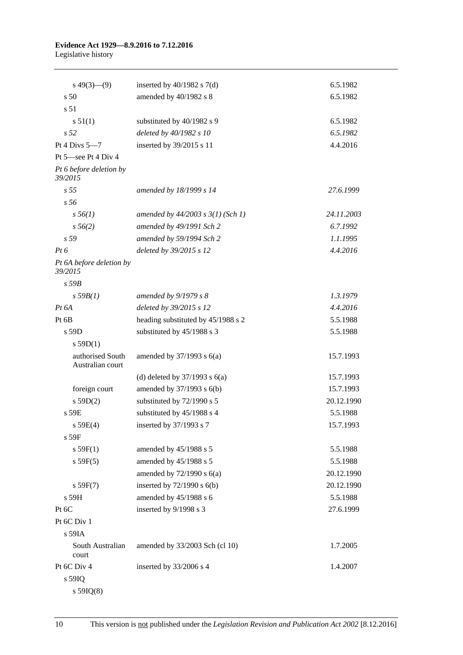#### **Evidence Act 1929—8.9.2016 to 7.12.2016** Legislative history

| $s\ 49(3)$ (9)                       | inserted by $40/1982$ s $7(d)$        | 6.5.1982   |
|--------------------------------------|---------------------------------------|------------|
| s <sub>50</sub>                      | amended by 40/1982 s 8                | 6.5.1982   |
| s 51                                 |                                       |            |
| s 51(1)                              | substituted by 40/1982 s 9            | 6.5.1982   |
| s <sub>52</sub>                      | deleted by 40/1982 s 10               | 6.5.1982   |
| Pt 4 Divs $5-7$                      | inserted by 39/2015 s 11              | 4.4.2016   |
| Pt 5-see Pt 4 Div 4                  |                                       |            |
| Pt 6 before deletion by<br>39/2015   |                                       |            |
| s <sub>55</sub>                      | amended by 18/1999 s 14               | 27.6.1999  |
| s <sub>56</sub>                      |                                       |            |
| $s\,56(1)$                           | amended by $44/2003$ s $3(1)$ (Sch 1) | 24.11.2003 |
| $s\,56(2)$                           | amended by 49/1991 Sch 2              | 6.7.1992   |
| s 59                                 | amended by 59/1994 Sch 2              | 1.1.1995   |
| $Pt\,6$                              | deleted by 39/2015 s 12               | 4.4.2016   |
| Pt 6A before deletion by<br>39/2015  |                                       |            |
| $s$ 59 $B$                           |                                       |            |
| $s$ 59 $B(1)$                        | amended by $9/1979 s 8$               | 1.3.1979   |
| $Pt\,6A$                             | deleted by 39/2015 s 12               | 4.4.2016   |
| Pt 6B                                | heading substituted by 45/1988 s 2    | 5.5.1988   |
| s 59D                                | substituted by 45/1988 s 3            | 5.5.1988   |
| $s$ 59D(1)                           |                                       |            |
| authorised South<br>Australian court | amended by $37/1993$ s $6(a)$         | 15.7.1993  |
|                                      | (d) deleted by $37/1993$ s $6(a)$     | 15.7.1993  |
| foreign court                        | amended by 37/1993 s 6(b)             | 15.7.1993  |
| s 59D(2)                             | substituted by 72/1990 s 5            | 20.12.1990 |
| s 59E                                | substituted by 45/1988 s 4            | 5.5.1988   |
| s 59E(4)                             | inserted by 37/1993 s 7               | 15.7.1993  |
| $s$ 59 $F$                           |                                       |            |
| s 59F(1)                             | amended by 45/1988 s 5                | 5.5.1988   |
| s 59F(5)                             | amended by 45/1988 s 5                | 5.5.1988   |
|                                      | amended by $72/1990$ s $6(a)$         | 20.12.1990 |
| s 59F(7)                             | inserted by $72/1990$ s $6(b)$        | 20.12.1990 |
| s 59H                                | amended by 45/1988 s 6                | 5.5.1988   |
| Pt 6C                                | inserted by 9/1998 s 3                | 27.6.1999  |
| Pt 6C Div 1                          |                                       |            |
| $s$ 59IA                             |                                       |            |
| South Australian<br>court            | amended by 33/2003 Sch (cl 10)        | 1.7.2005   |
| Pt 6C Div 4                          | inserted by 33/2006 s 4               | 1.4.2007   |
| s 59IQ                               |                                       |            |

s 59IQ(8)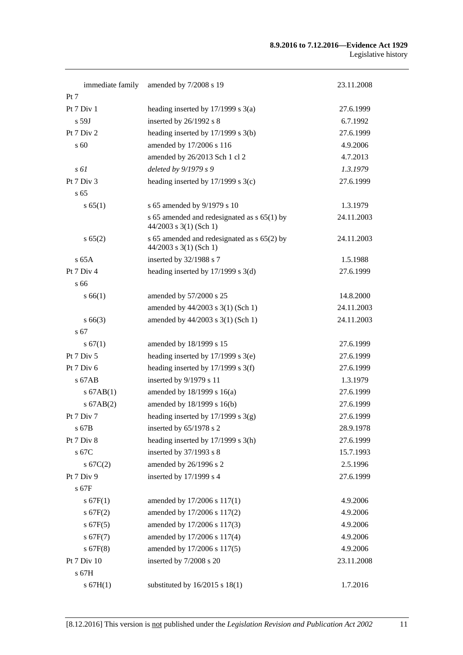#### **8.9.2016 to 7.12.2016—Evidence Act 1929** Legislative history

| immediate family      | amended by 7/2008 s 19                                                    | 23.11.2008 |
|-----------------------|---------------------------------------------------------------------------|------------|
| Pt 7                  |                                                                           |            |
| Pt $7$ Div $1$        | heading inserted by $17/1999$ s $3(a)$                                    | 27.6.1999  |
| s 59J                 | inserted by $26/1992$ s 8                                                 | 6.7.1992   |
| Pt 7 Div 2            | heading inserted by 17/1999 s 3(b)                                        | 27.6.1999  |
| s 60                  | amended by 17/2006 s 116                                                  | 4.9.2006   |
|                       | amended by 26/2013 Sch 1 cl 2                                             | 4.7.2013   |
| $s \, \delta l$       | deleted by $9/1979 s 9$                                                   | 1.3.1979   |
| Pt $7 \mathrm{Div} 3$ | heading inserted by $17/1999$ s $3(c)$                                    | 27.6.1999  |
| s <sub>65</sub>       |                                                                           |            |
| s 65(1)               | s 65 amended by 9/1979 s 10                                               | 1.3.1979   |
|                       | s 65 amended and redesignated as $s$ 65(1) by<br>$44/2003$ s 3(1) (Sch 1) | 24.11.2003 |
| s 65(2)               | s 65 amended and redesignated as s 65(2) by<br>$44/2003$ s 3(1) (Sch 1)   | 24.11.2003 |
| $s$ 65A               | inserted by 32/1988 s 7                                                   | 1.5.1988   |
| Pt 7 Div 4            | heading inserted by $17/1999$ s $3(d)$                                    | 27.6.1999  |
| s 66                  |                                                                           |            |
| s 66(1)               | amended by 57/2000 s 25                                                   | 14.8.2000  |
|                       | amended by $44/2003$ s 3(1) (Sch 1)                                       | 24.11.2003 |
| $s\,66(3)$            | amended by 44/2003 s 3(1) (Sch 1)                                         | 24.11.2003 |
| s 67                  |                                                                           |            |
| s 67(1)               | amended by 18/1999 s 15                                                   | 27.6.1999  |
| Pt 7 Div 5            | heading inserted by $17/1999$ s $3(e)$                                    | 27.6.1999  |
| Pt $7$ Div $6$        | heading inserted by 17/1999 s 3(f)                                        | 27.6.1999  |
| $s$ 67AB              | inserted by 9/1979 s 11                                                   | 1.3.1979   |
| $s$ 67AB $(1)$        | amended by 18/1999 s 16(a)                                                | 27.6.1999  |
| $s$ 67AB $(2)$        | amended by 18/1999 s 16(b)                                                | 27.6.1999  |
| Pt 7 Div 7            | heading inserted by $17/1999$ s $3(g)$                                    | 27.6.1999  |
| s 67B                 | inserted by 65/1978 s 2                                                   | 28.9.1978  |
| Pt 7 Div 8            | heading inserted by $17/1999$ s $3(h)$                                    | 27.6.1999  |
| s 67C                 | inserted by 37/1993 s 8                                                   | 15.7.1993  |
| s 67C(2)              | amended by 26/1996 s 2                                                    | 2.5.1996   |
| Pt 7 Div 9            | inserted by 17/1999 s 4                                                   | 27.6.1999  |
| s 67F                 |                                                                           |            |
| s 67F(1)              | amended by 17/2006 s 117(1)                                               | 4.9.2006   |
| s 67F(2)              | amended by 17/2006 s 117(2)                                               | 4.9.2006   |
| $s$ 67F(5)            | amended by 17/2006 s 117(3)                                               | 4.9.2006   |
| s 67F(7)              | amended by 17/2006 s 117(4)                                               | 4.9.2006   |
| $s$ 67 $F(8)$         | amended by 17/2006 s 117(5)                                               | 4.9.2006   |
| Pt 7 Div 10           | inserted by 7/2008 s 20                                                   | 23.11.2008 |
| s 67H                 |                                                                           |            |
| s 67H(1)              | substituted by $16/2015$ s $18(1)$                                        | 1.7.2016   |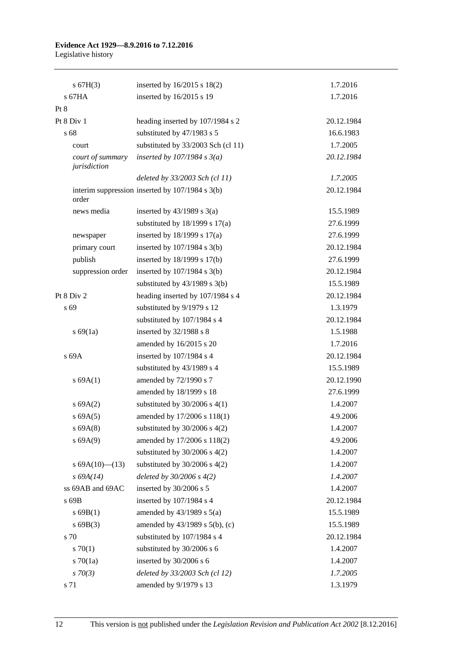# **Evidence Act 1929—8.9.2016 to 7.12.2016**

Legislative history

| s 67H(3)                         | inserted by 16/2015 s 18(2)                     | 1.7.2016   |
|----------------------------------|-------------------------------------------------|------------|
| $s$ 67HA                         | inserted by 16/2015 s 19                        | 1.7.2016   |
| Pt 8                             |                                                 |            |
| Pt 8 Div 1                       | heading inserted by 107/1984 s 2                | 20.12.1984 |
| s 68                             | substituted by 47/1983 s 5                      | 16.6.1983  |
| court                            | substituted by 33/2003 Sch (cl 11)              | 1.7.2005   |
| court of summary<br>jurisdiction | inserted by $107/1984$ s $3(a)$                 | 20.12.1984 |
|                                  | deleted by 33/2003 Sch (cl 11)                  | 1.7.2005   |
| order                            | interim suppression inserted by 107/1984 s 3(b) | 20.12.1984 |
| news media                       | inserted by $43/1989$ s $3(a)$                  | 15.5.1989  |
|                                  | substituted by $18/1999$ s $17(a)$              | 27.6.1999  |
| newspaper                        | inserted by $18/1999$ s $17(a)$                 | 27.6.1999  |
| primary court                    | inserted by $107/1984$ s $3(b)$                 | 20.12.1984 |
| publish                          | inserted by $18/1999$ s $17(b)$                 | 27.6.1999  |
| suppression order                | inserted by 107/1984 s 3(b)                     | 20.12.1984 |
|                                  | substituted by $43/1989$ s $3(b)$               | 15.5.1989  |
| Pt 8 Div 2                       | heading inserted by 107/1984 s 4                | 20.12.1984 |
| s 69                             | substituted by 9/1979 s 12                      | 1.3.1979   |
|                                  | substituted by 107/1984 s 4                     | 20.12.1984 |
| s 69(1a)                         | inserted by 32/1988 s 8                         | 1.5.1988   |
|                                  | amended by 16/2015 s 20                         | 1.7.2016   |
| s 69A                            | inserted by 107/1984 s 4                        | 20.12.1984 |
|                                  | substituted by 43/1989 s 4                      | 15.5.1989  |
| s 69A(1)                         | amended by 72/1990 s 7                          | 20.12.1990 |
|                                  | amended by 18/1999 s 18                         | 27.6.1999  |
| s 69A(2)                         | substituted by $30/2006$ s 4(1)                 | 1.4.2007   |
| s 69A(5)                         | amended by 17/2006 s 118(1)                     | 4.9.2006   |
| s 69A(8)                         | substituted by $30/2006$ s $4(2)$               | 1.4.2007   |
| s 69A(9)                         | amended by 17/2006 s 118(2)                     | 4.9.2006   |
|                                  | substituted by $30/2006$ s $4(2)$               | 1.4.2007   |
| s $69A(10)$ (13)                 | substituted by $30/2006$ s $4(2)$               | 1.4.2007   |
| $s\,69A(14)$                     | deleted by $30/2006 s 4(2)$                     | 1.4.2007   |
| ss 69AB and 69AC                 | inserted by 30/2006 s 5                         | 1.4.2007   |
| s 69B                            | inserted by 107/1984 s 4                        | 20.12.1984 |
| $s$ 69B(1)                       | amended by $43/1989$ s $5(a)$                   | 15.5.1989  |
| s69B(3)                          | amended by 43/1989 s 5(b), (c)                  | 15.5.1989  |
| s 70                             | substituted by 107/1984 s 4                     | 20.12.1984 |
| 570(1)                           | substituted by 30/2006 s 6                      | 1.4.2007   |
| 570(1a)                          | inserted by 30/2006 s 6                         | 1.4.2007   |
| $s \, 70(3)$                     | deleted by 33/2003 Sch (cl 12)                  | 1.7.2005   |
| s 71                             | amended by 9/1979 s 13                          | 1.3.1979   |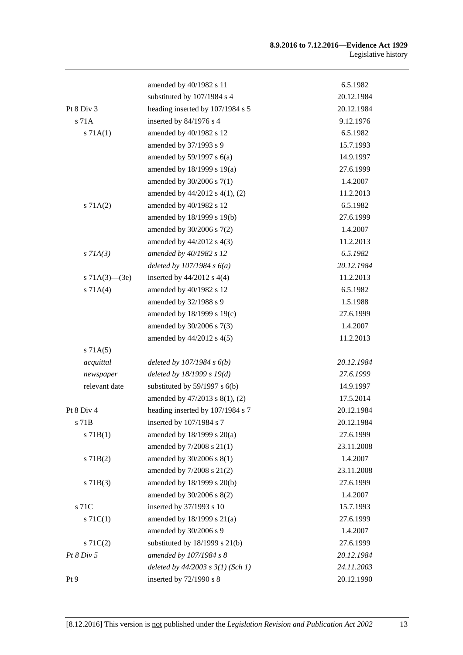#### **8.9.2016 to 7.12.2016—Evidence Act 1929** Legislative history

|                     | amended by 40/1982 s 11               | 6.5.1982   |
|---------------------|---------------------------------------|------------|
|                     | substituted by 107/1984 s 4           | 20.12.1984 |
| Pt $8$ Div $3$      | heading inserted by 107/1984 s 5      | 20.12.1984 |
| s 71A               | inserted by 84/1976 s 4               | 9.12.1976  |
| s 71A(1)            | amended by 40/1982 s 12               | 6.5.1982   |
|                     | amended by 37/1993 s 9                | 15.7.1993  |
|                     | amended by $59/1997$ s $6(a)$         | 14.9.1997  |
|                     | amended by $18/1999$ s $19(a)$        | 27.6.1999  |
|                     | amended by 30/2006 s 7(1)             | 1.4.2007   |
|                     | amended by 44/2012 s 4(1), (2)        | 11.2.2013  |
| s 71A(2)            | amended by 40/1982 s 12               | 6.5.1982   |
|                     | amended by 18/1999 s 19(b)            | 27.6.1999  |
|                     | amended by $30/2006$ s $7(2)$         | 1.4.2007   |
|                     | amended by $44/2012$ s $4(3)$         | 11.2.2013  |
| $s$ 71A(3)          | amended by 40/1982 s 12               | 6.5.1982   |
|                     | deleted by $107/1984 s 6(a)$          | 20.12.1984 |
| s $71A(3)$ — $(3e)$ | inserted by $44/2012$ s $4(4)$        | 11.2.2013  |
| s 71A(4)            | amended by 40/1982 s 12               | 6.5.1982   |
|                     | amended by 32/1988 s 9                | 1.5.1988   |
|                     | amended by 18/1999 s 19(c)            | 27.6.1999  |
|                     | amended by 30/2006 s 7(3)             | 1.4.2007   |
|                     | amended by $44/2012$ s $4(5)$         | 11.2.2013  |
| s 71A(5)            |                                       |            |
| acquittal           | deleted by $107/1984 s 6(b)$          | 20.12.1984 |
| newspaper           | deleted by $18/1999 s 19(d)$          | 27.6.1999  |
| relevant date       | substituted by $59/1997$ s $6(b)$     | 14.9.1997  |
|                     | amended by 47/2013 s 8(1), (2)        | 17.5.2014  |
| Pt 8 Div 4          | heading inserted by 107/1984 s 7      | 20.12.1984 |
| s 71B               | inserted by 107/1984 s 7              | 20.12.1984 |
| $s$ 71B(1)          | amended by $18/1999$ s $20(a)$        | 27.6.1999  |
|                     | amended by 7/2008 s 21(1)             | 23.11.2008 |
| $s$ 71B(2)          | amended by $30/2006$ s $8(1)$         | 1.4.2007   |
|                     | amended by 7/2008 s 21(2)             | 23.11.2008 |
| s71B(3)             | amended by 18/1999 s 20(b)            | 27.6.1999  |
|                     | amended by 30/2006 s 8(2)             | 1.4.2007   |
| s 71C               | inserted by 37/1993 s 10              | 15.7.1993  |
| $s \, 71C(1)$       | amended by $18/1999$ s $21(a)$        | 27.6.1999  |
|                     | amended by 30/2006 s 9                | 1.4.2007   |
| $s \, 71C(2)$       | substituted by $18/1999$ s $21(b)$    | 27.6.1999  |
| Pt 8 Div 5          | amended by 107/1984 s 8               | 20.12.1984 |
|                     | deleted by $44/2003$ s $3(1)$ (Sch 1) | 24.11.2003 |
| Pt 9                | inserted by 72/1990 s 8               | 20.12.1990 |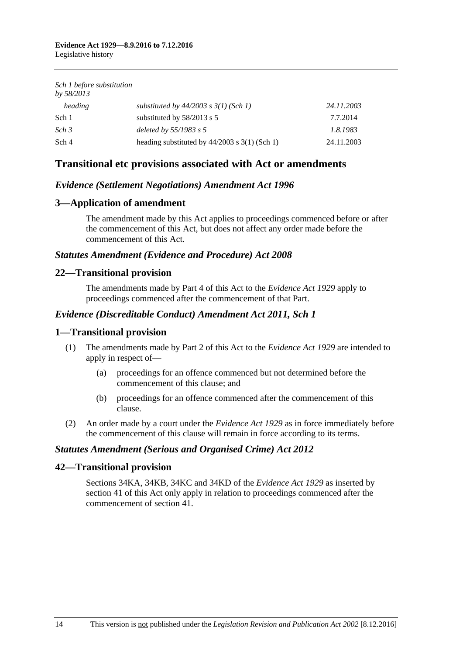*Sch 1 before substitution by 58/2013*

| substituted by $44/2003$ s $3(1)$ (Sch 1)       | 24.11.2003 |
|-------------------------------------------------|------------|
| substituted by $58/2013$ s 5                    | 7.7.2014   |
| deleted by $55/1983$ s 5                        | 1.8.1983   |
| heading substituted by $44/2003$ s 3(1) (Sch 1) | 24.11.2003 |
|                                                 |            |

## **Transitional etc provisions associated with Act or amendments**

### *Evidence (Settlement Negotiations) Amendment Act 1996*

## **3—Application of amendment**

The amendment made by this Act applies to proceedings commenced before or after the commencement of this Act, but does not affect any order made before the commencement of this Act.

### *Statutes Amendment (Evidence and Procedure) Act 2008*

### **22—Transitional provision**

The amendments made by Part 4 of this Act to the *[Evidence Act](http://www.legislation.sa.gov.au/index.aspx?action=legref&type=act&legtitle=Evidence%20Act%201929) 1929* apply to proceedings commenced after the commencement of that Part.

### *Evidence (Discreditable Conduct) Amendment Act 2011, Sch 1*

#### **1—Transitional provision**

- (1) The amendments made by Part 2 of this Act to the *[Evidence Act](http://www.legislation.sa.gov.au/index.aspx?action=legref&type=act&legtitle=Evidence%20Act%201929) 1929* are intended to apply in respect of—
	- (a) proceedings for an offence commenced but not determined before the commencement of this clause; and
	- (b) proceedings for an offence commenced after the commencement of this clause.
- (2) An order made by a court under the *[Evidence Act](http://www.legislation.sa.gov.au/index.aspx?action=legref&type=act&legtitle=Evidence%20Act%201929) 1929* as in force immediately before the commencement of this clause will remain in force according to its terms.

### *Statutes Amendment (Serious and Organised Crime) Act 2012*

### **42—Transitional provision**

Sections 34KA, 34KB, 34KC and 34KD of the *[Evidence Act](http://www.legislation.sa.gov.au/index.aspx?action=legref&type=act&legtitle=Evidence%20Act%201929) 1929* as inserted by section 41 of this Act only apply in relation to proceedings commenced after the commencement of section 41.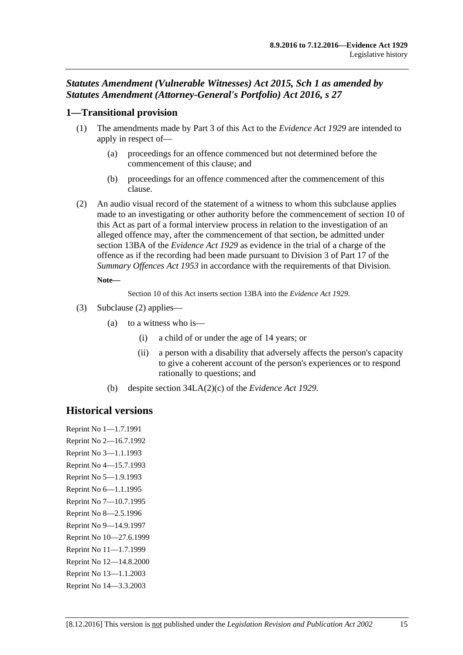## *Statutes Amendment (Vulnerable Witnesses) Act 2015, Sch 1 as amended by Statutes Amendment (Attorney-General's Portfolio) Act 2016, s 27*

### **1—Transitional provision**

- (1) The amendments made by Part 3 of this Act to the *[Evidence Act](http://www.legislation.sa.gov.au/index.aspx?action=legref&type=act&legtitle=Evidence%20Act%201929) 1929* are intended to apply in respect of—
	- (a) proceedings for an offence commenced but not determined before the commencement of this clause; and
	- (b) proceedings for an offence commenced after the commencement of this clause.
- <span id="page-110-0"></span>(2) An audio visual record of the statement of a witness to whom this subclause applies made to an investigating or other authority before the commencement of section 10 of this Act as part of a formal interview process in relation to the investigation of an alleged offence may, after the commencement of that section, be admitted under section 13BA of the *[Evidence Act](http://www.legislation.sa.gov.au/index.aspx?action=legref&type=act&legtitle=Evidence%20Act%201929) 1929* as evidence in the trial of a charge of the offence as if the recording had been made pursuant to Division 3 of Part 17 of the *[Summary Offences Act](http://www.legislation.sa.gov.au/index.aspx?action=legref&type=act&legtitle=Summary%20Offences%20Act%201953) 1953* in accordance with the requirements of that Division.

#### **Note—**

Section 10 of this Act inserts section 13BA into the *[Evidence Act](http://www.legislation.sa.gov.au/index.aspx?action=legref&type=act&legtitle=Evidence%20Act%201929) 1929*.

- (3) [Subclause \(2\)](#page-110-0) applies—
	- (a) to a witness who is—
		- (i) a child of or under the age of 14 years; or
		- (ii) a person with a disability that adversely affects the person's capacity to give a coherent account of the person's experiences or to respond rationally to questions; and
	- (b) despite section 34LA(2)(c) of the *[Evidence Act](http://www.legislation.sa.gov.au/index.aspx?action=legref&type=act&legtitle=Evidence%20Act%201929) 1929*.

# **Historical versions**

Reprint No 1—1.7.1991 Reprint No 2—16.7.1992 Reprint No 3—1.1.1993 Reprint No 4—15.7.1993 Reprint No 5—1.9.1993 Reprint No 6—1.1.1995 Reprint No 7—10.7.1995 Reprint No 8—2.5.1996 Reprint No 9—14.9.1997 Reprint No 10—27.6.1999 Reprint No 11—1.7.1999 Reprint No 12—14.8.2000 Reprint No 13—1.1.2003 Reprint No 14—3.3.2003